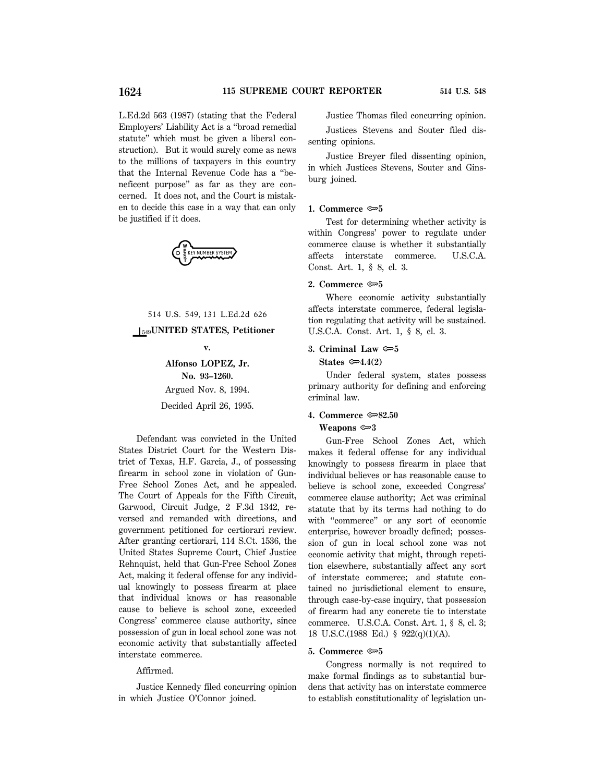L.Ed.2d 563 (1987) (stating that the Federal Employers' Liability Act is a ''broad remedial statute'' which must be given a liberal construction). But it would surely come as news to the millions of taxpayers in this country that the Internal Revenue Code has a ''beneficent purpose'' as far as they are concerned. It does not, and the Court is mistaken to decide this case in a way that can only be justified if it does.

CHE KEY NUMBER SYSTEM

514 U.S. 549, 131 L.Ed.2d 626 S549**UNITED STATES, Petitioner**

**v.**

**Alfonso LOPEZ, Jr. No. 93–1260.** Argued Nov. 8, 1994. Decided April 26, 1995.

Defendant was convicted in the United States District Court for the Western District of Texas, H.F. Garcia, J., of possessing firearm in school zone in violation of Gun-Free School Zones Act, and he appealed. The Court of Appeals for the Fifth Circuit, Garwood, Circuit Judge, 2 F.3d 1342, reversed and remanded with directions, and government petitioned for certiorari review. After granting certiorari, 114 S.Ct. 1536, the United States Supreme Court, Chief Justice Rehnquist, held that Gun-Free School Zones Act, making it federal offense for any individual knowingly to possess firearm at place that individual knows or has reasonable cause to believe is school zone, exceeded Congress' commerce clause authority, since possession of gun in local school zone was not economic activity that substantially affected interstate commerce.

# Affirmed.

Justice Kennedy filed concurring opinion in which Justice O'Connor joined.

Justice Thomas filed concurring opinion. Justices Stevens and Souter filed dissenting opinions.

Justice Breyer filed dissenting opinion, in which Justices Stevens, Souter and Ginsburg joined.

# **1. Commerce**  $\approx 5$

Test for determining whether activity is within Congress' power to regulate under commerce clause is whether it substantially affects interstate commerce. U.S.C.A. Const. Art. 1, § 8, cl. 3.

# 2. Commerce  $\infty$ 5

Where economic activity substantially affects interstate commerce, federal legislation regulating that activity will be sustained. U.S.C.A. Const. Art. 1, § 8, cl. 3.

#### **3. Criminal Law** O**5**

**States ©**<sup>4.4(2)</sup>

Under federal system, states possess primary authority for defining and enforcing criminal law.

# **4. Commerce**  $\approx 82.50$ **Weapons**  $\approx 3$

Gun-Free School Zones Act, which makes it federal offense for any individual knowingly to possess firearm in place that individual believes or has reasonable cause to believe is school zone, exceeded Congress' commerce clause authority; Act was criminal statute that by its terms had nothing to do with ''commerce'' or any sort of economic enterprise, however broadly defined; possession of gun in local school zone was not economic activity that might, through repetition elsewhere, substantially affect any sort of interstate commerce; and statute contained no jurisdictional element to ensure, through case-by-case inquiry, that possession of firearm had any concrete tie to interstate commerce. U.S.C.A. Const. Art. 1, § 8, cl. 3; 18 U.S.C.(1988 Ed.) § 922(q)(1)(A).

# **5. Commerce**  $\infty$ **5**

Congress normally is not required to make formal findings as to substantial burdens that activity has on interstate commerce to establish constitutionality of legislation un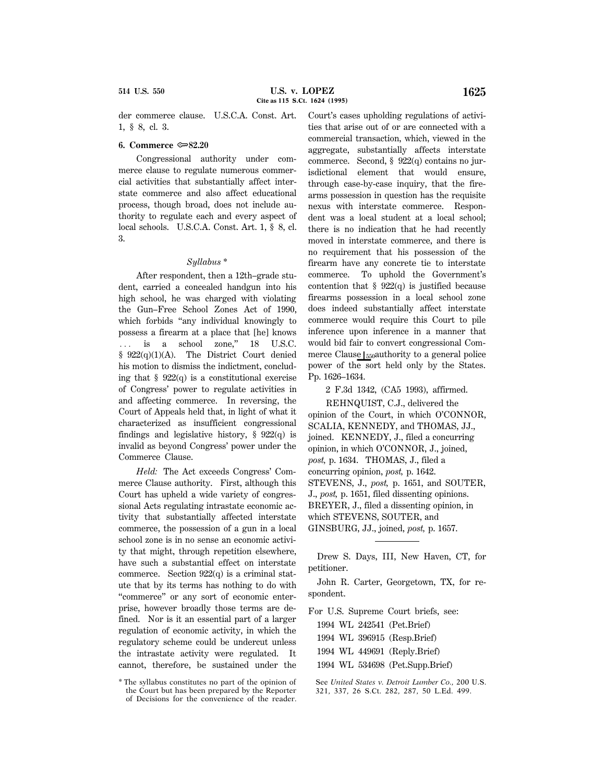der commerce clause. U.S.C.A. Const. Art. 1, § 8, cl. 3.

#### **6. Commerce**  $\approx 82.20$

Congressional authority under commerce clause to regulate numerous commercial activities that substantially affect interstate commerce and also affect educational process, though broad, does not include authority to regulate each and every aspect of local schools. U.S.C.A. Const. Art. 1, § 8, cl. 3.

# *Syllabus* \*

After respondent, then a 12th–grade student, carried a concealed handgun into his high school, he was charged with violating the Gun–Free School Zones Act of 1990, which forbids "any individual knowingly to possess a firearm at a place that [he] knows  $\ldots$  is a school zone," 18 U.S.C.  $§ 922(q)(1)(A)$ . The District Court denied his motion to dismiss the indictment, concluding that  $\S$  922(q) is a constitutional exercise of Congress' power to regulate activities in and affecting commerce. In reversing, the Court of Appeals held that, in light of what it characterized as insufficient congressional findings and legislative history,  $\S$  922 $(q)$  is invalid as beyond Congress' power under the Commerce Clause.

*Held:* The Act exceeds Congress' Commerce Clause authority. First, although this Court has upheld a wide variety of congressional Acts regulating intrastate economic activity that substantially affected interstate commerce, the possession of a gun in a local school zone is in no sense an economic activity that might, through repetition elsewhere, have such a substantial effect on interstate commerce. Section 922(q) is a criminal statute that by its terms has nothing to do with ''commerce'' or any sort of economic enterprise, however broadly those terms are defined. Nor is it an essential part of a larger regulation of economic activity, in which the regulatory scheme could be undercut unless the intrastate activity were regulated. It cannot, therefore, be sustained under the Court's cases upholding regulations of activities that arise out of or are connected with a commercial transaction, which, viewed in the aggregate, substantially affects interstate commerce. Second, § 922(q) contains no jurisdictional element that would ensure, through case-by-case inquiry, that the firearms possession in question has the requisite nexus with interstate commerce. Respondent was a local student at a local school; there is no indication that he had recently moved in interstate commerce, and there is no requirement that his possession of the firearm have any concrete tie to interstate commerce. To uphold the Government's contention that §  $922(q)$  is justified because firearms possession in a local school zone does indeed substantially affect interstate commerce would require this Court to pile inference upon inference in a manner that would bid fair to convert congressional Commerce Clause  $\vert_{550}$ authority to a general police power of the sort held only by the States. Pp. 1626–1634.

2 F.3d 1342, (CA5 1993), affirmed.

REHNQUIST, C.J., delivered the opinion of the Court, in which O'CONNOR, SCALIA, KENNEDY, and THOMAS, JJ., joined. KENNEDY, J., filed a concurring opinion, in which O'CONNOR, J., joined, *post,* p. 1634. THOMAS, J., filed a concurring opinion, *post,* p. 1642. STEVENS, J., *post,* p. 1651, and SOUTER, J., *post,* p. 1651, filed dissenting opinions. BREYER, J., filed a dissenting opinion, in which STEVENS, SOUTER, and GINSBURG, JJ., joined, *post,* p. 1657.

Drew S. Days, III, New Haven, CT, for petitioner.

John R. Carter, Georgetown, TX, for respondent.

For U.S. Supreme Court briefs, see:

1994 WL 242541 (Pet.Brief)

1994 WL 396915 (Resp.Brief)

1994 WL 449691 (Reply.Brief)

1994 WL 534698 (Pet.Supp.Brief)

See *United States v. Detroit Lumber Co.,* 200 U.S. 321, 337, 26 S.Ct. 282, 287, 50 L.Ed. 499.

<sup>\*</sup> The syllabus constitutes no part of the opinion of the Court but has been prepared by the Reporter of Decisions for the convenience of the reader.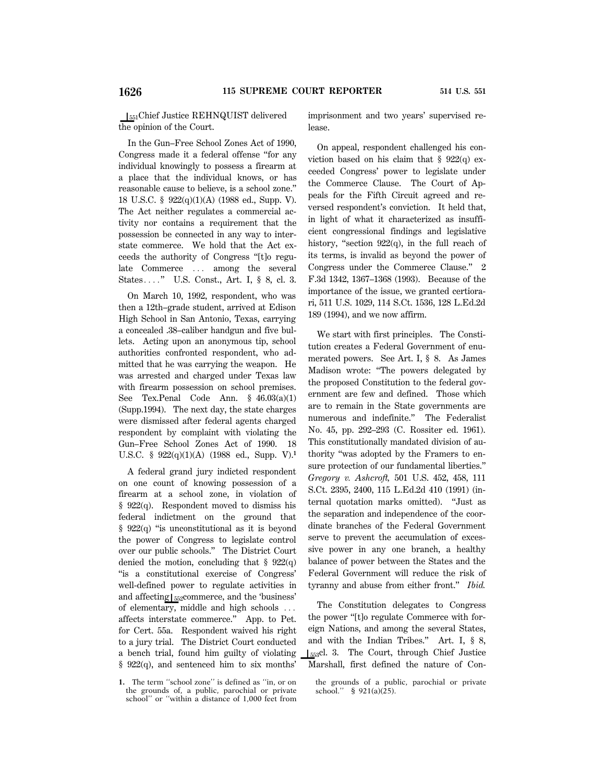S551Chief Justice REHNQUIST delivered the opinion of the Court.

In the Gun–Free School Zones Act of 1990, Congress made it a federal offense ''for any individual knowingly to possess a firearm at a place that the individual knows, or has reasonable cause to believe, is a school zone.'' 18 U.S.C. § 922(q)(1)(A) (1988 ed., Supp. V). The Act neither regulates a commercial activity nor contains a requirement that the possession be connected in any way to interstate commerce. We hold that the Act exceeds the authority of Congress ''[t]o regulate Commerce ... among the several States...." U.S. Const., Art. I,  $\S$  8, cl. 3.

On March 10, 1992, respondent, who was then a 12th–grade student, arrived at Edison High School in San Antonio, Texas, carrying a concealed .38–caliber handgun and five bullets. Acting upon an anonymous tip, school authorities confronted respondent, who admitted that he was carrying the weapon. He was arrested and charged under Texas law with firearm possession on school premises. See Tex.Penal Code Ann. § 46.03(a)(1) (Supp.1994). The next day, the state charges were dismissed after federal agents charged respondent by complaint with violating the Gun–Free School Zones Act of 1990. 18 U.S.C. § 922(q)(1)(A) (1988 ed., Supp. V).**<sup>1</sup>**

A federal grand jury indicted respondent on one count of knowing possession of a firearm at a school zone, in violation of  $§$  922(q). Respondent moved to dismiss his federal indictment on the ground that § 922(q) ''is unconstitutional as it is beyond the power of Congress to legislate control over our public schools.'' The District Court denied the motion, concluding that  $\S 922(q)$ ''is a constitutional exercise of Congress' well-defined power to regulate activities in and affecting  $\left| \right|_{552}$ commerce, and the 'business' of elementary, middle and high schools  $\ldots$ affects interstate commerce.'' App. to Pet. for Cert. 55a. Respondent waived his right to a jury trial. The District Court conducted a bench trial, found him guilty of violating  $§$  922 $(q)$ , and sentenced him to six months'

imprisonment and two years' supervised release.

On appeal, respondent challenged his conviction based on his claim that  $\S$  922(q) exceeded Congress' power to legislate under the Commerce Clause. The Court of Appeals for the Fifth Circuit agreed and reversed respondent's conviction. It held that, in light of what it characterized as insufficient congressional findings and legislative history, "section 922(q), in the full reach of its terms, is invalid as beyond the power of Congress under the Commerce Clause.'' 2 F.3d 1342, 1367–1368 (1993). Because of the importance of the issue, we granted certiorari, 511 U.S. 1029, 114 S.Ct. 1536, 128 L.Ed.2d 189 (1994), and we now affirm.

We start with first principles. The Constitution creates a Federal Government of enumerated powers. See Art. I, § 8. As James Madison wrote: ''The powers delegated by the proposed Constitution to the federal government are few and defined. Those which are to remain in the State governments are numerous and indefinite.'' The Federalist No. 45, pp. 292–293 (C. Rossiter ed. 1961). This constitutionally mandated division of authority ''was adopted by the Framers to ensure protection of our fundamental liberties.'' *Gregory v. Ashcroft,* 501 U.S. 452, 458, 111 S.Ct. 2395, 2400, 115 L.Ed.2d 410 (1991) (internal quotation marks omitted). ''Just as the separation and independence of the coordinate branches of the Federal Government serve to prevent the accumulation of excessive power in any one branch, a healthy balance of power between the States and the Federal Government will reduce the risk of tyranny and abuse from either front.'' *Ibid.*

The Constitution delegates to Congress the power ''[t]o regulate Commerce with foreign Nations, and among the several States, and with the Indian Tribes.'' Art. I, § 8,  $\mathcal{L}_{553}$ cl. 3. The Court, through Chief Justice Marshall, first defined the nature of Con-

**<sup>1.</sup>** The term ''school zone'' is defined as ''in, or on the grounds of, a public, parochial or private school'' or ''within a distance of 1,000 feet from

the grounds of a public, parochial or private school.'' § 921(a)(25).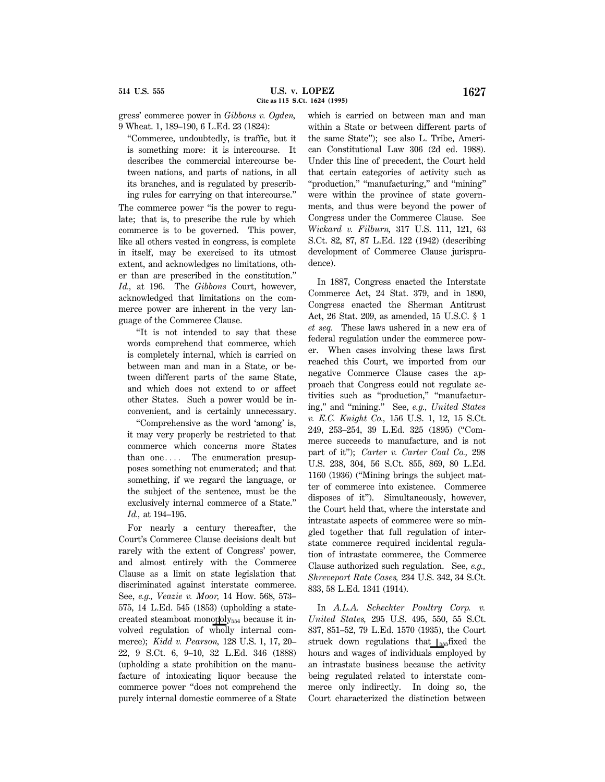gress' commerce power in *Gibbons v. Ogden,* 9 Wheat. 1, 189–190, 6 L.Ed. 23 (1824):

''Commerce, undoubtedly, is traffic, but it is something more: it is intercourse. It describes the commercial intercourse between nations, and parts of nations, in all its branches, and is regulated by prescribing rules for carrying on that intercourse.''

The commerce power "is the power to regulate; that is, to prescribe the rule by which commerce is to be governed. This power, like all others vested in congress, is complete in itself, may be exercised to its utmost extent, and acknowledges no limitations, other than are prescribed in the constitution.'' *Id.,* at 196. The *Gibbons* Court, however, acknowledged that limitations on the commerce power are inherent in the very language of the Commerce Clause.

''It is not intended to say that these words comprehend that commerce, which is completely internal, which is carried on between man and man in a State, or between different parts of the same State, and which does not extend to or affect other States. Such a power would be inconvenient, and is certainly unnecessary.

''Comprehensive as the word 'among' is, it may very properly be restricted to that commerce which concerns more States  $than one...$  The enumeration presupposes something not enumerated; and that something, if we regard the language, or the subject of the sentence, must be the exclusively internal commerce of a State.'' *Id.,* at 194–195.

For nearly a century thereafter, the Court's Commerce Clause decisions dealt but rarely with the extent of Congress' power, and almost entirely with the Commerce Clause as a limit on state legislation that discriminated against interstate commerce. See, *e.g., Veazie v. Moor,* 14 How. 568, 573– 575, 14 L.Ed. 545 (1853) (upholding a statecreated steamboat monopoly $_{554}$  because it involved regulation of wholly internal commerce); *Kidd v. Pearson,* 128 U.S. 1, 17, 20– 22, 9 S.Ct. 6, 9–10, 32 L.Ed. 346 (1888) (upholding a state prohibition on the manufacture of intoxicating liquor because the commerce power ''does not comprehend the purely internal domestic commerce of a State which is carried on between man and man within a State or between different parts of the same State''); see also L. Tribe, American Constitutional Law 306 (2d ed. 1988). Under this line of precedent, the Court held that certain categories of activity such as ''production,'' ''manufacturing,'' and ''mining'' were within the province of state governments, and thus were beyond the power of Congress under the Commerce Clause. See *Wickard v. Filburn,* 317 U.S. 111, 121, 63 S.Ct. 82, 87, 87 L.Ed. 122 (1942) (describing development of Commerce Clause jurisprudence).

In 1887, Congress enacted the Interstate Commerce Act, 24 Stat. 379, and in 1890, Congress enacted the Sherman Antitrust Act, 26 Stat. 209, as amended, 15 U.S.C. § 1 *et seq.* These laws ushered in a new era of federal regulation under the commerce power. When cases involving these laws first reached this Court, we imported from our negative Commerce Clause cases the approach that Congress could not regulate activities such as ''production,'' ''manufacturing,'' and ''mining.'' See, *e.g., United States v. E.C. Knight Co.,* 156 U.S. 1, 12, 15 S.Ct. 249, 253–254, 39 L.Ed. 325 (1895) (''Commerce succeeds to manufacture, and is not part of it''); *Carter v. Carter Coal Co.,* 298 U.S. 238, 304, 56 S.Ct. 855, 869, 80 L.Ed. 1160 (1936) (''Mining brings the subject matter of commerce into existence. Commerce disposes of it''). Simultaneously, however, the Court held that, where the interstate and intrastate aspects of commerce were so mingled together that full regulation of interstate commerce required incidental regulation of intrastate commerce, the Commerce Clause authorized such regulation. See, *e.g., Shreveport Rate Cases,* 234 U.S. 342, 34 S.Ct. 833, 58 L.Ed. 1341 (1914).

In *A.L.A. Schechter Poultry Corp. v. United States,* 295 U.S. 495, 550, 55 S.Ct. 837, 851–52, 79 L.Ed. 1570 (1935), the Court struck down regulations that  $\int_{555}$  fixed the hours and wages of individuals employed by an intrastate business because the activity being regulated related to interstate commerce only indirectly. In doing so, the Court characterized the distinction between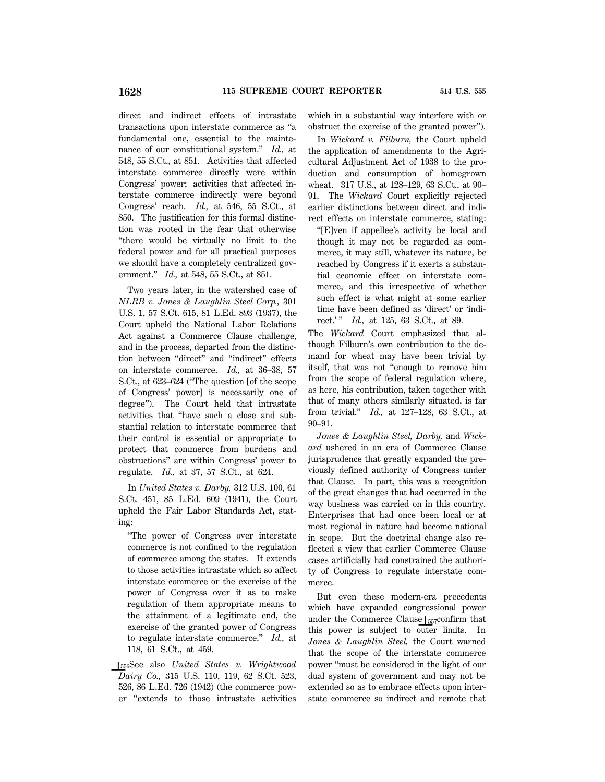direct and indirect effects of intrastate transactions upon interstate commerce as ''a fundamental one, essential to the maintenance of our constitutional system.'' *Id.,* at 548, 55 S.Ct., at 851. Activities that affected interstate commerce directly were within Congress' power; activities that affected interstate commerce indirectly were beyond Congress' reach. *Id.,* at 546, 55 S.Ct., at 850. The justification for this formal distinction was rooted in the fear that otherwise ''there would be virtually no limit to the federal power and for all practical purposes we should have a completely centralized government.'' *Id.,* at 548, 55 S.Ct., at 851.

Two years later, in the watershed case of *NLRB v. Jones & Laughlin Steel Corp.,* 301 U.S. 1, 57 S.Ct. 615, 81 L.Ed. 893 (1937), the Court upheld the National Labor Relations Act against a Commerce Clause challenge, and in the process, departed from the distinction between ''direct'' and ''indirect'' effects on interstate commerce. *Id.,* at 36–38, 57 S.Ct., at 623–624 (''The question [of the scope of Congress' power] is necessarily one of degree''). The Court held that intrastate activities that ''have such a close and substantial relation to interstate commerce that their control is essential or appropriate to protect that commerce from burdens and obstructions'' are within Congress' power to regulate. *Id.,* at 37, 57 S.Ct., at 624.

In *United States v. Darby,* 312 U.S. 100, 61 S.Ct. 451, 85 L.Ed. 609 (1941), the Court upheld the Fair Labor Standards Act, stating:

''The power of Congress over interstate commerce is not confined to the regulation of commerce among the states. It extends to those activities intrastate which so affect interstate commerce or the exercise of the power of Congress over it as to make regulation of them appropriate means to the attainment of a legitimate end, the exercise of the granted power of Congress to regulate interstate commerce.'' *Id.,* at 118, 61 S.Ct., at 459.

S556See also *United States v. Wrightwood Dairy Co.,* 315 U.S. 110, 119, 62 S.Ct. 523, 526, 86 L.Ed. 726 (1942) (the commerce power ''extends to those intrastate activities which in a substantial way interfere with or obstruct the exercise of the granted power'').

In *Wickard v. Filburn,* the Court upheld the application of amendments to the Agricultural Adjustment Act of 1938 to the production and consumption of homegrown wheat. 317 U.S., at 128–129, 63 S.Ct., at 90– 91. The *Wickard* Court explicitly rejected earlier distinctions between direct and indirect effects on interstate commerce, stating:

''[E]ven if appellee's activity be local and though it may not be regarded as commerce, it may still, whatever its nature, be reached by Congress if it exerts a substantial economic effect on interstate commerce, and this irrespective of whether such effect is what might at some earlier time have been defined as 'direct' or 'indirect.' '' *Id.,* at 125, 63 S.Ct., at 89.

The *Wickard* Court emphasized that although Filburn's own contribution to the demand for wheat may have been trivial by itself, that was not ''enough to remove him from the scope of federal regulation where, as here, his contribution, taken together with that of many others similarly situated, is far from trivial.'' *Id.,* at 127–128, 63 S.Ct., at 90–91.

*Jones & Laughlin Steel, Darby,* and *Wickard* ushered in an era of Commerce Clause jurisprudence that greatly expanded the previously defined authority of Congress under that Clause. In part, this was a recognition of the great changes that had occurred in the way business was carried on in this country. Enterprises that had once been local or at most regional in nature had become national in scope. But the doctrinal change also reflected a view that earlier Commerce Clause cases artificially had constrained the authority of Congress to regulate interstate commerce.

But even these modern-era precedents which have expanded congressional power under the Commerce Clause  $\frac{1}{557}$ confirm that this power is subject to outer limits. In *Jones & Laughlin Steel,* the Court warned that the scope of the interstate commerce power ''must be considered in the light of our dual system of government and may not be extended so as to embrace effects upon interstate commerce so indirect and remote that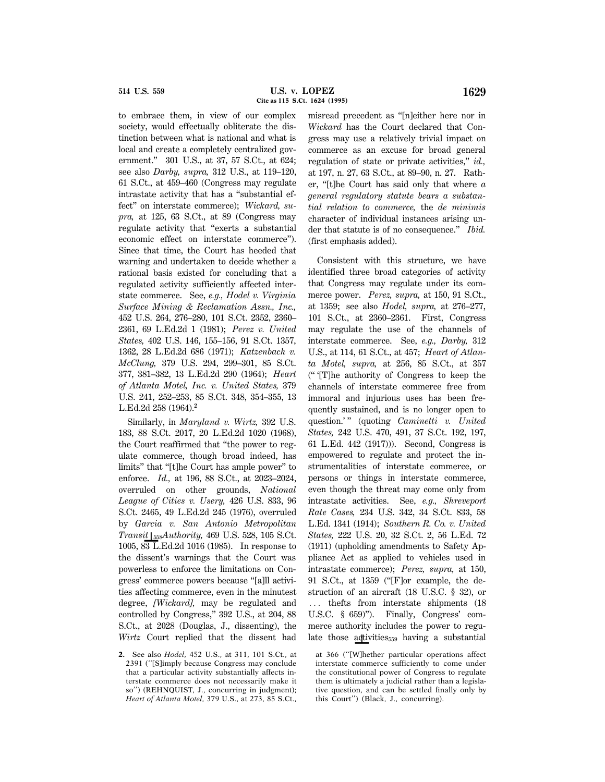misread precedent as ''[n]either here nor in

local and create a completely centralized government.'' 301 U.S., at 37, 57 S.Ct., at 624; see also *Darby, supra,* 312 U.S., at 119–120, 61 S.Ct., at 459–460 (Congress may regulate intrastate activity that has a ''substantial effect'' on interstate commerce); *Wickard, supra,* at 125, 63 S.Ct., at 89 (Congress may regulate activity that ''exerts a substantial economic effect on interstate commerce''). Since that time, the Court has heeded that warning and undertaken to decide whether a rational basis existed for concluding that a regulated activity sufficiently affected interstate commerce. See, *e.g., Hodel v. Virginia Surface Mining & Reclamation Assn., Inc.,* 452 U.S. 264, 276–280, 101 S.Ct. 2352, 2360– 2361, 69 L.Ed.2d 1 (1981); *Perez v. United States,* 402 U.S. 146, 155–156, 91 S.Ct. 1357, 1362, 28 L.Ed.2d 686 (1971); *Katzenbach v. McClung,* 379 U.S. 294, 299–301, 85 S.Ct. 377, 381–382, 13 L.Ed.2d 290 (1964); *Heart of Atlanta Motel, Inc. v. United States,* 379 U.S. 241, 252–253, 85 S.Ct. 348, 354–355, 13 L.Ed.2d 258 (1964).**<sup>2</sup>**

to embrace them, in view of our complex society, would effectually obliterate the distinction between what is national and what is

Similarly, in *Maryland v. Wirtz,* 392 U.S. 183, 88 S.Ct. 2017, 20 L.Ed.2d 1020 (1968), the Court reaffirmed that ''the power to regulate commerce, though broad indeed, has limits'' that ''[t]he Court has ample power'' to enforce. *Id.,* at 196, 88 S.Ct., at 2023–2024, overruled on other grounds, *National League of Cities v. Usery,* 426 U.S. 833, 96 S.Ct. 2465, 49 L.Ed.2d 245 (1976), overruled by *Garcia v. San Antonio Metropolitan Transit*  $\left| \right|$ <sub>558</sub>*Authority*, 469 U.S. 528, 105 S.Ct. 1005, 83 L.Ed.2d 1016 (1985). In response to the dissent's warnings that the Court was powerless to enforce the limitations on Congress' commerce powers because ''[a]ll activities affecting commerce, even in the minutest degree, *[Wickard],* may be regulated and controlled by Congress,'' 392 U.S., at 204, 88 S.Ct., at 2028 (Douglas, J., dissenting), the *Wirtz* Court replied that the dissent had

*Wickard* has the Court declared that Congress may use a relatively trivial impact on commerce as an excuse for broad general regulation of state or private activities,'' *id.,* at 197, n. 27, 63 S.Ct., at 89–90, n. 27. Rather, ''[t]he Court has said only that where *a general regulatory statute bears a substantial relation to commerce,* the *de minimis* character of individual instances arising under that statute is of no consequence.'' *Ibid.* (first emphasis added).

Consistent with this structure, we have identified three broad categories of activity that Congress may regulate under its commerce power. *Perez, supra,* at 150, 91 S.Ct., at 1359; see also *Hodel, supra,* at 276–277, 101 S.Ct., at 2360–2361. First, Congress may regulate the use of the channels of interstate commerce. See, *e.g., Darby,* 312 U.S., at 114, 61 S.Ct., at 457; *Heart of Atlanta Motel, supra,* at 256, 85 S.Ct., at 357 ('' '[T]he authority of Congress to keep the channels of interstate commerce free from immoral and injurious uses has been frequently sustained, and is no longer open to question.' '' (quoting *Caminetti v. United States,* 242 U.S. 470, 491, 37 S.Ct. 192, 197, 61 L.Ed. 442 (1917))). Second, Congress is empowered to regulate and protect the instrumentalities of interstate commerce, or persons or things in interstate commerce, even though the threat may come only from intrastate activities. See, *e.g., Shreveport Rate Cases,* 234 U.S. 342, 34 S.Ct. 833, 58 L.Ed. 1341 (1914); *Southern R. Co. v. United States,* 222 U.S. 20, 32 S.Ct. 2, 56 L.Ed. 72 (1911) (upholding amendments to Safety Appliance Act as applied to vehicles used in intrastate commerce); *Perez, supra,* at 150, 91 S.Ct., at 1359 (''[F]or example, the destruction of an aircraft (18 U.S.C. § 32), or ... thefts from interstate shipments (18 U.S.C. § 659)''). Finally, Congress' commerce authority includes the power to regulate those  $\frac{adt}{dt}$ ivities $_{559}$  having a substantial

at 366 (''[W]hether particular operations affect interstate commerce sufficiently to come under the constitutional power of Congress to regulate them is ultimately a judicial rather than a legislative question, and can be settled finally only by this Court'') (Black, J., concurring).

**<sup>2.</sup>** See also *Hodel,* 452 U.S., at 311, 101 S.Ct., at 2391 (''[S]imply because Congress may conclude that a particular activity substantially affects interstate commerce does not necessarily make it so'') (REHNQUIST, J., concurring in judgment); *Heart of Atlanta Motel,* 379 U.S., at 273, 85 S.Ct.,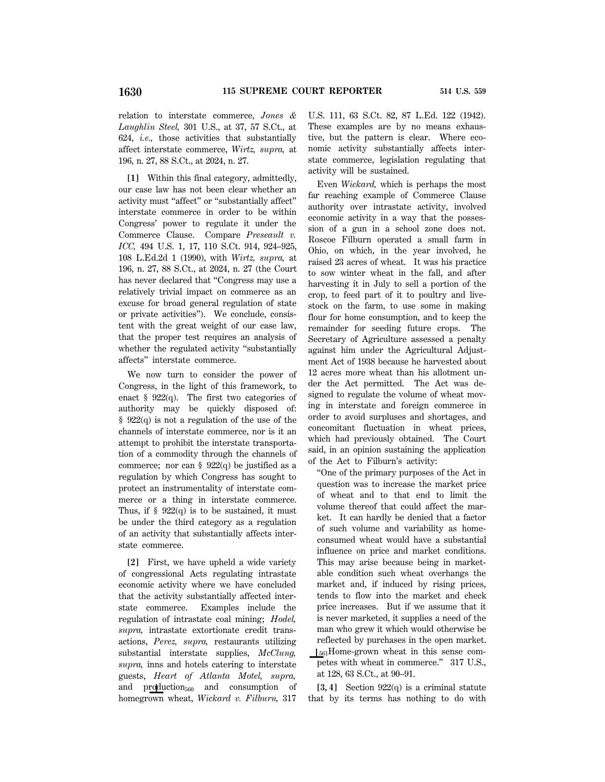relation to interstate commerce, *Jones & Laughlin Steel,* 301 U.S., at 37, 57 S.Ct., at 624, *i.e.,* those activities that substantially affect interstate commerce, *Wirtz, supra,* at 196, n. 27, 88 S.Ct., at 2024, n. 27.

**[1]** Within this final category, admittedly, our case law has not been clear whether an activity must ''affect'' or ''substantially affect'' interstate commerce in order to be within Congress' power to regulate it under the Commerce Clause. Compare *Preseault v. ICC,* 494 U.S. 1, 17, 110 S.Ct. 914, 924–925, 108 L.Ed.2d 1 (1990), with *Wirtz, supra,* at 196, n. 27, 88 S.Ct., at 2024, n. 27 (the Court has never declared that "Congress may use a relatively trivial impact on commerce as an excuse for broad general regulation of state or private activities''). We conclude, consistent with the great weight of our case law, that the proper test requires an analysis of whether the regulated activity ''substantially affects'' interstate commerce.

We now turn to consider the power of Congress, in the light of this framework, to enact  $\S$  922(q). The first two categories of authority may be quickly disposed of:  $§ 922(q)$  is not a regulation of the use of the channels of interstate commerce, nor is it an attempt to prohibit the interstate transportation of a commodity through the channels of commerce; nor can  $\S$  922(q) be justified as a regulation by which Congress has sought to protect an instrumentality of interstate commerce or a thing in interstate commerce. Thus, if  $\S$  922(q) is to be sustained, it must be under the third category as a regulation of an activity that substantially affects interstate commerce.

**[2]** First, we have upheld a wide variety of congressional Acts regulating intrastate economic activity where we have concluded that the activity substantially affected interstate commerce. Examples include the regulation of intrastate coal mining; *Hodel, supra,* intrastate extortionate credit transactions, *Perez, supra,* restaurants utilizing substantial interstate supplies, *McClung, supra,* inns and hotels catering to interstate guests, *Heart of Atlanta Motel, supra,* and production $_{560}$  and consumption of homegrown wheat, *Wickard v. Filburn,* 317 U.S. 111, 63 S.Ct. 82, 87 L.Ed. 122 (1942). These examples are by no means exhaustive, but the pattern is clear. Where economic activity substantially affects interstate commerce, legislation regulating that activity will be sustained.

Even *Wickard,* which is perhaps the most far reaching example of Commerce Clause authority over intrastate activity, involved economic activity in a way that the possession of a gun in a school zone does not. Roscoe Filburn operated a small farm in Ohio, on which, in the year involved, he raised 23 acres of wheat. It was his practice to sow winter wheat in the fall, and after harvesting it in July to sell a portion of the crop, to feed part of it to poultry and livestock on the farm, to use some in making flour for home consumption, and to keep the remainder for seeding future crops. The Secretary of Agriculture assessed a penalty against him under the Agricultural Adjustment Act of 1938 because he harvested about 12 acres more wheat than his allotment under the Act permitted. The Act was designed to regulate the volume of wheat moving in interstate and foreign commerce in order to avoid surpluses and shortages, and concomitant fluctuation in wheat prices, which had previously obtained. The Court said, in an opinion sustaining the application of the Act to Filburn's activity:

''One of the primary purposes of the Act in question was to increase the market price of wheat and to that end to limit the volume thereof that could affect the market. It can hardly be denied that a factor of such volume and variability as homeconsumed wheat would have a substantial influence on price and market conditions. This may arise because being in marketable condition such wheat overhangs the market and, if induced by rising prices, tends to flow into the market and check price increases. But if we assume that it is never marketed, it supplies a need of the man who grew it which would otherwise be reflected by purchases in the open market.

 $\frac{1}{561}$ Home-grown wheat in this sense competes with wheat in commerce.'' 317 U.S., at 128, 63 S.Ct., at 90–91.

**[3, 4]** Section 922(q) is a criminal statute that by its terms has nothing to do with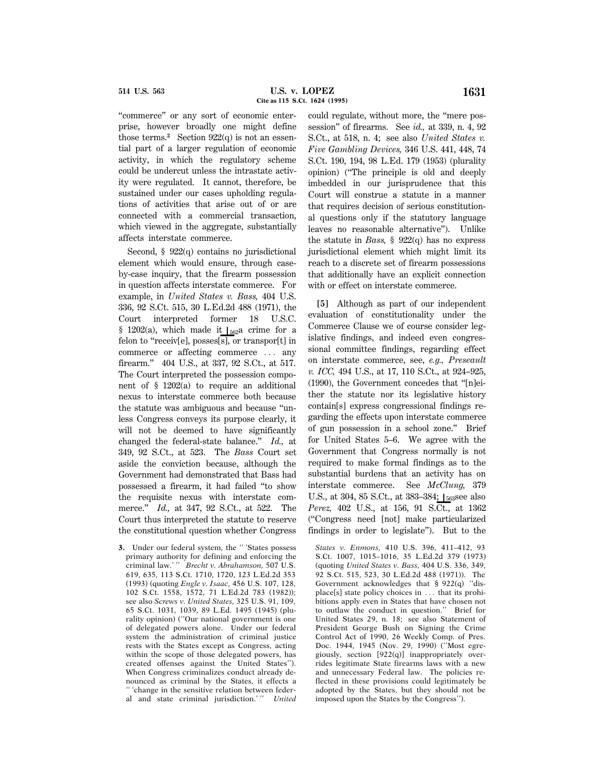''commerce'' or any sort of economic enterprise, however broadly one might define those terms.<sup>3</sup> Section  $922(q)$  is not an essential part of a larger regulation of economic activity, in which the regulatory scheme could be undercut unless the intrastate activity were regulated. It cannot, therefore, be sustained under our cases upholding regulations of activities that arise out of or are connected with a commercial transaction, which viewed in the aggregate, substantially affects interstate commerce.

Second, § 922(q) contains no jurisdictional element which would ensure, through caseby-case inquiry, that the firearm possession in question affects interstate commerce. For example, in *United States v. Bass,* 404 U.S. 336, 92 S.Ct. 515, 30 L.Ed.2d 488 (1971), the Court interpreted former 18 U.S.C. § 1202(a), which made it  $\vert_{562}$ a crime for a felon to "receiv[e], posses[s], or transpor[t] in commerce or affecting commerce ... any firearm.'' 404 U.S., at 337, 92 S.Ct., at 517. The Court interpreted the possession component of § 1202(a) to require an additional nexus to interstate commerce both because the statute was ambiguous and because ''unless Congress conveys its purpose clearly, it will not be deemed to have significantly changed the federal-state balance.'' *Id.,* at 349, 92 S.Ct., at 523. The *Bass* Court set aside the conviction because, although the Government had demonstrated that Bass had possessed a firearm, it had failed ''to show the requisite nexus with interstate commerce.'' *Id.,* at 347, 92 S.Ct., at 522. The Court thus interpreted the statute to reserve the constitutional question whether Congress

**3.** Under our federal system, the '' 'States possess primary authority for defining and enforcing the criminal law.' '' *Brecht v. Abrahamson,* 507 U.S. 619, 635, 113 S.Ct. 1710, 1720, 123 L.Ed.2d 353 (1993) (quoting *Engle v. Isaac,* 456 U.S. 107, 128, 102 S.Ct. 1558, 1572, 71 L.Ed.2d 783 (1982)); see also *Screws v. United States,* 325 U.S. 91, 109, 65 S.Ct. 1031, 1039, 89 L.Ed. 1495 (1945) (plurality opinion) (''Our national government is one of delegated powers alone. Under our federal system the administration of criminal justice rests with the States except as Congress, acting within the scope of those delegated powers, has created offenses against the United States''). When Congress criminalizes conduct already denounced as criminal by the States, it effects a '' 'change in the sensitive relation between federal and state criminal jurisdiction.' '' *United*

could regulate, without more, the ''mere possession'' of firearms. See *id.,* at 339, n. 4, 92 S.Ct., at 518, n. 4; see also *United States v. Five Gambling Devices,* 346 U.S. 441, 448, 74 S.Ct. 190, 194, 98 L.Ed. 179 (1953) (plurality opinion) (''The principle is old and deeply imbedded in our jurisprudence that this Court will construe a statute in a manner that requires decision of serious constitutional questions only if the statutory language leaves no reasonable alternative''). Unlike the statute in *Bass,* § 922(q) has no express jurisdictional element which might limit its reach to a discrete set of firearm possessions that additionally have an explicit connection with or effect on interstate commerce.

**[5]** Although as part of our independent evaluation of constitutionality under the Commerce Clause we of course consider legislative findings, and indeed even congressional committee findings, regarding effect on interstate commerce, see, *e.g., Preseault v. ICC,* 494 U.S., at 17, 110 S.Ct., at 924–925, (1990), the Government concedes that ''[n]either the statute nor its legislative history contain[s] express congressional findings regarding the effects upon interstate commerce of gun possession in a school zone.'' Brief for United States 5–6. We agree with the Government that Congress normally is not required to make formal findings as to the substantial burdens that an activity has on interstate commerce. See *McClung,* 379 U.S., at 304, 85 S.Ct., at 383–384;  $\mid_{563}$ see also *Perez,* 402 U.S., at 156, 91 S.Ct., at 1362 (''Congress need [not] make particularized findings in order to legislate''). But to the

*States v. Enmons,* 410 U.S. 396, 411–412, 93 S.Ct. 1007, 1015–1016, 35 L.Ed.2d 379 (1973) (quoting *United States v. Bass,* 404 U.S. 336, 349, 92 S.Ct. 515, 523, 30 L.Ed.2d 488 (1971)). The Government acknowledges that § 922(q) ''displace[s] state policy choices in  $\ldots$  that its prohibitions apply even in States that have chosen not to outlaw the conduct in question.'' Brief for United States 29, n. 18; see also Statement of President George Bush on Signing the Crime Control Act of 1990, 26 Weekly Comp. of Pres. Doc. 1944, 1945 (Nov. 29, 1990) (''Most egregiously, section [922(q)] inappropriately overrides legitimate State firearms laws with a new and unnecessary Federal law. The policies reflected in these provisions could legitimately be adopted by the States, but they should not be imposed upon the States by the Congress'').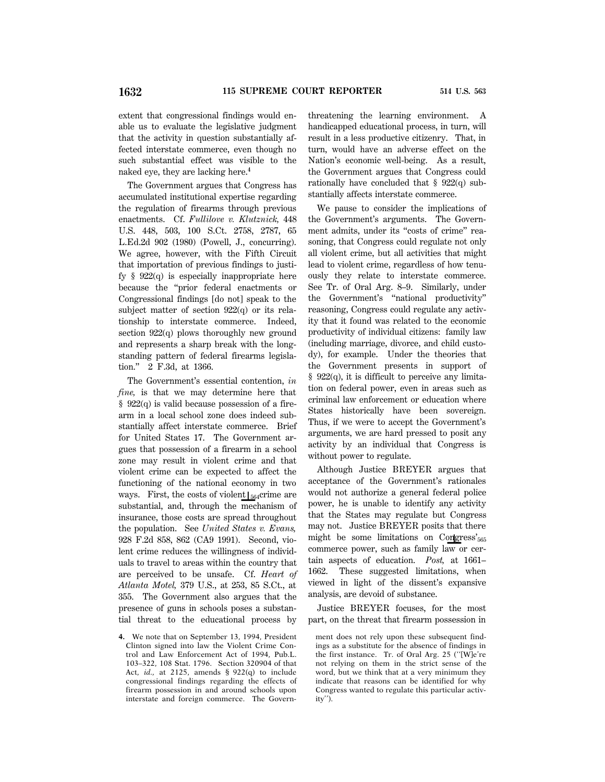extent that congressional findings would enable us to evaluate the legislative judgment that the activity in question substantially affected interstate commerce, even though no such substantial effect was visible to the naked eye, they are lacking here.**<sup>4</sup>**

The Government argues that Congress has accumulated institutional expertise regarding the regulation of firearms through previous enactments. Cf. *Fullilove v. Klutznick,* 448 U.S. 448, 503, 100 S.Ct. 2758, 2787, 65 L.Ed.2d 902 (1980) (Powell, J., concurring). We agree, however, with the Fifth Circuit that importation of previous findings to justify  $\S 922(q)$  is especially inappropriate here because the ''prior federal enactments or Congressional findings [do not] speak to the subject matter of section  $922(q)$  or its relationship to interstate commerce. Indeed, section 922(q) plows thoroughly new ground and represents a sharp break with the longstanding pattern of federal firearms legislation.'' 2 F.3d, at 1366.

The Government's essential contention, *in fine,* is that we may determine here that § 922(q) is valid because possession of a firearm in a local school zone does indeed substantially affect interstate commerce. Brief for United States 17. The Government argues that possession of a firearm in a school zone may result in violent crime and that violent crime can be expected to affect the functioning of the national economy in two ways. First, the costs of violent  $\vert_{564}$ crime are substantial, and, through the mechanism of insurance, those costs are spread throughout the population. See *United States v. Evans,* 928 F.2d 858, 862 (CA9 1991). Second, violent crime reduces the willingness of individuals to travel to areas within the country that are perceived to be unsafe. Cf. *Heart of Atlanta Motel,* 379 U.S., at 253, 85 S.Ct., at 355. The Government also argues that the presence of guns in schools poses a substantial threat to the educational process by

**4.** We note that on September 13, 1994, President Clinton signed into law the Violent Crime Control and Law Enforcement Act of 1994, Pub.L. 103–322, 108 Stat. 1796. Section 320904 of that Act, *id.,* at 2125, amends § 922(q) to include congressional findings regarding the effects of firearm possession in and around schools upon interstate and foreign commerce. The Govern-

threatening the learning environment. A handicapped educational process, in turn, will result in a less productive citizenry. That, in turn, would have an adverse effect on the Nation's economic well-being. As a result, the Government argues that Congress could rationally have concluded that  $\S$  922(q) substantially affects interstate commerce.

We pause to consider the implications of the Government's arguments. The Government admits, under its "costs of crime" reasoning, that Congress could regulate not only all violent crime, but all activities that might lead to violent crime, regardless of how tenuously they relate to interstate commerce. See Tr. of Oral Arg. 8–9. Similarly, under the Government's ''national productivity'' reasoning, Congress could regulate any activity that it found was related to the economic productivity of individual citizens: family law (including marriage, divorce, and child custody), for example. Under the theories that the Government presents in support of  $§$  922 $(q)$ , it is difficult to perceive any limitation on federal power, even in areas such as criminal law enforcement or education where States historically have been sovereign. Thus, if we were to accept the Government's arguments, we are hard pressed to posit any activity by an individual that Congress is without power to regulate.

Although Justice BREYER argues that acceptance of the Government's rationales would not authorize a general federal police power, he is unable to identify any activity that the States may regulate but Congress may not. Justice BREYER posits that there might be some limitations on Congress' $_{565}$ commerce power, such as family law or certain aspects of education. *Post,* at 1661– 1662. These suggested limitations, when viewed in light of the dissent's expansive analysis, are devoid of substance.

Justice BREYER focuses, for the most part, on the threat that firearm possession in

ment does not rely upon these subsequent findings as a substitute for the absence of findings in the first instance. Tr. of Oral Arg. 25 (''[W]e're not relying on them in the strict sense of the word, but we think that at a very minimum they indicate that reasons can be identified for why Congress wanted to regulate this particular activity'').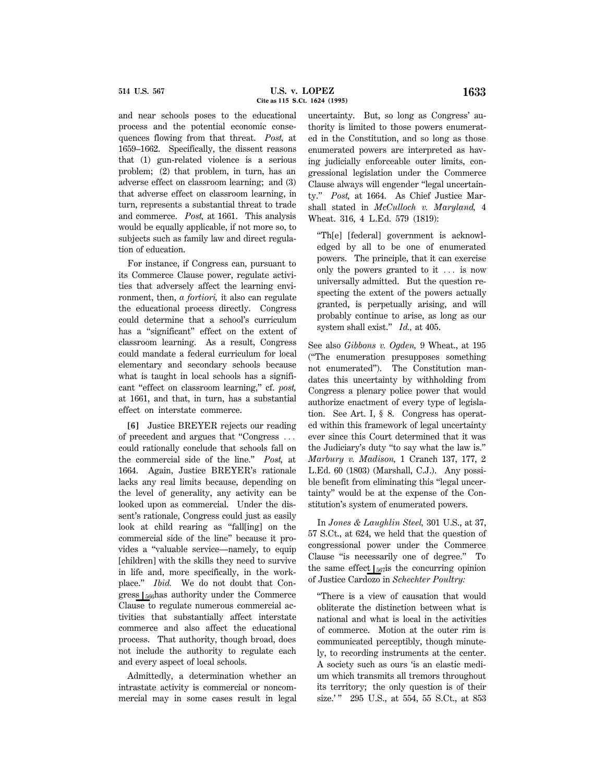and near schools poses to the educational process and the potential economic consequences flowing from that threat. *Post,* at 1659–1662. Specifically, the dissent reasons that (1) gun-related violence is a serious problem; (2) that problem, in turn, has an adverse effect on classroom learning; and (3) that adverse effect on classroom learning, in turn, represents a substantial threat to trade and commerce. *Post,* at 1661. This analysis would be equally applicable, if not more so, to subjects such as family law and direct regulation of education.

For instance, if Congress can, pursuant to its Commerce Clause power, regulate activities that adversely affect the learning environment, then, *a fortiori,* it also can regulate the educational process directly. Congress could determine that a school's curriculum has a ''significant'' effect on the extent of classroom learning. As a result, Congress could mandate a federal curriculum for local elementary and secondary schools because what is taught in local schools has a significant ''effect on classroom learning,'' cf. *post,* at 1661, and that, in turn, has a substantial effect on interstate commerce.

**[6]** Justice BREYER rejects our reading of precedent and argues that "Congress  $\ldots$ could rationally conclude that schools fall on the commercial side of the line.'' *Post,* at 1664. Again, Justice BREYER's rationale lacks any real limits because, depending on the level of generality, any activity can be looked upon as commercial. Under the dissent's rationale, Congress could just as easily look at child rearing as ''fall[ing] on the commercial side of the line'' because it provides a ''valuable service—namely, to equip [children] with the skills they need to survive in life and, more specifically, in the workplace.'' *Ibid.* We do not doubt that Con $gress$   $|566$ has authority under the Commerce Clause to regulate numerous commercial activities that substantially affect interstate commerce and also affect the educational process. That authority, though broad, does not include the authority to regulate each and every aspect of local schools.

Admittedly, a determination whether an intrastate activity is commercial or noncommercial may in some cases result in legal uncertainty. But, so long as Congress' authority is limited to those powers enumerated in the Constitution, and so long as those enumerated powers are interpreted as having judicially enforceable outer limits, congressional legislation under the Commerce Clause always will engender ''legal uncertainty.'' *Post,* at 1664. As Chief Justice Marshall stated in *McCulloch v. Maryland,* 4 Wheat. 316, 4 L.Ed. 579 (1819):

''Th[e] [federal] government is acknowledged by all to be one of enumerated powers. The principle, that it can exercise only the powers granted to it  $\ldots$  is now universally admitted. But the question respecting the extent of the powers actually granted, is perpetually arising, and will probably continue to arise, as long as our system shall exist.'' *Id.,* at 405.

See also *Gibbons v. Ogden,* 9 Wheat., at 195 (''The enumeration presupposes something not enumerated''). The Constitution mandates this uncertainty by withholding from Congress a plenary police power that would authorize enactment of every type of legislation. See Art. I, § 8. Congress has operated within this framework of legal uncertainty ever since this Court determined that it was the Judiciary's duty ''to say what the law is.'' *Marbury v. Madison,* 1 Cranch 137, 177, 2 L.Ed. 60 (1803) (Marshall, C.J.). Any possible benefit from eliminating this ''legal uncertainty'' would be at the expense of the Constitution's system of enumerated powers.

In *Jones & Laughlin Steel,* 301 U.S., at 37, 57 S.Ct., at 624, we held that the question of congressional power under the Commerce Clause ''is necessarily one of degree.'' To the same effect  $\int_{567}$ is the concurring opinion of Justice Cardozo in *Schechter Poultry:*

''There is a view of causation that would obliterate the distinction between what is national and what is local in the activities of commerce. Motion at the outer rim is communicated perceptibly, though minutely, to recording instruments at the center. A society such as ours 'is an elastic medium which transmits all tremors throughout its territory; the only question is of their size.'" 295 U.S., at 554, 55 S.Ct., at 853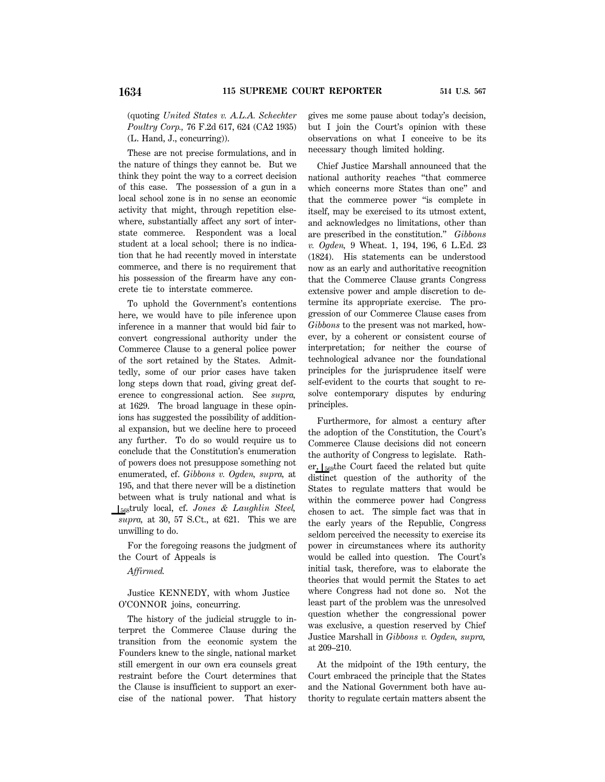These are not precise formulations, and in the nature of things they cannot be. But we think they point the way to a correct decision of this case. The possession of a gun in a local school zone is in no sense an economic activity that might, through repetition elsewhere, substantially affect any sort of interstate commerce. Respondent was a local student at a local school; there is no indication that he had recently moved in interstate commerce, and there is no requirement that his possession of the firearm have any concrete tie to interstate commerce.

To uphold the Government's contentions here, we would have to pile inference upon inference in a manner that would bid fair to convert congressional authority under the Commerce Clause to a general police power of the sort retained by the States. Admittedly, some of our prior cases have taken long steps down that road, giving great deference to congressional action. See *supra,* at 1629. The broad language in these opinions has suggested the possibility of additional expansion, but we decline here to proceed any further. To do so would require us to conclude that the Constitution's enumeration of powers does not presuppose something not enumerated, cf. *Gibbons v. Ogden, supra,* at 195, and that there never will be a distinction between what is truly national and what is S568truly local, cf. *Jones & Laughlin Steel, supra,* at 30, 57 S.Ct., at 621. This we are unwilling to do.

For the foregoing reasons the judgment of the Court of Appeals is

*Affirmed.*

Justice KENNEDY, with whom Justice O'CONNOR joins, concurring.

The history of the judicial struggle to interpret the Commerce Clause during the transition from the economic system the Founders knew to the single, national market still emergent in our own era counsels great restraint before the Court determines that the Clause is insufficient to support an exercise of the national power. That history

gives me some pause about today's decision, but I join the Court's opinion with these observations on what I conceive to be its necessary though limited holding.

Chief Justice Marshall announced that the national authority reaches ''that commerce which concerns more States than one'' and that the commerce power ''is complete in itself, may be exercised to its utmost extent, and acknowledges no limitations, other than are prescribed in the constitution.'' *Gibbons v. Ogden,* 9 Wheat. 1, 194, 196, 6 L.Ed. 23 (1824). His statements can be understood now as an early and authoritative recognition that the Commerce Clause grants Congress extensive power and ample discretion to determine its appropriate exercise. The progression of our Commerce Clause cases from *Gibbons* to the present was not marked, however, by a coherent or consistent course of interpretation; for neither the course of technological advance nor the foundational principles for the jurisprudence itself were self-evident to the courts that sought to resolve contemporary disputes by enduring principles.

Furthermore, for almost a century after the adoption of the Constitution, the Court's Commerce Clause decisions did not concern the authority of Congress to legislate. Rather,  $\left| \cdot \right|$ <sub>569</sub>the Court faced the related but quite distinct question of the authority of the States to regulate matters that would be within the commerce power had Congress chosen to act. The simple fact was that in the early years of the Republic, Congress seldom perceived the necessity to exercise its power in circumstances where its authority would be called into question. The Court's initial task, therefore, was to elaborate the theories that would permit the States to act where Congress had not done so. Not the least part of the problem was the unresolved question whether the congressional power was exclusive, a question reserved by Chief Justice Marshall in *Gibbons v. Ogden, supra,* at 209–210.

At the midpoint of the 19th century, the Court embraced the principle that the States and the National Government both have authority to regulate certain matters absent the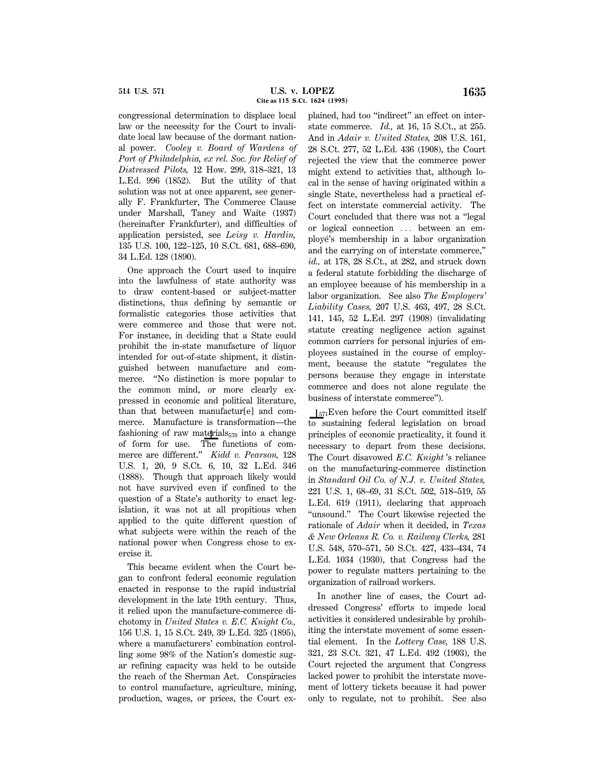congressional determination to displace local law or the necessity for the Court to invalidate local law because of the dormant national power. *Cooley v. Board of Wardens of Port of Philadelphia, ex rel. Soc. for Relief of Distressed Pilots,* 12 How. 299, 318–321, 13 L.Ed. 996 (1852). But the utility of that solution was not at once apparent, see generally F. Frankfurter, The Commerce Clause under Marshall, Taney and Waite (1937) (hereinafter Frankfurter), and difficulties of application persisted, see *Leisy v. Hardin,* 135 U.S. 100, 122–125, 10 S.Ct. 681, 688–690, 34 L.Ed. 128 (1890).

One approach the Court used to inquire into the lawfulness of state authority was to draw content-based or subject-matter distinctions, thus defining by semantic or formalistic categories those activities that were commerce and those that were not. For instance, in deciding that a State could prohibit the in-state manufacture of liquor intended for out-of-state shipment, it distinguished between manufacture and commerce. ''No distinction is more popular to the common mind, or more clearly expressed in economic and political literature, than that between manufactur[e] and commerce. Manufacture is transformation—the fashioning of raw materials $_{570}$  into a change of form for use. The functions of commerce are different.'' *Kidd v. Pearson,* 128 U.S. 1, 20, 9 S.Ct. 6, 10, 32 L.Ed. 346 (1888). Though that approach likely would not have survived even if confined to the question of a State's authority to enact legislation, it was not at all propitious when applied to the quite different question of what subjects were within the reach of the national power when Congress chose to exercise it.

This became evident when the Court began to confront federal economic regulation enacted in response to the rapid industrial development in the late 19th century. Thus, it relied upon the manufacture-commerce dichotomy in *United States v. E.C. Knight Co.,* 156 U.S. 1, 15 S.Ct. 249, 39 L.Ed. 325 (1895), where a manufacturers' combination controlling some 98% of the Nation's domestic sugar refining capacity was held to be outside the reach of the Sherman Act. Conspiracies to control manufacture, agriculture, mining, production, wages, or prices, the Court ex-

plained, had too ''indirect'' an effect on interstate commerce. *Id.,* at 16, 15 S.Ct., at 255. And in *Adair v. United States,* 208 U.S. 161, 28 S.Ct. 277, 52 L.Ed. 436 (1908), the Court rejected the view that the commerce power might extend to activities that, although local in the sense of having originated within a single State, nevertheless had a practical effect on interstate commercial activity. The Court concluded that there was not a ''legal or logical connection ... between an employé's membership in a labor organization and the carrying on of interstate commerce,'' *id.,* at 178, 28 S.Ct., at 282, and struck down a federal statute forbidding the discharge of an employee because of his membership in a labor organization. See also *The Employers' Liability Cases,* 207 U.S. 463, 497, 28 S.Ct. 141, 145, 52 L.Ed. 297 (1908) (invalidating statute creating negligence action against common carriers for personal injuries of employees sustained in the course of employment, because the statute ''regulates the persons because they engage in interstate commerce and does not alone regulate the business of interstate commerce'').

 $\frac{1}{571}$ Even before the Court committed itself to sustaining federal legislation on broad principles of economic practicality, it found it necessary to depart from these decisions. The Court disavowed *E.C. Knight* 's reliance on the manufacturing-commerce distinction in *Standard Oil Co. of N.J. v. United States,* 221 U.S. 1, 68–69, 31 S.Ct. 502, 518–519, 55 L.Ed. 619 (1911), declaring that approach ''unsound.'' The Court likewise rejected the rationale of *Adair* when it decided, in *Texas & New Orleans R. Co. v. Railway Clerks,* 281 U.S. 548, 570–571, 50 S.Ct. 427, 433–434, 74 L.Ed. 1034 (1930), that Congress had the power to regulate matters pertaining to the organization of railroad workers.

In another line of cases, the Court addressed Congress' efforts to impede local activities it considered undesirable by prohibiting the interstate movement of some essential element. In the *Lottery Case,* 188 U.S. 321, 23 S.Ct. 321, 47 L.Ed. 492 (1903), the Court rejected the argument that Congress lacked power to prohibit the interstate movement of lottery tickets because it had power only to regulate, not to prohibit. See also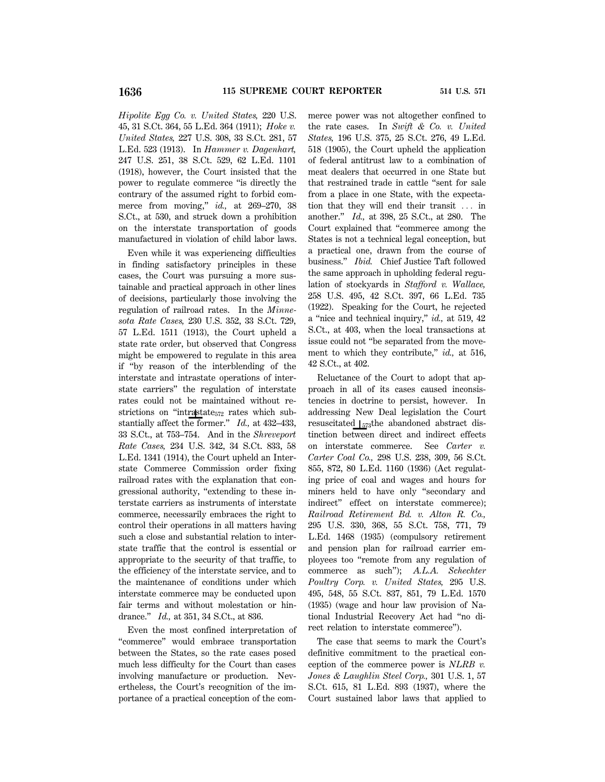*Hipolite Egg Co. v. United States,* 220 U.S. 45, 31 S.Ct. 364, 55 L.Ed. 364 (1911); *Hoke v. United States,* 227 U.S. 308, 33 S.Ct. 281, 57 L.Ed. 523 (1913). In *Hammer v. Dagenhart,* 247 U.S. 251, 38 S.Ct. 529, 62 L.Ed. 1101 (1918), however, the Court insisted that the power to regulate commerce ''is directly the contrary of the assumed right to forbid commerce from moving,'' *id.,* at 269–270, 38 S.Ct., at 530, and struck down a prohibition on the interstate transportation of goods manufactured in violation of child labor laws.

Even while it was experiencing difficulties in finding satisfactory principles in these cases, the Court was pursuing a more sustainable and practical approach in other lines of decisions, particularly those involving the regulation of railroad rates. In the *Minnesota Rate Cases,* 230 U.S. 352, 33 S.Ct. 729, 57 L.Ed. 1511 (1913), the Court upheld a state rate order, but observed that Congress might be empowered to regulate in this area if ''by reason of the interblending of the interstate and intrastate operations of interstate carriers'' the regulation of interstate rates could not be maintained without restrictions on "intrastate $_{572}$  rates which substantially affect the former.'' *Id.,* at 432–433, 33 S.Ct., at 753–754. And in the *Shreveport Rate Cases,* 234 U.S. 342, 34 S.Ct. 833, 58 L.Ed. 1341 (1914), the Court upheld an Interstate Commerce Commission order fixing railroad rates with the explanation that congressional authority, ''extending to these interstate carriers as instruments of interstate commerce, necessarily embraces the right to control their operations in all matters having such a close and substantial relation to interstate traffic that the control is essential or appropriate to the security of that traffic, to the efficiency of the interstate service, and to the maintenance of conditions under which interstate commerce may be conducted upon fair terms and without molestation or hindrance.'' *Id.,* at 351, 34 S.Ct., at 836.

Even the most confined interpretation of ''commerce'' would embrace transportation between the States, so the rate cases posed much less difficulty for the Court than cases involving manufacture or production. Nevertheless, the Court's recognition of the importance of a practical conception of the commerce power was not altogether confined to the rate cases. In *Swift & Co. v. United States,* 196 U.S. 375, 25 S.Ct. 276, 49 L.Ed. 518 (1905), the Court upheld the application of federal antitrust law to a combination of meat dealers that occurred in one State but that restrained trade in cattle ''sent for sale from a place in one State, with the expectation that they will end their transit  $\ldots$  in another.'' *Id.,* at 398, 25 S.Ct., at 280. The Court explained that ''commerce among the States is not a technical legal conception, but a practical one, drawn from the course of business.'' *Ibid.* Chief Justice Taft followed the same approach in upholding federal regulation of stockyards in *Stafford v. Wallace,* 258 U.S. 495, 42 S.Ct. 397, 66 L.Ed. 735 (1922). Speaking for the Court, he rejected a ''nice and technical inquiry,'' *id.,* at 519, 42 S.Ct., at 403, when the local transactions at issue could not ''be separated from the movement to which they contribute," *id.*, at 516, 42 S.Ct., at 402.

Reluctance of the Court to adopt that approach in all of its cases caused inconsistencies in doctrine to persist, however. In addressing New Deal legislation the Court resuscitated  $\frac{1}{573}$ the abandoned abstract distinction between direct and indirect effects on interstate commerce. See *Carter v. Carter Coal Co.,* 298 U.S. 238, 309, 56 S.Ct. 855, 872, 80 L.Ed. 1160 (1936) (Act regulating price of coal and wages and hours for miners held to have only ''secondary and indirect'' effect on interstate commerce); *Railroad Retirement Bd. v. Alton R. Co.,* 295 U.S. 330, 368, 55 S.Ct. 758, 771, 79 L.Ed. 1468 (1935) (compulsory retirement and pension plan for railroad carrier employees too ''remote from any regulation of commerce as such''); *A.L.A. Schechter Poultry Corp. v. United States,* 295 U.S. 495, 548, 55 S.Ct. 837, 851, 79 L.Ed. 1570 (1935) (wage and hour law provision of National Industrial Recovery Act had ''no direct relation to interstate commerce'').

The case that seems to mark the Court's definitive commitment to the practical conception of the commerce power is *NLRB v. Jones & Laughlin Steel Corp.,* 301 U.S. 1, 57 S.Ct. 615, 81 L.Ed. 893 (1937), where the Court sustained labor laws that applied to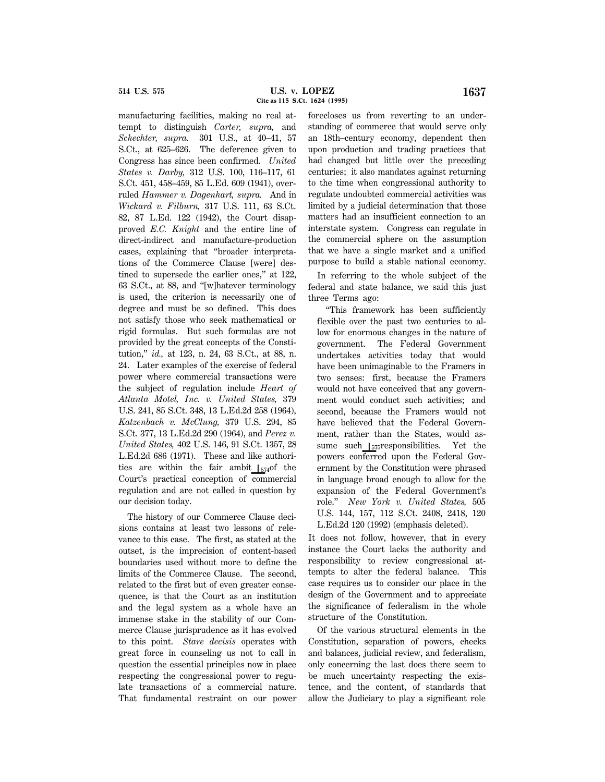manufacturing facilities, making no real attempt to distinguish *Carter, supra,* and *Schechter, supra.* 301 U.S., at 40–41, 57 S.Ct., at 625–626. The deference given to Congress has since been confirmed. *United States v. Darby,* 312 U.S. 100, 116–117, 61 S.Ct. 451, 458–459, 85 L.Ed. 609 (1941), overruled *Hammer v. Dagenhart, supra.* And in *Wickard v. Filburn,* 317 U.S. 111, 63 S.Ct. 82, 87 L.Ed. 122 (1942), the Court disapproved *E.C. Knight* and the entire line of direct-indirect and manufacture-production cases, explaining that ''broader interpretations of the Commerce Clause [were] destined to supersede the earlier ones," at 122, 63 S.Ct., at 88, and ''[w]hatever terminology is used, the criterion is necessarily one of degree and must be so defined. This does not satisfy those who seek mathematical or rigid formulas. But such formulas are not provided by the great concepts of the Constitution,'' *id.,* at 123, n. 24, 63 S.Ct., at 88, n. 24. Later examples of the exercise of federal power where commercial transactions were the subject of regulation include *Heart of Atlanta Motel, Inc. v. United States,* 379 U.S. 241, 85 S.Ct. 348, 13 L.Ed.2d 258 (1964), *Katzenbach v. McClung,* 379 U.S. 294, 85 S.Ct. 377, 13 L.Ed.2d 290 (1964), and *Perez v. United States,* 402 U.S. 146, 91 S.Ct. 1357, 28 L.Ed.2d 686 (1971). These and like authorities are within the fair ambit  $\int_{574}$ of the Court's practical conception of commercial regulation and are not called in question by our decision today.

The history of our Commerce Clause decisions contains at least two lessons of relevance to this case. The first, as stated at the outset, is the imprecision of content-based boundaries used without more to define the limits of the Commerce Clause. The second, related to the first but of even greater consequence, is that the Court as an institution and the legal system as a whole have an immense stake in the stability of our Commerce Clause jurisprudence as it has evolved to this point. *Stare decisis* operates with great force in counseling us not to call in question the essential principles now in place respecting the congressional power to regulate transactions of a commercial nature. That fundamental restraint on our power forecloses us from reverting to an understanding of commerce that would serve only an 18th–century economy, dependent then upon production and trading practices that had changed but little over the preceding centuries; it also mandates against returning to the time when congressional authority to regulate undoubted commercial activities was limited by a judicial determination that those matters had an insufficient connection to an interstate system. Congress can regulate in the commercial sphere on the assumption that we have a single market and a unified purpose to build a stable national economy.

In referring to the whole subject of the federal and state balance, we said this just three Terms ago:

''This framework has been sufficiently flexible over the past two centuries to allow for enormous changes in the nature of government. The Federal Government undertakes activities today that would have been unimaginable to the Framers in two senses: first, because the Framers would not have conceived that any government would conduct such activities; and second, because the Framers would not have believed that the Federal Government, rather than the States, would assume such  $\int_{575}$ responsibilities. Yet the powers conferred upon the Federal Government by the Constitution were phrased in language broad enough to allow for the expansion of the Federal Government's role.'' *New York v. United States,* 505 U.S. 144, 157, 112 S.Ct. 2408, 2418, 120 L.Ed.2d 120 (1992) (emphasis deleted).

It does not follow, however, that in every instance the Court lacks the authority and responsibility to review congressional attempts to alter the federal balance. This case requires us to consider our place in the design of the Government and to appreciate the significance of federalism in the whole structure of the Constitution.

Of the various structural elements in the Constitution, separation of powers, checks and balances, judicial review, and federalism, only concerning the last does there seem to be much uncertainty respecting the existence, and the content, of standards that allow the Judiciary to play a significant role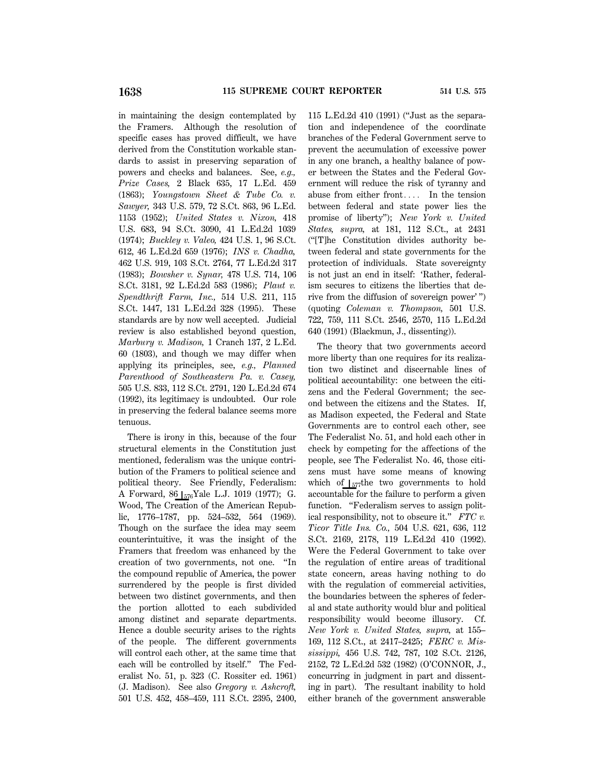in maintaining the design contemplated by the Framers. Although the resolution of specific cases has proved difficult, we have derived from the Constitution workable standards to assist in preserving separation of powers and checks and balances. See, *e.g., Prize Cases,* 2 Black 635, 17 L.Ed. 459 (1863); *Youngstown Sheet & Tube Co. v. Sawyer,* 343 U.S. 579, 72 S.Ct. 863, 96 L.Ed. 1153 (1952); *United States v. Nixon,* 418 U.S. 683, 94 S.Ct. 3090, 41 L.Ed.2d 1039 (1974); *Buckley v. Valeo,* 424 U.S. 1, 96 S.Ct. 612, 46 L.Ed.2d 659 (1976); *INS v. Chadha,* 462 U.S. 919, 103 S.Ct. 2764, 77 L.Ed.2d 317 (1983); *Bowsher v. Synar,* 478 U.S. 714, 106 S.Ct. 3181, 92 L.Ed.2d 583 (1986); *Plaut v. Spendthrift Farm, Inc.,* 514 U.S. 211, 115 S.Ct. 1447, 131 L.Ed.2d 328 (1995). These standards are by now well accepted. Judicial review is also established beyond question, *Marbury v. Madison,* 1 Cranch 137, 2 L.Ed. 60 (1803), and though we may differ when applying its principles, see, *e.g., Planned Parenthood of Southeastern Pa. v. Casey,* 505 U.S. 833, 112 S.Ct. 2791, 120 L.Ed.2d 674 (1992), its legitimacy is undoubted. Our role in preserving the federal balance seems more tenuous.

There is irony in this, because of the four structural elements in the Constitution just mentioned, federalism was the unique contribution of the Framers to political science and political theory. See Friendly, Federalism: A Forward, 86 |  $_{576}$ Yale L.J. 1019 (1977); G. Wood, The Creation of the American Republic, 1776–1787, pp. 524–532, 564 (1969). Though on the surface the idea may seem counterintuitive, it was the insight of the Framers that freedom was enhanced by the creation of two governments, not one. ''In the compound republic of America, the power surrendered by the people is first divided between two distinct governments, and then the portion allotted to each subdivided among distinct and separate departments. Hence a double security arises to the rights of the people. The different governments will control each other, at the same time that each will be controlled by itself.'' The Federalist No. 51, p. 323 (C. Rossiter ed. 1961) (J. Madison). See also *Gregory v. Ashcroft,* 501 U.S. 452, 458–459, 111 S.Ct. 2395, 2400,

115 L.Ed.2d 410 (1991) (''Just as the separation and independence of the coordinate branches of the Federal Government serve to prevent the accumulation of excessive power in any one branch, a healthy balance of power between the States and the Federal Government will reduce the risk of tyranny and abuse from either front.... In the tension between federal and state power lies the promise of liberty''); *New York v. United States, supra,* at 181, 112 S.Ct., at 2431 (''[T]he Constitution divides authority between federal and state governments for the protection of individuals. State sovereignty is not just an end in itself: 'Rather, federalism secures to citizens the liberties that derive from the diffusion of sovereign power' '') (quoting *Coleman v. Thompson,* 501 U.S. 722, 759, 111 S.Ct. 2546, 2570, 115 L.Ed.2d 640 (1991) (Blackmun, J., dissenting)).

The theory that two governments accord more liberty than one requires for its realization two distinct and discernable lines of political accountability: one between the citizens and the Federal Government; the second between the citizens and the States. If, as Madison expected, the Federal and State Governments are to control each other, see The Federalist No. 51, and hold each other in check by competing for the affections of the people, see The Federalist No. 46, those citizens must have some means of knowing which of  $\int_{577}$ the two governments to hold accountable for the failure to perform a given function. ''Federalism serves to assign political responsibility, not to obscure it.'' *FTC v. Ticor Title Ins. Co.,* 504 U.S. 621, 636, 112 S.Ct. 2169, 2178, 119 L.Ed.2d 410 (1992). Were the Federal Government to take over the regulation of entire areas of traditional state concern, areas having nothing to do with the regulation of commercial activities, the boundaries between the spheres of federal and state authority would blur and political responsibility would become illusory. Cf. *New York v. United States, supra,* at 155– 169, 112 S.Ct., at 2417–2425; *FERC v. Mississippi,* 456 U.S. 742, 787, 102 S.Ct. 2126, 2152, 72 L.Ed.2d 532 (1982) (O'CONNOR, J., concurring in judgment in part and dissenting in part). The resultant inability to hold either branch of the government answerable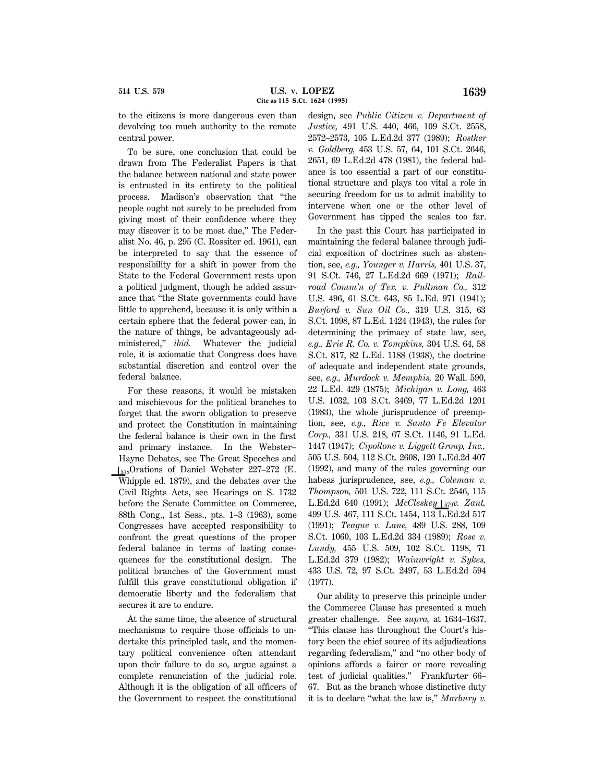to the citizens is more dangerous even than devolving too much authority to the remote central power.

To be sure, one conclusion that could be drawn from The Federalist Papers is that the balance between national and state power is entrusted in its entirety to the political process. Madison's observation that ''the people ought not surely to be precluded from giving most of their confidence where they may discover it to be most due,'' The Federalist No. 46, p. 295 (C. Rossiter ed. 1961), can be interpreted to say that the essence of responsibility for a shift in power from the State to the Federal Government rests upon a political judgment, though he added assurance that ''the State governments could have little to apprehend, because it is only within a certain sphere that the federal power can, in the nature of things, be advantageously administered,'' *ibid.* Whatever the judicial role, it is axiomatic that Congress does have substantial discretion and control over the federal balance.

For these reasons, it would be mistaken and mischievous for the political branches to forget that the sworn obligation to preserve and protect the Constitution in maintaining the federal balance is their own in the first and primary instance. In the Webster– Hayne Debates, see The Great Speeches and  $1578$ Orations of Daniel Webster 227–272 (E. Whipple ed. 1879), and the debates over the Civil Rights Acts, see Hearings on S. 1732 before the Senate Committee on Commerce, 88th Cong., 1st Sess., pts. 1–3 (1963), some Congresses have accepted responsibility to confront the great questions of the proper federal balance in terms of lasting consequences for the constitutional design. The political branches of the Government must fulfill this grave constitutional obligation if democratic liberty and the federalism that secures it are to endure.

At the same time, the absence of structural mechanisms to require those officials to undertake this principled task, and the momentary political convenience often attendant upon their failure to do so, argue against a complete renunciation of the judicial role. Although it is the obligation of all officers of the Government to respect the constitutional

design, see *Public Citizen v. Department of Justice,* 491 U.S. 440, 466, 109 S.Ct. 2558, 2572–2573, 105 L.Ed.2d 377 (1989); *Rostker v. Goldberg,* 453 U.S. 57, 64, 101 S.Ct. 2646, 2651, 69 L.Ed.2d 478 (1981), the federal balance is too essential a part of our constitutional structure and plays too vital a role in securing freedom for us to admit inability to intervene when one or the other level of Government has tipped the scales too far.

In the past this Court has participated in maintaining the federal balance through judicial exposition of doctrines such as abstention, see, *e.g., Younger v. Harris,* 401 U.S. 37, 91 S.Ct. 746, 27 L.Ed.2d 669 (1971); *Railroad Comm'n of Tex. v. Pullman Co.,* 312 U.S. 496, 61 S.Ct. 643, 85 L.Ed. 971 (1941); *Burford v. Sun Oil Co.,* 319 U.S. 315, 63 S.Ct. 1098, 87 L.Ed. 1424 (1943), the rules for determining the primacy of state law, see, *e.g., Erie R. Co. v. Tompkins,* 304 U.S. 64, 58 S.Ct. 817, 82 L.Ed. 1188 (1938), the doctrine of adequate and independent state grounds, see, *e.g., Murdock v. Memphis,* 20 Wall. 590, 22 L.Ed. 429 (1875); *Michigan v. Long,* 463 U.S. 1032, 103 S.Ct. 3469, 77 L.Ed.2d 1201 (1983), the whole jurisprudence of preemption, see, *e.g., Rice v. Santa Fe Elevator Corp.,* 331 U.S. 218, 67 S.Ct. 1146, 91 L.Ed. 1447 (1947); *Cipollone v. Liggett Group, Inc.,* 505 U.S. 504, 112 S.Ct. 2608, 120 L.Ed.2d 407 (1992), and many of the rules governing our habeas jurisprudence, see, *e.g., Coleman v. Thompson,* 501 U.S. 722, 111 S.Ct. 2546, 115 L.Ed.2d 640 (1991); *McCleskey* <sub>1579</sub>*v. Zant*, 499 U.S. 467, 111 S.Ct. 1454, 113 L.Ed.2d 517 (1991); *Teague v. Lane,* 489 U.S. 288, 109 S.Ct. 1060, 103 L.Ed.2d 334 (1989); *Rose v. Lundy,* 455 U.S. 509, 102 S.Ct. 1198, 71 L.Ed.2d 379 (1982); *Wainwright v. Sykes,* 433 U.S. 72, 97 S.Ct. 2497, 53 L.Ed.2d 594 (1977).

Our ability to preserve this principle under the Commerce Clause has presented a much greater challenge. See *supra,* at 1634–1637. ''This clause has throughout the Court's history been the chief source of its adjudications regarding federalism,'' and ''no other body of opinions affords a fairer or more revealing test of judicial qualities.'' Frankfurter 66– 67. But as the branch whose distinctive duty it is to declare ''what the law is,'' *Marbury v.*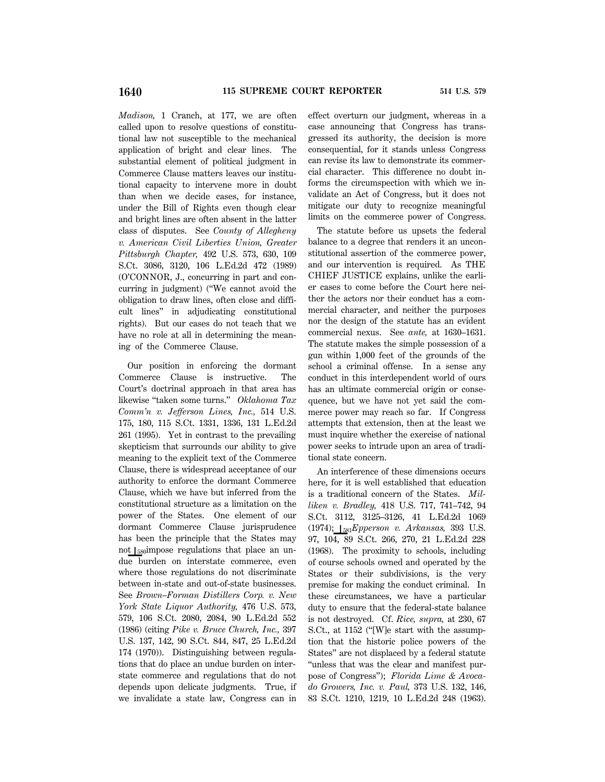*Madison,* 1 Cranch, at 177, we are often called upon to resolve questions of constitutional law not susceptible to the mechanical application of bright and clear lines. The substantial element of political judgment in Commerce Clause matters leaves our institutional capacity to intervene more in doubt than when we decide cases, for instance, under the Bill of Rights even though clear and bright lines are often absent in the latter class of disputes. See *County of Allegheny v. American Civil Liberties Union, Greater Pittsburgh Chapter,* 492 U.S. 573, 630, 109 S.Ct. 3086, 3120, 106 L.Ed.2d 472 (1989) (O'CONNOR, J., concurring in part and concurring in judgment) (''We cannot avoid the obligation to draw lines, often close and difficult lines'' in adjudicating constitutional rights). But our cases do not teach that we have no role at all in determining the meaning of the Commerce Clause.

Our position in enforcing the dormant Commerce Clause is instructive. The Court's doctrinal approach in that area has likewise ''taken some turns.'' *Oklahoma Tax Comm'n v. Jefferson Lines, Inc.,* 514 U.S. 175, 180, 115 S.Ct. 1331, 1336, 131 L.Ed.2d 261 (1995). Yet in contrast to the prevailing skepticism that surrounds our ability to give meaning to the explicit text of the Commerce Clause, there is widespread acceptance of our authority to enforce the dormant Commerce Clause, which we have but inferred from the constitutional structure as a limitation on the power of the States. One element of our dormant Commerce Clause jurisprudence has been the principle that the States may not  $\int_{580}$  impose regulations that place an undue burden on interstate commerce, even where those regulations do not discriminate between in-state and out-of-state businesses. See *Brown–Forman Distillers Corp. v. New York State Liquor Authority,* 476 U.S. 573, 579, 106 S.Ct. 2080, 2084, 90 L.Ed.2d 552 (1986) (citing *Pike v. Bruce Church, Inc.,* 397 U.S. 137, 142, 90 S.Ct. 844, 847, 25 L.Ed.2d 174 (1970)). Distinguishing between regulations that do place an undue burden on interstate commerce and regulations that do not depends upon delicate judgments. True, if we invalidate a state law, Congress can in effect overturn our judgment, whereas in a case announcing that Congress has transgressed its authority, the decision is more consequential, for it stands unless Congress can revise its law to demonstrate its commercial character. This difference no doubt informs the circumspection with which we invalidate an Act of Congress, but it does not mitigate our duty to recognize meaningful limits on the commerce power of Congress.

The statute before us upsets the federal balance to a degree that renders it an unconstitutional assertion of the commerce power, and our intervention is required. As THE CHIEF JUSTICE explains, unlike the earlier cases to come before the Court here neither the actors nor their conduct has a commercial character, and neither the purposes nor the design of the statute has an evident commercial nexus. See *ante,* at 1630–1631. The statute makes the simple possession of a gun within 1,000 feet of the grounds of the school a criminal offense. In a sense any conduct in this interdependent world of ours has an ultimate commercial origin or consequence, but we have not yet said the commerce power may reach so far. If Congress attempts that extension, then at the least we must inquire whether the exercise of national power seeks to intrude upon an area of traditional state concern.

An interference of these dimensions occurs here, for it is well established that education is a traditional concern of the States. *Milliken v. Bradley,* 418 U.S. 717, 741–742, 94 S.Ct. 3112, 3125–3126, 41 L.Ed.2d 1069 (1974);  $I_{581}Epperson$  *v. Arkansas*, 393 U.S. 97, 104, 89 S.Ct. 266, 270, 21 L.Ed.2d 228 (1968). The proximity to schools, including of course schools owned and operated by the States or their subdivisions, is the very premise for making the conduct criminal. In these circumstances, we have a particular duty to ensure that the federal-state balance is not destroyed. Cf. *Rice, supra,* at 230, 67 S.Ct., at 1152 (''[W]e start with the assumption that the historic police powers of the States'' are not displaced by a federal statute ''unless that was the clear and manifest purpose of Congress''); *Florida Lime & Avocado Growers, Inc. v. Paul,* 373 U.S. 132, 146, 83 S.Ct. 1210, 1219, 10 L.Ed.2d 248 (1963).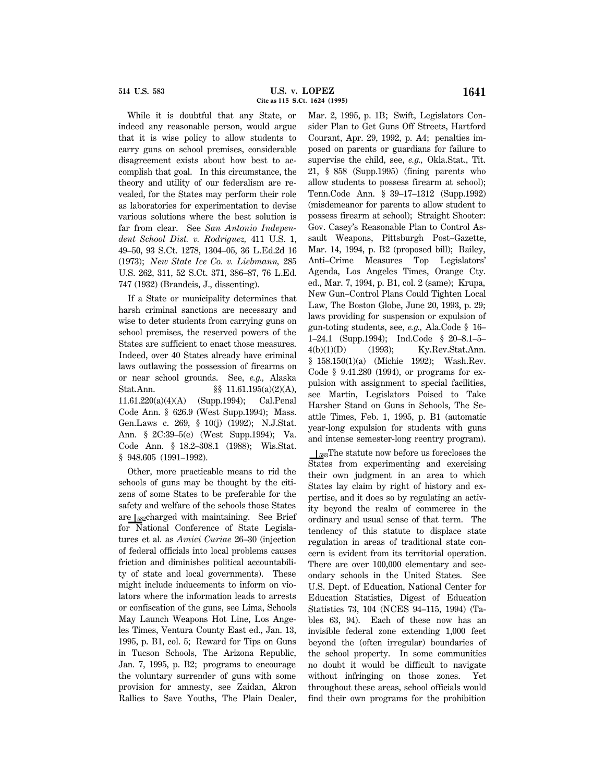While it is doubtful that any State, or indeed any reasonable person, would argue that it is wise policy to allow students to carry guns on school premises, considerable disagreement exists about how best to accomplish that goal. In this circumstance, the theory and utility of our federalism are revealed, for the States may perform their role as laboratories for experimentation to devise various solutions where the best solution is far from clear. See *San Antonio Independent School Dist. v. Rodriguez,* 411 U.S. 1, 49–50, 93 S.Ct. 1278, 1304–05, 36 L.Ed.2d 16 (1973); *New State Ice Co. v. Liebmann,* 285 U.S. 262, 311, 52 S.Ct. 371, 386–87, 76 L.Ed. 747 (1932) (Brandeis, J., dissenting).

If a State or municipality determines that harsh criminal sanctions are necessary and wise to deter students from carrying guns on school premises, the reserved powers of the States are sufficient to enact those measures. Indeed, over 40 States already have criminal laws outlawing the possession of firearms on or near school grounds. See, *e.g.,* Alaska Stat.Ann. §§ 11.61.195(a)(2)(A), 11.61.220(a)(4)(A) (Supp.1994); Cal.Penal Code Ann. § 626.9 (West Supp.1994); Mass. Gen.Laws c. 269, § 10(j) (1992); N.J.Stat. Ann. § 2C:39–5(e) (West Supp.1994); Va. Code Ann. § 18.2–308.1 (1988); Wis.Stat. § 948.605 (1991–1992).

Other, more practicable means to rid the schools of guns may be thought by the citizens of some States to be preferable for the safety and welfare of the schools those States are  $\int_{582}$ charged with maintaining. See Brief for National Conference of State Legislatures et al. as *Amici Curiae* 26–30 (injection of federal officials into local problems causes friction and diminishes political accountability of state and local governments). These might include inducements to inform on violators where the information leads to arrests or confiscation of the guns, see Lima, Schools May Launch Weapons Hot Line, Los Angeles Times, Ventura County East ed., Jan. 13, 1995, p. B1, col. 5; Reward for Tips on Guns in Tucson Schools, The Arizona Republic, Jan. 7, 1995, p. B2; programs to encourage the voluntary surrender of guns with some provision for amnesty, see Zaidan, Akron Rallies to Save Youths, The Plain Dealer, Mar. 2, 1995, p. 1B; Swift, Legislators Consider Plan to Get Guns Off Streets, Hartford Courant, Apr. 29, 1992, p. A4; penalties imposed on parents or guardians for failure to supervise the child, see, *e.g.,* Okla.Stat., Tit. 21, § 858 (Supp.1995) (fining parents who allow students to possess firearm at school); Tenn.Code Ann. § 39–17–1312 (Supp.1992) (misdemeanor for parents to allow student to possess firearm at school); Straight Shooter: Gov. Casey's Reasonable Plan to Control Assault Weapons, Pittsburgh Post–Gazette, Mar. 14, 1994, p. B2 (proposed bill); Bailey, Anti–Crime Measures Top Legislators' Agenda, Los Angeles Times, Orange Cty. ed., Mar. 7, 1994, p. B1, col. 2 (same); Krupa, New Gun–Control Plans Could Tighten Local Law, The Boston Globe, June 20, 1993, p. 29; laws providing for suspension or expulsion of gun-toting students, see, *e.g.,* Ala.Code § 16– 1–24.1 (Supp.1994); Ind.Code § 20–8.1–5– 4(b)(1)(D) (1993); Ky.Rev.Stat.Ann. § 158.150(1)(a) (Michie 1992); Wash.Rev. Code § 9.41.280 (1994), or programs for expulsion with assignment to special facilities, see Martin, Legislators Poised to Take Harsher Stand on Guns in Schools, The Seattle Times, Feb. 1, 1995, p. B1 (automatic year-long expulsion for students with guns and intense semester-long reentry program).

 $\mathcal{L}_{583}$ The statute now before us forecloses the States from experimenting and exercising their own judgment in an area to which States lay claim by right of history and expertise, and it does so by regulating an activity beyond the realm of commerce in the ordinary and usual sense of that term. The tendency of this statute to displace state regulation in areas of traditional state concern is evident from its territorial operation. There are over 100,000 elementary and secondary schools in the United States. See U.S. Dept. of Education, National Center for Education Statistics, Digest of Education Statistics 73, 104 (NCES 94–115, 1994) (Tables 63, 94). Each of these now has an invisible federal zone extending 1,000 feet beyond the (often irregular) boundaries of the school property. In some communities no doubt it would be difficult to navigate without infringing on those zones. Yet throughout these areas, school officials would find their own programs for the prohibition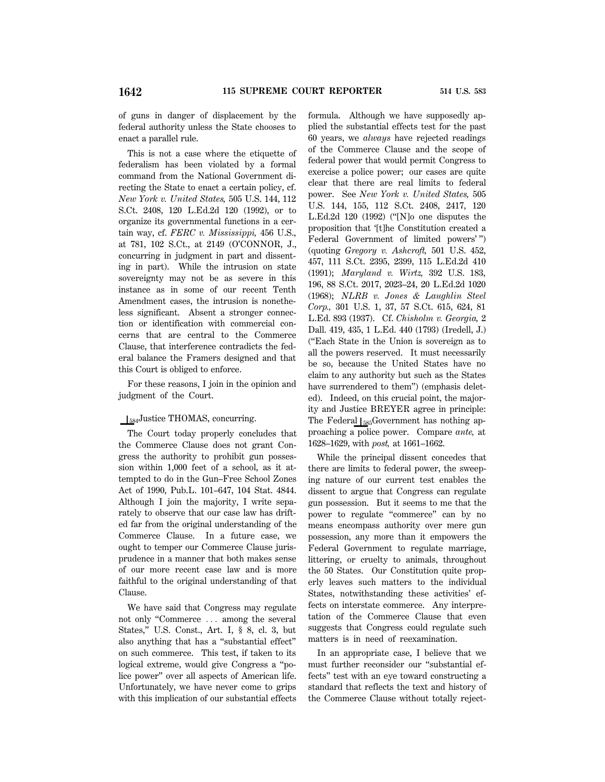of guns in danger of displacement by the federal authority unless the State chooses to enact a parallel rule.

This is not a case where the etiquette of federalism has been violated by a formal command from the National Government directing the State to enact a certain policy, cf. *New York v. United States,* 505 U.S. 144, 112 S.Ct. 2408, 120 L.Ed.2d 120 (1992), or to organize its governmental functions in a certain way, cf. *FERC v. Mississippi,* 456 U.S., at 781, 102 S.Ct., at 2149 (O'CONNOR, J., concurring in judgment in part and dissenting in part). While the intrusion on state sovereignty may not be as severe in this instance as in some of our recent Tenth Amendment cases, the intrusion is nonetheless significant. Absent a stronger connection or identification with commercial concerns that are central to the Commerce Clause, that interference contradicts the federal balance the Framers designed and that this Court is obliged to enforce.

For these reasons, I join in the opinion and judgment of the Court.

# $\frac{1}{584}$ Justice THOMAS, concurring.

The Court today properly concludes that the Commerce Clause does not grant Congress the authority to prohibit gun possession within 1,000 feet of a school, as it attempted to do in the Gun–Free School Zones Act of 1990, Pub.L. 101–647, 104 Stat. 4844. Although I join the majority, I write separately to observe that our case law has drifted far from the original understanding of the Commerce Clause. In a future case, we ought to temper our Commerce Clause jurisprudence in a manner that both makes sense of our more recent case law and is more faithful to the original understanding of that Clause.

We have said that Congress may regulate not only "Commerce ... among the several States,'' U.S. Const., Art. I, § 8, cl. 3, but also anything that has a ''substantial effect'' on such commerce. This test, if taken to its logical extreme, would give Congress a ''police power'' over all aspects of American life. Unfortunately, we have never come to grips with this implication of our substantial effects formula. Although we have supposedly applied the substantial effects test for the past 60 years, we *always* have rejected readings of the Commerce Clause and the scope of federal power that would permit Congress to exercise a police power; our cases are quite clear that there are real limits to federal power. See *New York v. United States,* 505 U.S. 144, 155, 112 S.Ct. 2408, 2417, 120 L.Ed.2d 120 (1992) (''[N]o one disputes the proposition that '[t]he Constitution created a Federal Government of limited powers' '') (quoting *Gregory v. Ashcroft,* 501 U.S. 452, 457, 111 S.Ct. 2395, 2399, 115 L.Ed.2d 410 (1991); *Maryland v. Wirtz,* 392 U.S. 183, 196, 88 S.Ct. 2017, 2023–24, 20 L.Ed.2d 1020 (1968); *NLRB v. Jones & Laughlin Steel Corp.,* 301 U.S. 1, 37, 57 S.Ct. 615, 624, 81 L.Ed. 893 (1937). Cf. *Chisholm v. Georgia,* 2 Dall. 419, 435, 1 L.Ed. 440 (1793) (Iredell, J.) (''Each State in the Union is sovereign as to all the powers reserved. It must necessarily be so, because the United States have no claim to any authority but such as the States have surrendered to them'') (emphasis deleted). Indeed, on this crucial point, the majority and Justice BREYER agree in principle: The Federal  $I_{585}$ Government has nothing approaching a police power. Compare *ante,* at 1628–1629, with *post,* at 1661–1662.

While the principal dissent concedes that there are limits to federal power, the sweeping nature of our current test enables the dissent to argue that Congress can regulate gun possession. But it seems to me that the power to regulate ''commerce'' can by no means encompass authority over mere gun possession, any more than it empowers the Federal Government to regulate marriage, littering, or cruelty to animals, throughout the 50 States. Our Constitution quite properly leaves such matters to the individual States, notwithstanding these activities' effects on interstate commerce. Any interpretation of the Commerce Clause that even suggests that Congress could regulate such matters is in need of reexamination.

In an appropriate case, I believe that we must further reconsider our ''substantial effects'' test with an eye toward constructing a standard that reflects the text and history of the Commerce Clause without totally reject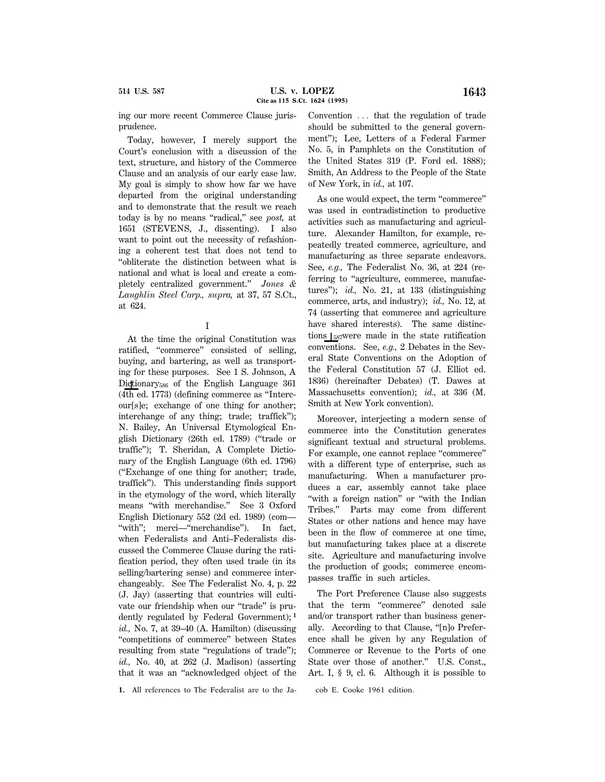ing our more recent Commerce Clause jurisprudence.

Today, however, I merely support the Court's conclusion with a discussion of the text, structure, and history of the Commerce Clause and an analysis of our early case law. My goal is simply to show how far we have departed from the original understanding and to demonstrate that the result we reach today is by no means ''radical,'' see *post,* at 1651 (STEVENS, J., dissenting). I also want to point out the necessity of refashioning a coherent test that does not tend to ''obliterate the distinction between what is national and what is local and create a completely centralized government.'' *Jones & Laughlin Steel Corp., supra,* at 37, 57 S.Ct., at 624.

I

At the time the original Constitution was ratified, ''commerce'' consisted of selling, buying, and bartering, as well as transporting for these purposes. See 1 S. Johnson, A Dictionary $_{586}$  of the English Language 361 (4th ed. 1773) (defining commerce as ''Intercour[s]e; exchange of one thing for another; interchange of any thing; trade; traffick''); N. Bailey, An Universal Etymological English Dictionary (26th ed. 1789) (''trade or traffic''); T. Sheridan, A Complete Dictionary of the English Language (6th ed. 1796) (''Exchange of one thing for another; trade, traffick''). This understanding finds support in the etymology of the word, which literally means ''with merchandise.'' See 3 Oxford English Dictionary 552 (2d ed. 1989) (com— "with"; merci—"merchandise"). In fact, when Federalists and Anti–Federalists discussed the Commerce Clause during the ratification period, they often used trade (in its selling/bartering sense) and commerce interchangeably. See The Federalist No. 4, p. 22 (J. Jay) (asserting that countries will cultivate our friendship when our "trade" is prudently regulated by Federal Government); **<sup>1</sup>** *id.,* No. 7, at 39–40 (A. Hamilton) (discussing ''competitions of commerce'' between States resulting from state "regulations of trade"); *id.,* No. 40, at 262 (J. Madison) (asserting that it was an ''acknowledged object of the

**1.** All references to The Federalist are to the Ja- cob E. Cooke 1961 edition.

Convention  $\ldots$  that the regulation of trade should be submitted to the general government''); Lee, Letters of a Federal Farmer No. 5, in Pamphlets on the Constitution of the United States 319 (P. Ford ed. 1888); Smith, An Address to the People of the State of New York, in *id.,* at 107.

As one would expect, the term ''commerce'' was used in contradistinction to productive activities such as manufacturing and agriculture. Alexander Hamilton, for example, repeatedly treated commerce, agriculture, and manufacturing as three separate endeavors. See, *e.g.,* The Federalist No. 36, at 224 (referring to ''agriculture, commerce, manufactures''); *id.,* No. 21, at 133 (distinguishing commerce, arts, and industry); *id.,* No. 12, at 74 (asserting that commerce and agriculture have shared interests). The same distinctions  $\int_{587}$ were made in the state ratification conventions. See, *e.g.,* 2 Debates in the Several State Conventions on the Adoption of the Federal Constitution 57 (J. Elliot ed. 1836) (hereinafter Debates) (T. Dawes at Massachusetts convention); *id.,* at 336 (M. Smith at New York convention).

Moreover, interjecting a modern sense of commerce into the Constitution generates significant textual and structural problems. For example, one cannot replace ''commerce'' with a different type of enterprise, such as manufacturing. When a manufacturer produces a car, assembly cannot take place "with a foreign nation" or "with the Indian Tribes.'' Parts may come from different States or other nations and hence may have been in the flow of commerce at one time, but manufacturing takes place at a discrete site. Agriculture and manufacturing involve the production of goods; commerce encompasses traffic in such articles.

The Port Preference Clause also suggests that the term ''commerce'' denoted sale and/or transport rather than business generally. According to that Clause, ''[n]o Preference shall be given by any Regulation of Commerce or Revenue to the Ports of one State over those of another.'' U.S. Const., Art. I, § 9, cl. 6. Although it is possible to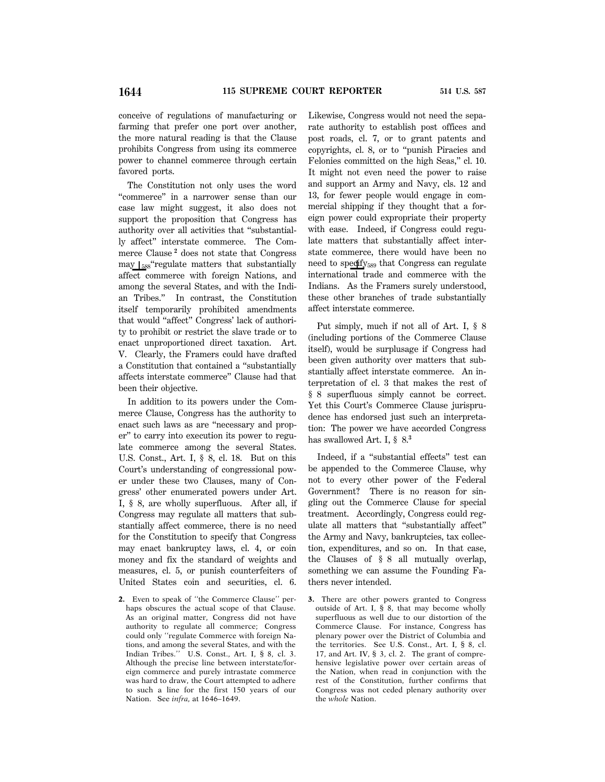conceive of regulations of manufacturing or farming that prefer one port over another, the more natural reading is that the Clause prohibits Congress from using its commerce power to channel commerce through certain favored ports.

The Constitution not only uses the word "commerce" in a narrower sense than our case law might suggest, it also does not support the proposition that Congress has authority over all activities that ''substantially affect'' interstate commerce. The Commerce Clause **<sup>2</sup>** does not state that Congress may  $\left| \right|$ <sub>588</sub>" regulate matters that substantially affect commerce with foreign Nations, and among the several States, and with the Indian Tribes.'' In contrast, the Constitution itself temporarily prohibited amendments that would ''affect'' Congress' lack of authority to prohibit or restrict the slave trade or to enact unproportioned direct taxation. Art. V. Clearly, the Framers could have drafted a Constitution that contained a ''substantially affects interstate commerce'' Clause had that been their objective.

In addition to its powers under the Commerce Clause, Congress has the authority to enact such laws as are ''necessary and proper'' to carry into execution its power to regulate commerce among the several States. U.S. Const., Art. I, § 8, cl. 18. But on this Court's understanding of congressional power under these two Clauses, many of Congress' other enumerated powers under Art. I, § 8, are wholly superfluous. After all, if Congress may regulate all matters that substantially affect commerce, there is no need for the Constitution to specify that Congress may enact bankruptcy laws, cl. 4, or coin money and fix the standard of weights and measures, cl. 5, or punish counterfeiters of United States coin and securities, cl. 6.

**2.** Even to speak of ''the Commerce Clause'' perhaps obscures the actual scope of that Clause. As an original matter, Congress did not have authority to regulate all commerce; Congress could only ''regulate Commerce with foreign Nations, and among the several States, and with the Indian Tribes.'' U.S. Const., Art. I, § 8, cl. 3. Although the precise line between interstate/foreign commerce and purely intrastate commerce was hard to draw, the Court attempted to adhere to such a line for the first 150 years of our Nation. See *infra,* at 1646–1649.

Likewise, Congress would not need the separate authority to establish post offices and post roads, cl. 7, or to grant patents and copyrights, cl. 8, or to ''punish Piracies and Felonies committed on the high Seas,'' cl. 10. It might not even need the power to raise and support an Army and Navy, cls. 12 and 13, for fewer people would engage in commercial shipping if they thought that a foreign power could expropriate their property with ease. Indeed, if Congress could regulate matters that substantially affect interstate commerce, there would have been no need to specify<sub>589</sub> that Congress can regulate international trade and commerce with the Indians. As the Framers surely understood, these other branches of trade substantially affect interstate commerce.

Put simply, much if not all of Art. I, § 8 (including portions of the Commerce Clause itself), would be surplusage if Congress had been given authority over matters that substantially affect interstate commerce. An interpretation of cl. 3 that makes the rest of § 8 superfluous simply cannot be correct. Yet this Court's Commerce Clause jurisprudence has endorsed just such an interpretation: The power we have accorded Congress has swallowed Art. I, § 8.**<sup>3</sup>**

Indeed, if a ''substantial effects'' test can be appended to the Commerce Clause, why not to every other power of the Federal Government? There is no reason for singling out the Commerce Clause for special treatment. Accordingly, Congress could regulate all matters that ''substantially affect'' the Army and Navy, bankruptcies, tax collection, expenditures, and so on. In that case, the Clauses of § 8 all mutually overlap, something we can assume the Founding Fathers never intended.

**3.** There are other powers granted to Congress outside of Art. I, § 8, that may become wholly superfluous as well due to our distortion of the Commerce Clause. For instance, Congress has plenary power over the District of Columbia and the territories. See U.S. Const., Art. I, § 8, cl. 17, and Art. IV, § 3, cl. 2. The grant of comprehensive legislative power over certain areas of the Nation, when read in conjunction with the rest of the Constitution, further confirms that Congress was not ceded plenary authority over the *whole* Nation.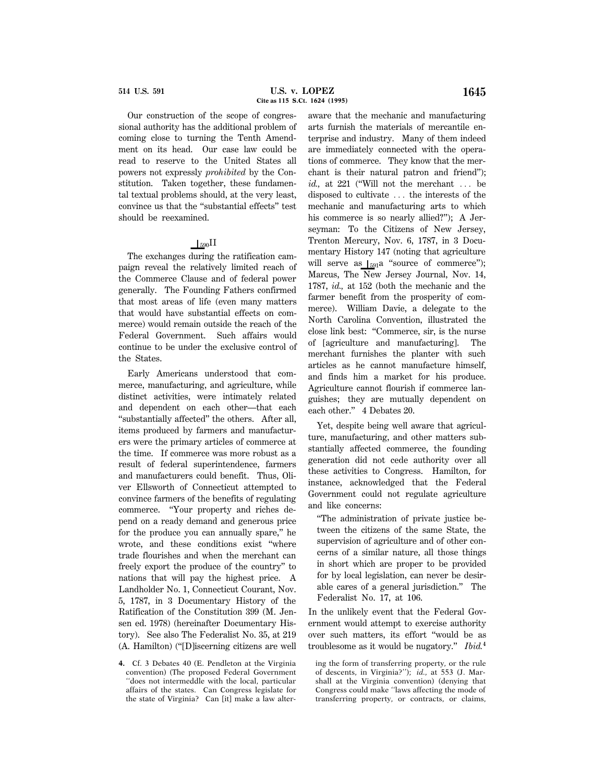Our construction of the scope of congressional authority has the additional problem of coming close to turning the Tenth Amendment on its head. Our case law could be read to reserve to the United States all powers not expressly *prohibited* by the Constitution. Taken together, these fundamental textual problems should, at the very least, convince us that the ''substantial effects'' test should be reexamined.

# $\frac{1}{590}$ II

The exchanges during the ratification campaign reveal the relatively limited reach of the Commerce Clause and of federal power generally. The Founding Fathers confirmed that most areas of life (even many matters that would have substantial effects on commerce) would remain outside the reach of the Federal Government. Such affairs would continue to be under the exclusive control of the States.

Early Americans understood that commerce, manufacturing, and agriculture, while distinct activities, were intimately related and dependent on each other—that each "substantially affected" the others. After all, items produced by farmers and manufacturers were the primary articles of commerce at the time. If commerce was more robust as a result of federal superintendence, farmers and manufacturers could benefit. Thus, Oliver Ellsworth of Connecticut attempted to convince farmers of the benefits of regulating commerce. ''Your property and riches depend on a ready demand and generous price for the produce you can annually spare,'' he wrote, and these conditions exist ''where trade flourishes and when the merchant can freely export the produce of the country'' to nations that will pay the highest price. A Landholder No. 1, Connecticut Courant, Nov. 5, 1787, in 3 Documentary History of the Ratification of the Constitution 399 (M. Jensen ed. 1978) (hereinafter Documentary History). See also The Federalist No. 35, at 219 (A. Hamilton) (''[D]iscerning citizens are well

**4.** Cf. 3 Debates 40 (E. Pendleton at the Virginia convention) (The proposed Federal Government ''does not intermeddle with the local, particular affairs of the states. Can Congress legislate for the state of Virginia? Can [it] make a law alter-

aware that the mechanic and manufacturing arts furnish the materials of mercantile enterprise and industry. Many of them indeed are immediately connected with the operations of commerce. They know that the merchant is their natural patron and friend'');  $id.,$  at 221 ("Will not the merchant  $\ldots$  be disposed to cultivate ... the interests of the mechanic and manufacturing arts to which his commerce is so nearly allied?''); A Jerseyman: To the Citizens of New Jersey, Trenton Mercury, Nov. 6, 1787, in 3 Documentary History 147 (noting that agriculture will serve as  $\mathcal{L}_{591}$ <sup>a</sup> "source of commerce"); Marcus, The New Jersey Journal, Nov. 14, 1787, *id.,* at 152 (both the mechanic and the farmer benefit from the prosperity of commerce). William Davie, a delegate to the North Carolina Convention, illustrated the close link best: ''Commerce, sir, is the nurse of [agriculture and manufacturing]. The merchant furnishes the planter with such articles as he cannot manufacture himself, and finds him a market for his produce. Agriculture cannot flourish if commerce languishes; they are mutually dependent on each other.'' 4 Debates 20.

Yet, despite being well aware that agriculture, manufacturing, and other matters substantially affected commerce, the founding generation did not cede authority over all these activities to Congress. Hamilton, for instance, acknowledged that the Federal Government could not regulate agriculture and like concerns:

''The administration of private justice between the citizens of the same State, the supervision of agriculture and of other concerns of a similar nature, all those things in short which are proper to be provided for by local legislation, can never be desirable cares of a general jurisdiction.'' The Federalist No. 17, at 106.

In the unlikely event that the Federal Government would attempt to exercise authority over such matters, its effort ''would be as troublesome as it would be nugatory.'' *Ibid.***<sup>4</sup>**

ing the form of transferring property, or the rule of descents, in Virginia?''); *id.,* at 553 (J. Marshall at the Virginia convention) (denying that Congress could make ''laws affecting the mode of transferring property, or contracts, or claims,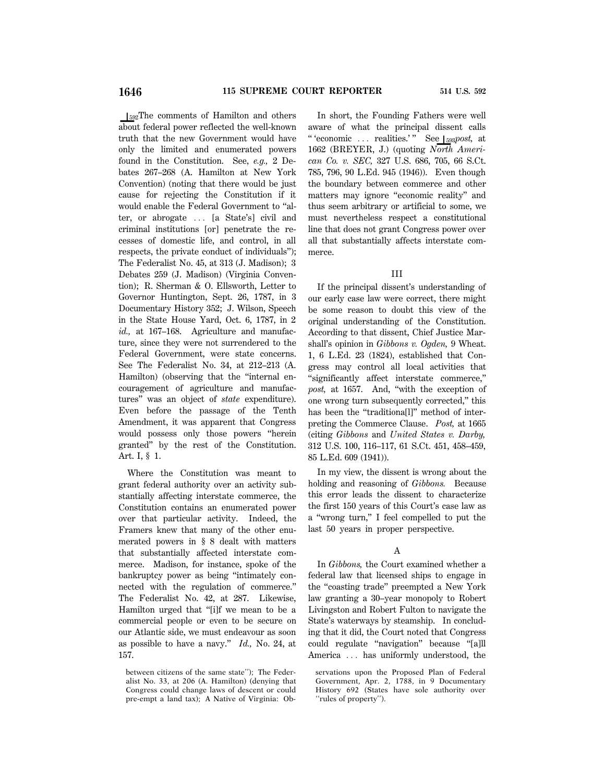$\frac{1}{592}$ The comments of Hamilton and others about federal power reflected the well-known truth that the new Government would have only the limited and enumerated powers found in the Constitution. See, *e.g.,* 2 Debates 267–268 (A. Hamilton at New York Convention) (noting that there would be just cause for rejecting the Constitution if it would enable the Federal Government to ''alter, or abrogate ... [a State's] civil and criminal institutions [or] penetrate the recesses of domestic life, and control, in all respects, the private conduct of individuals''); The Federalist No. 45, at 313 (J. Madison); 3 Debates 259 (J. Madison) (Virginia Convention); R. Sherman & O. Ellsworth, Letter to Governor Huntington, Sept. 26, 1787, in 3 Documentary History 352; J. Wilson, Speech in the State House Yard, Oct. 6, 1787, in 2 id., at 167–168. Agriculture and manufacture, since they were not surrendered to the Federal Government, were state concerns. See The Federalist No. 34, at 212–213 (A. Hamilton) (observing that the ''internal encouragement of agriculture and manufactures'' was an object of *state* expenditure). Even before the passage of the Tenth Amendment, it was apparent that Congress would possess only those powers ''herein granted'' by the rest of the Constitution. Art. I, § 1.

Where the Constitution was meant to grant federal authority over an activity substantially affecting interstate commerce, the Constitution contains an enumerated power over that particular activity. Indeed, the Framers knew that many of the other enumerated powers in § 8 dealt with matters that substantially affected interstate commerce. Madison, for instance, spoke of the bankruptcy power as being ''intimately connected with the regulation of commerce.'' The Federalist No. 42, at 287. Likewise, Hamilton urged that ''[i]f we mean to be a commercial people or even to be secure on our Atlantic side, we must endeavour as soon as possible to have a navy.'' *Id.,* No. 24, at 157.

In short, the Founding Fathers were well aware of what the principal dissent calls " 'economic ... realities.' " See I<sub>593</sub>*post*, at 1662 (BREYER, J.) (quoting *North American Co. v. SEC,* 327 U.S. 686, 705, 66 S.Ct. 785, 796, 90 L.Ed. 945 (1946)). Even though the boundary between commerce and other matters may ignore "economic reality" and thus seem arbitrary or artificial to some, we must nevertheless respect a constitutional line that does not grant Congress power over all that substantially affects interstate commerce.

#### III

If the principal dissent's understanding of our early case law were correct, there might be some reason to doubt this view of the original understanding of the Constitution. According to that dissent, Chief Justice Marshall's opinion in *Gibbons v. Ogden,* 9 Wheat. 1, 6 L.Ed. 23 (1824), established that Congress may control all local activities that ''significantly affect interstate commerce,'' *post,* at 1657. And, ''with the exception of one wrong turn subsequently corrected,'' this has been the "traditiona[l]" method of interpreting the Commerce Clause. *Post,* at 1665 (citing *Gibbons* and *United States v. Darby,* 312 U.S. 100, 116–117, 61 S.Ct. 451, 458–459, 85 L.Ed. 609 (1941)).

In my view, the dissent is wrong about the holding and reasoning of *Gibbons.* Because this error leads the dissent to characterize the first 150 years of this Court's case law as a ''wrong turn,'' I feel compelled to put the last 50 years in proper perspective.

# A

In *Gibbons,* the Court examined whether a federal law that licensed ships to engage in the ''coasting trade'' preempted a New York law granting a 30–year monopoly to Robert Livingston and Robert Fulton to navigate the State's waterways by steamship. In concluding that it did, the Court noted that Congress could regulate ''navigation'' because ''[a]ll America ... has uniformly understood, the

servations upon the Proposed Plan of Federal Government, Apr. 2, 1788, in 9 Documentary History 692 (States have sole authority over ''rules of property'').

between citizens of the same state''); The Federalist No. 33, at 206 (A. Hamilton) (denying that Congress could change laws of descent or could pre-empt a land tax); A Native of Virginia: Ob-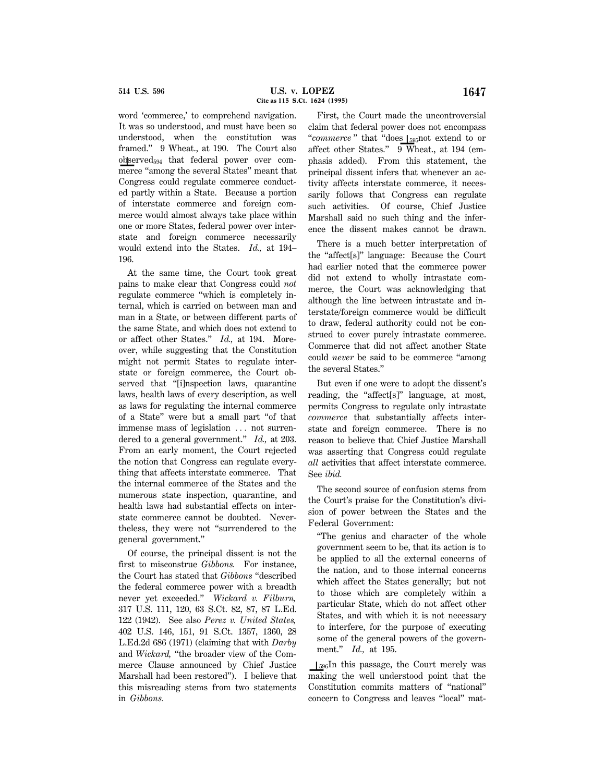word 'commerce,' to comprehend navigation. It was so understood, and must have been so understood, when the constitution was framed.'' 9 Wheat., at 190. The Court also  $observed<sub>594</sub>$  that federal power over commerce ''among the several States'' meant that Congress could regulate commerce conducted partly within a State. Because a portion of interstate commerce and foreign commerce would almost always take place within one or more States, federal power over interstate and foreign commerce necessarily would extend into the States. *Id.,* at 194– 196.

At the same time, the Court took great pains to make clear that Congress could *not* regulate commerce ''which is completely internal, which is carried on between man and man in a State, or between different parts of the same State, and which does not extend to or affect other States.'' *Id.,* at 194. Moreover, while suggesting that the Constitution might not permit States to regulate interstate or foreign commerce, the Court observed that "[i]nspection laws, quarantine laws, health laws of every description, as well as laws for regulating the internal commerce of a State'' were but a small part ''of that immense mass of legislation ... not surrendered to a general government.'' *Id.,* at 203. From an early moment, the Court rejected the notion that Congress can regulate everything that affects interstate commerce. That the internal commerce of the States and the numerous state inspection, quarantine, and health laws had substantial effects on interstate commerce cannot be doubted. Nevertheless, they were not ''surrendered to the general government.''

Of course, the principal dissent is not the first to misconstrue *Gibbons.* For instance, the Court has stated that *Gibbons* ''described the federal commerce power with a breadth never yet exceeded.'' *Wickard v. Filburn,* 317 U.S. 111, 120, 63 S.Ct. 82, 87, 87 L.Ed. 122 (1942). See also *Perez v. United States,* 402 U.S. 146, 151, 91 S.Ct. 1357, 1360, 28 L.Ed.2d 686 (1971) (claiming that with *Darby* and *Wickard,* ''the broader view of the Commerce Clause announced by Chief Justice Marshall had been restored''). I believe that this misreading stems from two statements in *Gibbons.*

First, the Court made the uncontroversial claim that federal power does not encompass "*commerce*" that "does <sub>1595</sub> not extend to or affect other States."  $9$  Wheat., at 194 (emphasis added). From this statement, the principal dissent infers that whenever an activity affects interstate commerce, it necessarily follows that Congress can regulate such activities. Of course, Chief Justice Marshall said no such thing and the inference the dissent makes cannot be drawn.

There is a much better interpretation of the ''affect[s]'' language: Because the Court had earlier noted that the commerce power did not extend to wholly intrastate commerce, the Court was acknowledging that although the line between intrastate and interstate/foreign commerce would be difficult to draw, federal authority could not be construed to cover purely intrastate commerce. Commerce that did not affect another State could *never* be said to be commerce ''among the several States.''

But even if one were to adopt the dissent's reading, the ''affect[s]'' language, at most, permits Congress to regulate only intrastate *commerce* that substantially affects interstate and foreign commerce. There is no reason to believe that Chief Justice Marshall was asserting that Congress could regulate *all* activities that affect interstate commerce. See *ibid.*

The second source of confusion stems from the Court's praise for the Constitution's division of power between the States and the Federal Government:

''The genius and character of the whole government seem to be, that its action is to be applied to all the external concerns of the nation, and to those internal concerns which affect the States generally; but not to those which are completely within a particular State, which do not affect other States, and with which it is not necessary to interfere, for the purpose of executing some of the general powers of the government.'' *Id.,* at 195.

 $\left| \cdot \right|$ <sub>596</sub>In this passage, the Court merely was making the well understood point that the Constitution commits matters of ''national'' concern to Congress and leaves ''local'' mat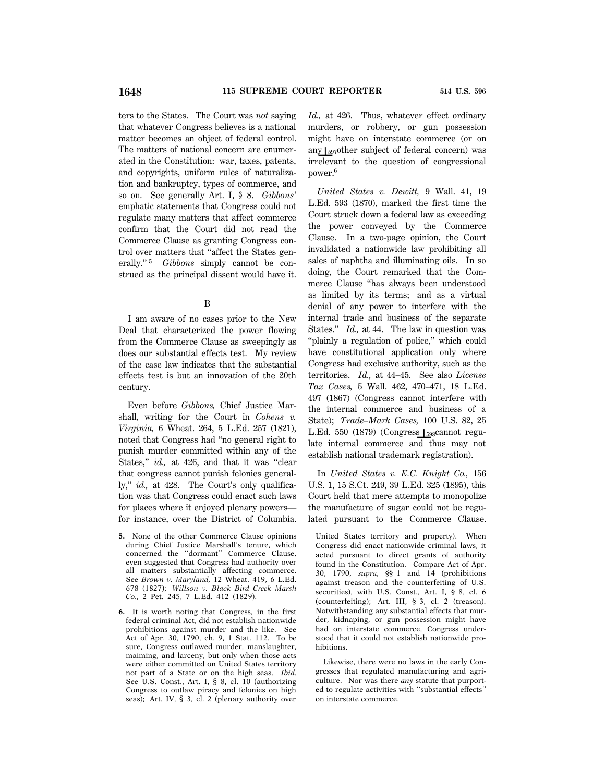ters to the States. The Court was *not* saying that whatever Congress believes is a national matter becomes an object of federal control. The matters of national concern are enumerated in the Constitution: war, taxes, patents, and copyrights, uniform rules of naturalization and bankruptcy, types of commerce, and so on. See generally Art. I, § 8. *Gibbons'* emphatic statements that Congress could not regulate many matters that affect commerce confirm that the Court did not read the Commerce Clause as granting Congress control over matters that ''affect the States generally."<sup>5</sup> *Gibbons* simply cannot be construed as the principal dissent would have it.

# B

I am aware of no cases prior to the New Deal that characterized the power flowing from the Commerce Clause as sweepingly as does our substantial effects test. My review of the case law indicates that the substantial effects test is but an innovation of the 20th century.

Even before *Gibbons,* Chief Justice Marshall, writing for the Court in *Cohens v. Virginia,* 6 Wheat. 264, 5 L.Ed. 257 (1821), noted that Congress had ''no general right to punish murder committed within any of the States," *id.*, at 426, and that it was "clear that congress cannot punish felonies generally," *id.*, at 428. The Court's only qualification was that Congress could enact such laws for places where it enjoyed plenary powers for instance, over the District of Columbia.

- **5.** None of the other Commerce Clause opinions during Chief Justice Marshall's tenure, which concerned the ''dormant'' Commerce Clause, even suggested that Congress had authority over all matters substantially affecting commerce. See *Brown v. Maryland,* 12 Wheat. 419, 6 L.Ed. 678 (1827); *Willson v. Black Bird Creek Marsh Co.,* 2 Pet. 245, 7 L.Ed. 412 (1829).
- **6.** It is worth noting that Congress, in the first federal criminal Act, did not establish nationwide prohibitions against murder and the like. See Act of Apr. 30, 1790, ch. 9, 1 Stat. 112. To be sure, Congress outlawed murder, manslaughter, maiming, and larceny, but only when those acts were either committed on United States territory not part of a State or on the high seas. *Ibid.* See U.S. Const., Art. I, § 8, cl. 10 (authorizing Congress to outlaw piracy and felonies on high seas); Art. IV, § 3, cl. 2 (plenary authority over

*Id.,* at 426. Thus, whatever effect ordinary murders, or robbery, or gun possession might have on interstate commerce (or on any  $\left| \right|$ <sub>597</sub>other subject of federal concern) was irrelevant to the question of congressional power.**<sup>6</sup>**

*United States v. Dewitt,* 9 Wall. 41, 19 L.Ed. 593 (1870), marked the first time the Court struck down a federal law as exceeding the power conveyed by the Commerce Clause. In a two-page opinion, the Court invalidated a nationwide law prohibiting all sales of naphtha and illuminating oils. In so doing, the Court remarked that the Commerce Clause ''has always been understood as limited by its terms; and as a virtual denial of any power to interfere with the internal trade and business of the separate States.'' *Id.,* at 44. The law in question was "plainly a regulation of police," which could have constitutional application only where Congress had exclusive authority, such as the territories. *Id.,* at 44–45. See also *License Tax Cases,* 5 Wall. 462, 470–471, 18 L.Ed. 497 (1867) (Congress cannot interfere with the internal commerce and business of a State); *Trade–Mark Cases,* 100 U.S. 82, 25 L.Ed. 550 (1879) (Congress  $\frac{1}{598}$ cannot regulate internal commerce and thus may not establish national trademark registration).

In *United States v. E.C. Knight Co.,* 156 U.S. 1, 15 S.Ct. 249, 39 L.Ed. 325 (1895), this Court held that mere attempts to monopolize the manufacture of sugar could not be regulated pursuant to the Commerce Clause.

United States territory and property). When Congress did enact nationwide criminal laws, it acted pursuant to direct grants of authority found in the Constitution. Compare Act of Apr. 30, 1790, *supra,* §§ 1 and 14 (prohibitions against treason and the counterfeiting of U.S. securities), with U.S. Const., Art. I, § 8, cl. 6 (counterfeiting); Art. III, § 3, cl. 2 (treason). Notwithstanding any substantial effects that murder, kidnaping, or gun possession might have had on interstate commerce, Congress understood that it could not establish nationwide prohibitions.

Likewise, there were no laws in the early Congresses that regulated manufacturing and agriculture. Nor was there *any* statute that purported to regulate activities with ''substantial effects'' on interstate commerce.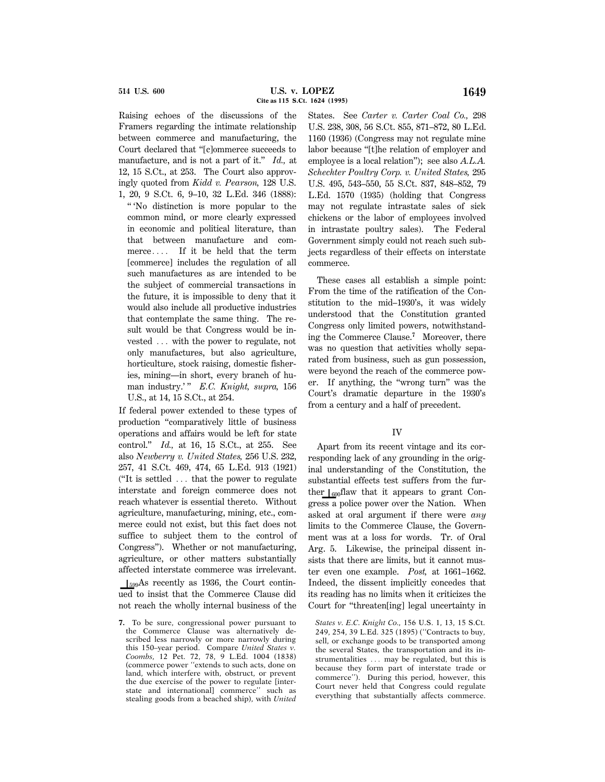Raising echoes of the discussions of the Framers regarding the intimate relationship between commerce and manufacturing, the Court declared that ''[c]ommerce succeeds to manufacture, and is not a part of it.'' *Id.,* at 12, 15 S.Ct., at 253. The Court also approvingly quoted from *Kidd v. Pearson,* 128 U.S. 1, 20, 9 S.Ct. 6, 9–10, 32 L.Ed. 346 (1888):

'' 'No distinction is more popular to the common mind, or more clearly expressed in economic and political literature, than that between manufacture and commerce.... If it be held that the term [commerce] includes the regulation of all such manufactures as are intended to be the subject of commercial transactions in the future, it is impossible to deny that it would also include all productive industries that contemplate the same thing. The result would be that Congress would be invested  $\ldots$  with the power to regulate, not only manufactures, but also agriculture, horticulture, stock raising, domestic fisheries, mining—in short, every branch of human industry.' '' *E.C. Knight, supra,* 156 U.S., at 14, 15 S.Ct., at 254.

If federal power extended to these types of production ''comparatively little of business operations and affairs would be left for state control.'' *Id.,* at 16, 15 S.Ct., at 255. See also *Newberry v. United States,* 256 U.S. 232, 257, 41 S.Ct. 469, 474, 65 L.Ed. 913 (1921) ("It is settled  $\ldots$  that the power to regulate interstate and foreign commerce does not reach whatever is essential thereto. Without agriculture, manufacturing, mining, etc., commerce could not exist, but this fact does not suffice to subject them to the control of Congress''). Whether or not manufacturing, agriculture, or other matters substantially affected interstate commerce was irrelevant.

 $\frac{1}{599}As$  recently as 1936, the Court continued to insist that the Commerce Clause did not reach the wholly internal business of the States. See *Carter v. Carter Coal Co.,* 298 U.S. 238, 308, 56 S.Ct. 855, 871–872, 80 L.Ed. 1160 (1936) (Congress may not regulate mine labor because ''[t]he relation of employer and employee is a local relation''); see also *A.L.A. Schechter Poultry Corp. v. United States,* 295 U.S. 495, 543–550, 55 S.Ct. 837, 848–852, 79 L.Ed. 1570 (1935) (holding that Congress may not regulate intrastate sales of sick chickens or the labor of employees involved in intrastate poultry sales). The Federal Government simply could not reach such subjects regardless of their effects on interstate commerce.

These cases all establish a simple point: From the time of the ratification of the Constitution to the mid–1930's, it was widely understood that the Constitution granted Congress only limited powers, notwithstanding the Commerce Clause.**<sup>7</sup>** Moreover, there was no question that activities wholly separated from business, such as gun possession, were beyond the reach of the commerce power. If anything, the ''wrong turn'' was the Court's dramatic departure in the 1930's from a century and a half of precedent.

# IV

Apart from its recent vintage and its corresponding lack of any grounding in the original understanding of the Constitution, the substantial effects test suffers from the further  $I_{600}$ flaw that it appears to grant Congress a police power over the Nation. When asked at oral argument if there were *any* limits to the Commerce Clause, the Government was at a loss for words. Tr. of Oral Arg. 5. Likewise, the principal dissent insists that there are limits, but it cannot muster even one example. *Post,* at 1661–1662. Indeed, the dissent implicitly concedes that its reading has no limits when it criticizes the Court for ''threaten[ing] legal uncertainty in

**<sup>7.</sup>** To be sure, congressional power pursuant to the Commerce Clause was alternatively described less narrowly or more narrowly during this 150–year period. Compare *United States v. Coombs,* 12 Pet. 72, 78, 9 L.Ed. 1004 (1838) (commerce power ''extends to such acts, done on land, which interfere with, obstruct, or prevent the due exercise of the power to regulate [interstate and international] commerce'' such as stealing goods from a beached ship), with *United*

*States v. E.C. Knight Co.,* 156 U.S. 1, 13, 15 S.Ct. 249, 254, 39 L.Ed. 325 (1895) (''Contracts to buy, sell, or exchange goods to be transported among the several States, the transportation and its instrumentalities ... may be regulated, but this is because they form part of interstate trade or commerce''). During this period, however, this Court never held that Congress could regulate everything that substantially affects commerce.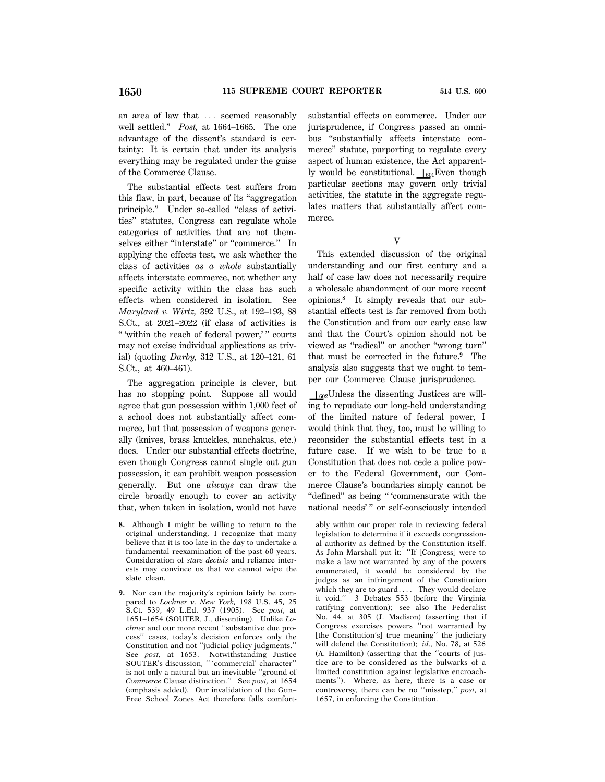an area of law that  $\ldots$  seemed reasonably well settled.'' *Post,* at 1664–1665. The one advantage of the dissent's standard is certainty: It is certain that under its analysis everything may be regulated under the guise of the Commerce Clause.

The substantial effects test suffers from this flaw, in part, because of its ''aggregation principle.'' Under so-called ''class of activities'' statutes, Congress can regulate whole categories of activities that are not themselves either "interstate" or "commerce." In applying the effects test, we ask whether the class of activities *as a whole* substantially affects interstate commerce, not whether any specific activity within the class has such effects when considered in isolation. See *Maryland v. Wirtz,* 392 U.S., at 192–193, 88 S.Ct., at 2021–2022 (if class of activities is '' 'within the reach of federal power,' '' courts may not excise individual applications as trivial) (quoting *Darby,* 312 U.S., at 120–121, 61 S.Ct., at 460–461).

The aggregation principle is clever, but has no stopping point. Suppose all would agree that gun possession within 1,000 feet of a school does not substantially affect commerce, but that possession of weapons generally (knives, brass knuckles, nunchakus, etc.) does. Under our substantial effects doctrine, even though Congress cannot single out gun possession, it can prohibit weapon possession generally. But one *always* can draw the circle broadly enough to cover an activity that, when taken in isolation, would not have

- **8.** Although I might be willing to return to the original understanding, I recognize that many believe that it is too late in the day to undertake a fundamental reexamination of the past 60 years. Consideration of *stare decisis* and reliance interests may convince us that we cannot wipe the slate clean.
- **9.** Nor can the majority's opinion fairly be compared to *Lochner v. New York,* 198 U.S. 45, 25 S.Ct. 539, 49 L.Ed. 937 (1905). See *post,* at 1651–1654 (SOUTER, J., dissenting). Unlike *Lochner* and our more recent ''substantive due process'' cases, today's decision enforces only the Constitution and not ''judicial policy judgments.'' See *post,* at 1653. Notwithstanding Justice SOUTER's discussion, '' 'commercial' character'' is not only a natural but an inevitable ''ground of *Commerce* Clause distinction.'' See *post,* at 1654 (emphasis added). Our invalidation of the Gun– Free School Zones Act therefore falls comfort-

substantial effects on commerce. Under our jurisprudence, if Congress passed an omnibus ''substantially affects interstate commerce'' statute, purporting to regulate every aspect of human existence, the Act apparently would be constitutional.  $_{601}$ Even though particular sections may govern only trivial activities, the statute in the aggregate regulates matters that substantially affect commerce.

V

This extended discussion of the original understanding and our first century and a half of case law does not necessarily require a wholesale abandonment of our more recent opinions.**<sup>8</sup>** It simply reveals that our substantial effects test is far removed from both the Constitution and from our early case law and that the Court's opinion should not be viewed as ''radical'' or another ''wrong turn'' that must be corrected in the future.**<sup>9</sup>** The analysis also suggests that we ought to temper our Commerce Clause jurisprudence.

 $\int_{602}$ Unless the dissenting Justices are willing to repudiate our long-held understanding of the limited nature of federal power, I would think that they, too, must be willing to reconsider the substantial effects test in a future case. If we wish to be true to a Constitution that does not cede a police power to the Federal Government, our Commerce Clause's boundaries simply cannot be ''defined'' as being '' 'commensurate with the national needs' '' or self-consciously intended

ably within our proper role in reviewing federal legislation to determine if it exceeds congressional authority as defined by the Constitution itself. As John Marshall put it: ''If [Congress] were to make a law not warranted by any of the powers enumerated, it would be considered by the judges as an infringement of the Constitution which they are to guard $\ldots$  They would declare it void.'' 3 Debates 553 (before the Virginia ratifying convention); see also The Federalist No. 44, at 305 (J. Madison) (asserting that if Congress exercises powers ''not warranted by [the Constitution's] true meaning" the judiciary will defend the Constitution); *id.,* No. 78, at 526 (A. Hamilton) (asserting that the ''courts of justice are to be considered as the bulwarks of a limited constitution against legislative encroachments''). Where, as here, there is a case or controversy, there can be no ''misstep,'' *post,* at 1657, in enforcing the Constitution.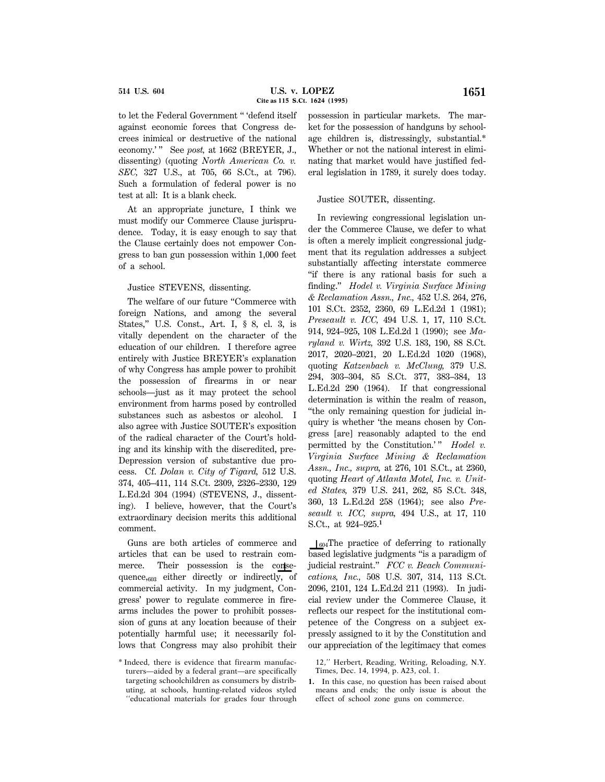to let the Federal Government '' 'defend itself against economic forces that Congress decrees inimical or destructive of the national economy.'" See *post*, at 1662 (BREYER, J., dissenting) (quoting *North American Co. v. SEC,* 327 U.S., at 705, 66 S.Ct., at 796). Such a formulation of federal power is no test at all: It is a blank check.

At an appropriate juncture, I think we must modify our Commerce Clause jurisprudence. Today, it is easy enough to say that the Clause certainly does not empower Congress to ban gun possession within 1,000 feet of a school.

#### Justice STEVENS, dissenting.

The welfare of our future "Commerce with foreign Nations, and among the several States,'' U.S. Const., Art. I, § 8, cl. 3, is vitally dependent on the character of the education of our children. I therefore agree entirely with Justice BREYER's explanation of why Congress has ample power to prohibit the possession of firearms in or near schools—just as it may protect the school environment from harms posed by controlled substances such as asbestos or alcohol. I also agree with Justice SOUTER's exposition of the radical character of the Court's holding and its kinship with the discredited, pre-Depression version of substantive due process. Cf. *Dolan v. City of Tigard,* 512 U.S. 374, 405–411, 114 S.Ct. 2309, 2326–2330, 129 L.Ed.2d 304 (1994) (STEVENS, J., dissenting). I believe, however, that the Court's extraordinary decision merits this additional comment.

Guns are both articles of commerce and articles that can be used to restrain commerce. Their possession is the consequence, $_{603}$  either directly or indirectly, of commercial activity. In my judgment, Congress' power to regulate commerce in firearms includes the power to prohibit possession of guns at any location because of their potentially harmful use; it necessarily follows that Congress may also prohibit their

possession in particular markets. The market for the possession of handguns by schoolage children is, distressingly, substantial.\* Whether or not the national interest in eliminating that market would have justified federal legislation in 1789, it surely does today.

# Justice SOUTER, dissenting.

In reviewing congressional legislation under the Commerce Clause, we defer to what is often a merely implicit congressional judgment that its regulation addresses a subject substantially affecting interstate commerce ''if there is any rational basis for such a finding.'' *Hodel v. Virginia Surface Mining & Reclamation Assn., Inc.,* 452 U.S. 264, 276, 101 S.Ct. 2352, 2360, 69 L.Ed.2d 1 (1981); *Preseault v. ICC,* 494 U.S. 1, 17, 110 S.Ct. 914, 924–925, 108 L.Ed.2d 1 (1990); see *Maryland v. Wirtz,* 392 U.S. 183, 190, 88 S.Ct. 2017, 2020–2021, 20 L.Ed.2d 1020 (1968), quoting *Katzenbach v. McClung,* 379 U.S. 294, 303–304, 85 S.Ct. 377, 383–384, 13 L.Ed.2d 290 (1964). If that congressional determination is within the realm of reason, ''the only remaining question for judicial inquiry is whether 'the means chosen by Congress [are] reasonably adapted to the end permitted by the Constitution.'" *Hodel v. Virginia Surface Mining & Reclamation Assn., Inc., supra,* at 276, 101 S.Ct., at 2360, quoting *Heart of Atlanta Motel, Inc. v. United States,* 379 U.S. 241, 262, 85 S.Ct. 348, 360, 13 L.Ed.2d 258 (1964); see also *Preseault v. ICC, supra,* 494 U.S., at 17, 110 S.Ct., at 924–925.**<sup>1</sup>**

 $\log$ The practice of deferring to rationally based legislative judgments ''is a paradigm of judicial restraint.'' *FCC v. Beach Communications, Inc.,* 508 U.S. 307, 314, 113 S.Ct. 2096, 2101, 124 L.Ed.2d 211 (1993). In judicial review under the Commerce Clause, it reflects our respect for the institutional competence of the Congress on a subject expressly assigned to it by the Constitution and our appreciation of the legitimacy that comes

<sup>\*</sup> Indeed, there is evidence that firearm manufacturers—aided by a federal grant—are specifically targeting schoolchildren as consumers by distributing, at schools, hunting-related videos styled ''educational materials for grades four through

<sup>12,&#</sup>x27;' Herbert, Reading, Writing, Reloading, N.Y. Times, Dec. 14, 1994, p. A23, col. 1.

**<sup>1.</sup>** In this case, no question has been raised about means and ends; the only issue is about the effect of school zone guns on commerce.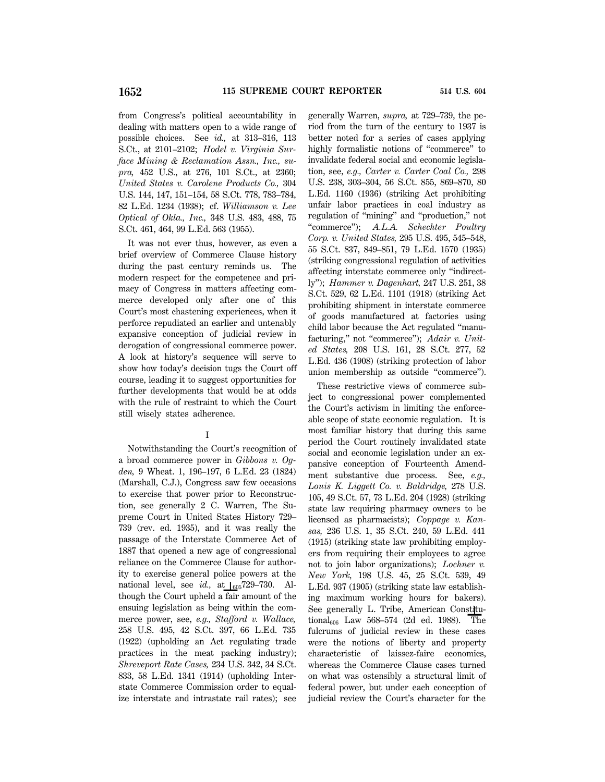from Congress's political accountability in dealing with matters open to a wide range of possible choices. See *id.,* at 313–316, 113 S.Ct., at 2101–2102; *Hodel v. Virginia Surface Mining & Reclamation Assn., Inc., supra,* 452 U.S., at 276, 101 S.Ct., at 2360; *United States v. Carolene Products Co.,* 304 U.S. 144, 147, 151–154, 58 S.Ct. 778, 783–784, 82 L.Ed. 1234 (1938); cf. *Williamson v. Lee Optical of Okla., Inc.,* 348 U.S. 483, 488, 75 S.Ct. 461, 464, 99 L.Ed. 563 (1955).

It was not ever thus, however, as even a brief overview of Commerce Clause history during the past century reminds us. The modern respect for the competence and primacy of Congress in matters affecting commerce developed only after one of this Court's most chastening experiences, when it perforce repudiated an earlier and untenably expansive conception of judicial review in derogation of congressional commerce power. A look at history's sequence will serve to show how today's decision tugs the Court off course, leading it to suggest opportunities for further developments that would be at odds with the rule of restraint to which the Court still wisely states adherence.

# I

Notwithstanding the Court's recognition of a broad commerce power in *Gibbons v. Ogden,* 9 Wheat. 1, 196–197, 6 L.Ed. 23 (1824) (Marshall, C.J.), Congress saw few occasions to exercise that power prior to Reconstruction, see generally 2 C. Warren, The Supreme Court in United States History 729– 739 (rev. ed. 1935), and it was really the passage of the Interstate Commerce Act of 1887 that opened a new age of congressional reliance on the Commerce Clause for authority to exercise general police powers at the national level, see *id.*, at  $\frac{1}{605}729-730$ . Although the Court upheld a fair amount of the ensuing legislation as being within the commerce power, see, *e.g., Stafford v. Wallace,* 258 U.S. 495, 42 S.Ct. 397, 66 L.Ed. 735 (1922) (upholding an Act regulating trade practices in the meat packing industry); *Shreveport Rate Cases,* 234 U.S. 342, 34 S.Ct. 833, 58 L.Ed. 1341 (1914) (upholding Interstate Commerce Commission order to equalize interstate and intrastate rail rates); see

generally Warren, *supra,* at 729–739, the period from the turn of the century to 1937 is better noted for a series of cases applying highly formalistic notions of ''commerce'' to invalidate federal social and economic legislation, see, *e.g., Carter v. Carter Coal Co.,* 298 U.S. 238, 303–304, 56 S.Ct. 855, 869–870, 80 L.Ed. 1160 (1936) (striking Act prohibiting unfair labor practices in coal industry as regulation of ''mining'' and ''production,'' not ''commerce''); *A.L.A. Schechter Poultry Corp. v. United States,* 295 U.S. 495, 545–548, 55 S.Ct. 837, 849–851, 79 L.Ed. 1570 (1935) (striking congressional regulation of activities affecting interstate commerce only ''indirectly''); *Hammer v. Dagenhart,* 247 U.S. 251, 38 S.Ct. 529, 62 L.Ed. 1101 (1918) (striking Act prohibiting shipment in interstate commerce of goods manufactured at factories using child labor because the Act regulated ''manufacturing," not "commerce"); *Adair v. United States,* 208 U.S. 161, 28 S.Ct. 277, 52 L.Ed. 436 (1908) (striking protection of labor union membership as outside ''commerce'').

These restrictive views of commerce subject to congressional power complemented the Court's activism in limiting the enforceable scope of state economic regulation. It is most familiar history that during this same period the Court routinely invalidated state social and economic legislation under an expansive conception of Fourteenth Amendment substantive due process. See, *e.g., Louis K. Liggett Co. v. Baldridge,* 278 U.S. 105, 49 S.Ct. 57, 73 L.Ed. 204 (1928) (striking state law requiring pharmacy owners to be licensed as pharmacists); *Coppage v. Kansas,* 236 U.S. 1, 35 S.Ct. 240, 59 L.Ed. 441 (1915) (striking state law prohibiting employers from requiring their employees to agree not to join labor organizations); *Lochner v. New York,* 198 U.S. 45, 25 S.Ct. 539, 49 L.Ed. 937 (1905) (striking state law establishing maximum working hours for bakers). See generally L. Tribe, American Constitutional<sub>606</sub> Law 568–574 (2d ed. 1988). The fulcrums of judicial review in these cases were the notions of liberty and property characteristic of laissez-faire economics, whereas the Commerce Clause cases turned on what was ostensibly a structural limit of federal power, but under each conception of judicial review the Court's character for the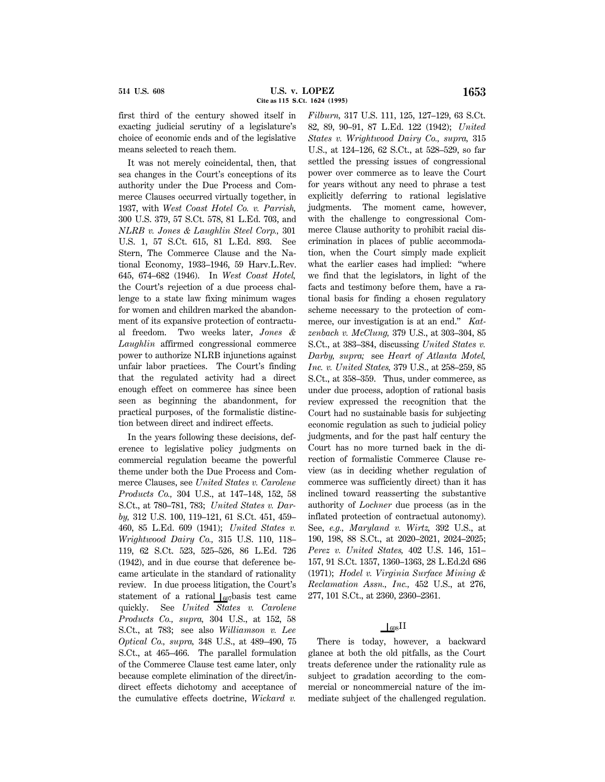first third of the century showed itself in exacting judicial scrutiny of a legislature's choice of economic ends and of the legislative means selected to reach them.

It was not merely coincidental, then, that sea changes in the Court's conceptions of its authority under the Due Process and Commerce Clauses occurred virtually together, in 1937, with *West Coast Hotel Co. v. Parrish,* 300 U.S. 379, 57 S.Ct. 578, 81 L.Ed. 703, and *NLRB v. Jones & Laughlin Steel Corp.,* 301 U.S. 1, 57 S.Ct. 615, 81 L.Ed. 893. See Stern, The Commerce Clause and the National Economy, 1933–1946, 59 Harv.L.Rev. 645, 674–682 (1946). In *West Coast Hotel,* the Court's rejection of a due process challenge to a state law fixing minimum wages for women and children marked the abandonment of its expansive protection of contractual freedom. Two weeks later, *Jones & Laughlin* affirmed congressional commerce power to authorize NLRB injunctions against unfair labor practices. The Court's finding that the regulated activity had a direct enough effect on commerce has since been seen as beginning the abandonment, for practical purposes, of the formalistic distinction between direct and indirect effects.

In the years following these decisions, deference to legislative policy judgments on commercial regulation became the powerful theme under both the Due Process and Commerce Clauses, see *United States v. Carolene Products Co.,* 304 U.S., at 147–148, 152, 58 S.Ct., at 780–781, 783; *United States v. Darby,* 312 U.S. 100, 119–121, 61 S.Ct. 451, 459– 460, 85 L.Ed. 609 (1941); *United States v. Wrightwood Dairy Co.,* 315 U.S. 110, 118– 119, 62 S.Ct. 523, 525–526, 86 L.Ed. 726 (1942), and in due course that deference became articulate in the standard of rationality review. In due process litigation, the Court's statement of a rational  $\int_{607}$ basis test came quickly. See *United States v. Carolene Products Co., supra,* 304 U.S., at 152, 58 S.Ct., at 783; see also *Williamson v. Lee Optical Co., supra,* 348 U.S., at 489–490, 75 S.Ct., at 465–466. The parallel formulation of the Commerce Clause test came later, only because complete elimination of the direct/indirect effects dichotomy and acceptance of the cumulative effects doctrine, *Wickard v.*

*Filburn,* 317 U.S. 111, 125, 127–129, 63 S.Ct. 82, 89, 90–91, 87 L.Ed. 122 (1942); *United States v. Wrightwood Dairy Co., supra,* 315 U.S., at 124–126, 62 S.Ct., at 528–529, so far settled the pressing issues of congressional power over commerce as to leave the Court for years without any need to phrase a test explicitly deferring to rational legislative judgments. The moment came, however, with the challenge to congressional Commerce Clause authority to prohibit racial discrimination in places of public accommodation, when the Court simply made explicit what the earlier cases had implied: ''where we find that the legislators, in light of the facts and testimony before them, have a rational basis for finding a chosen regulatory scheme necessary to the protection of commerce, our investigation is at an end.'' *Katzenbach v. McClung,* 379 U.S., at 303–304, 85 S.Ct., at 383–384, discussing *United States v. Darby, supra;* see *Heart of Atlanta Motel, Inc. v. United States,* 379 U.S., at 258–259, 85 S.Ct., at 358–359. Thus, under commerce, as under due process, adoption of rational basis review expressed the recognition that the Court had no sustainable basis for subjecting economic regulation as such to judicial policy judgments, and for the past half century the Court has no more turned back in the direction of formalistic Commerce Clause review (as in deciding whether regulation of commerce was sufficiently direct) than it has inclined toward reasserting the substantive authority of *Lochner* due process (as in the inflated protection of contractual autonomy). See, *e.g., Maryland v. Wirtz,* 392 U.S., at 190, 198, 88 S.Ct., at 2020–2021, 2024–2025; *Perez v. United States,* 402 U.S. 146, 151– 157, 91 S.Ct. 1357, 1360–1363, 28 L.Ed.2d 686 (1971); *Hodel v. Virginia Surface Mining & Reclamation Assn., Inc.,* 452 U.S., at 276, 277, 101 S.Ct., at 2360, 2360–2361.

# $\sqrt{608}$ II

There is today, however, a backward glance at both the old pitfalls, as the Court treats deference under the rationality rule as subject to gradation according to the commercial or noncommercial nature of the immediate subject of the challenged regulation.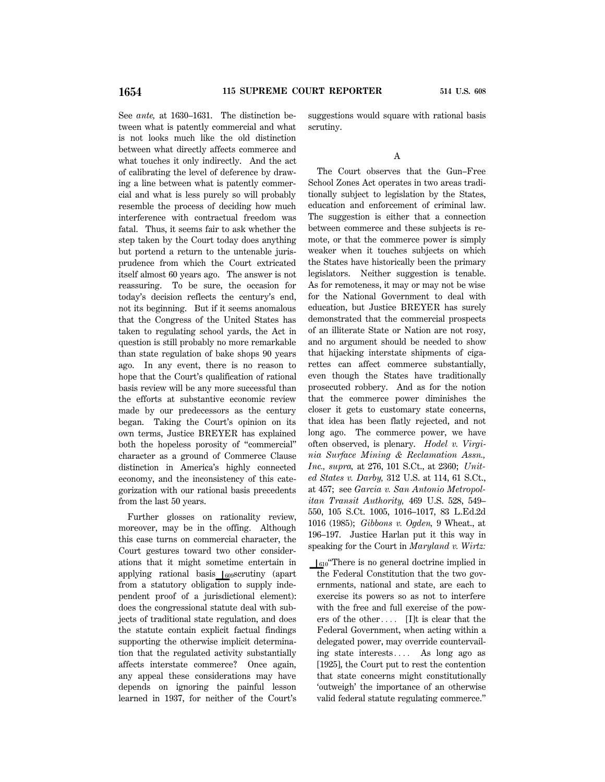See *ante,* at 1630–1631. The distinction between what is patently commercial and what is not looks much like the old distinction between what directly affects commerce and what touches it only indirectly. And the act of calibrating the level of deference by drawing a line between what is patently commercial and what is less purely so will probably resemble the process of deciding how much interference with contractual freedom was fatal. Thus, it seems fair to ask whether the step taken by the Court today does anything but portend a return to the untenable jurisprudence from which the Court extricated itself almost 60 years ago. The answer is not reassuring. To be sure, the occasion for today's decision reflects the century's end, not its beginning. But if it seems anomalous that the Congress of the United States has taken to regulating school yards, the Act in question is still probably no more remarkable than state regulation of bake shops 90 years ago. In any event, there is no reason to hope that the Court's qualification of rational basis review will be any more successful than the efforts at substantive economic review made by our predecessors as the century began. Taking the Court's opinion on its own terms, Justice BREYER has explained both the hopeless porosity of ''commercial'' character as a ground of Commerce Clause distinction in America's highly connected economy, and the inconsistency of this categorization with our rational basis precedents from the last 50 years.

Further glosses on rationality review, moreover, may be in the offing. Although this case turns on commercial character, the Court gestures toward two other considerations that it might sometime entertain in applying rational basis  $_{609}$ scrutiny (apart from a statutory obligation to supply independent proof of a jurisdictional element): does the congressional statute deal with subjects of traditional state regulation, and does the statute contain explicit factual findings supporting the otherwise implicit determination that the regulated activity substantially affects interstate commerce? Once again, any appeal these considerations may have depends on ignoring the painful lesson learned in 1937, for neither of the Court's suggestions would square with rational basis scrutiny.

# A

The Court observes that the Gun–Free School Zones Act operates in two areas traditionally subject to legislation by the States, education and enforcement of criminal law. The suggestion is either that a connection between commerce and these subjects is remote, or that the commerce power is simply weaker when it touches subjects on which the States have historically been the primary legislators. Neither suggestion is tenable. As for remoteness, it may or may not be wise for the National Government to deal with education, but Justice BREYER has surely demonstrated that the commercial prospects of an illiterate State or Nation are not rosy, and no argument should be needed to show that hijacking interstate shipments of cigarettes can affect commerce substantially, even though the States have traditionally prosecuted robbery. And as for the notion that the commerce power diminishes the closer it gets to customary state concerns, that idea has been flatly rejected, and not long ago. The commerce power, we have often observed, is plenary. *Hodel v. Virginia Surface Mining & Reclamation Assn., Inc., supra,* at 276, 101 S.Ct., at 2360; *United States v. Darby,* 312 U.S. at 114, 61 S.Ct., at 457; see *Garcia v. San Antonio Metropolitan Transit Authority,* 469 U.S. 528, 549– 550, 105 S.Ct. 1005, 1016–1017, 83 L.Ed.2d 1016 (1985); *Gibbons v. Ogden,* 9 Wheat., at 196–197. Justice Harlan put it this way in speaking for the Court in *Maryland v. Wirtz:*

 $\frac{1}{610}$  There is no general doctrine implied in the Federal Constitution that the two governments, national and state, are each to exercise its powers so as not to interfere with the free and full exercise of the powers of the other  $\dots$  [I]t is clear that the Federal Government, when acting within a delegated power, may override countervailing state interests.... As long ago as [1925], the Court put to rest the contention that state concerns might constitutionally 'outweigh' the importance of an otherwise valid federal statute regulating commerce.''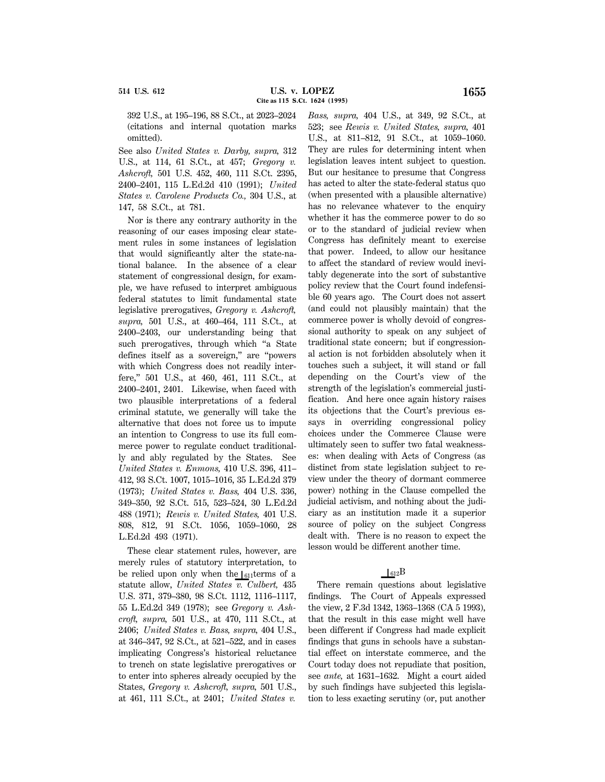392 U.S., at 195–196, 88 S.Ct., at 2023–2024 (citations and internal quotation marks omitted).

See also *United States v. Darby, supra,* 312 U.S., at 114, 61 S.Ct., at 457; *Gregory v. Ashcroft,* 501 U.S. 452, 460, 111 S.Ct. 2395, 2400–2401, 115 L.Ed.2d 410 (1991); *United States v. Carolene Products Co.,* 304 U.S., at 147, 58 S.Ct., at 781.

Nor is there any contrary authority in the reasoning of our cases imposing clear statement rules in some instances of legislation that would significantly alter the state-national balance. In the absence of a clear statement of congressional design, for example, we have refused to interpret ambiguous federal statutes to limit fundamental state legislative prerogatives, *Gregory v. Ashcroft, supra,* 501 U.S., at 460–464, 111 S.Ct., at 2400–2403, our understanding being that such prerogatives, through which "a State defines itself as a sovereign,'' are ''powers with which Congress does not readily interfere,'' 501 U.S., at 460, 461, 111 S.Ct., at 2400–2401, 2401. Likewise, when faced with two plausible interpretations of a federal criminal statute, we generally will take the alternative that does not force us to impute an intention to Congress to use its full commerce power to regulate conduct traditionally and ably regulated by the States. See *United States v. Enmons,* 410 U.S. 396, 411– 412, 93 S.Ct. 1007, 1015–1016, 35 L.Ed.2d 379 (1973); *United States v. Bass,* 404 U.S. 336, 349–350, 92 S.Ct. 515, 523–524, 30 L.Ed.2d 488 (1971); *Rewis v. United States,* 401 U.S. 808, 812, 91 S.Ct. 1056, 1059–1060, 28 L.Ed.2d 493 (1971).

These clear statement rules, however, are merely rules of statutory interpretation, to be relied upon only when the  $\frac{\ }{611}$ terms of a statute allow, *United States v. Culbert*, 435 U.S. 371, 379–380, 98 S.Ct. 1112, 1116–1117, 55 L.Ed.2d 349 (1978); see *Gregory v. Ashcroft, supra,* 501 U.S., at 470, 111 S.Ct., at 2406; *United States v. Bass, supra,* 404 U.S., at 346–347, 92 S.Ct., at 521–522, and in cases implicating Congress's historical reluctance to trench on state legislative prerogatives or to enter into spheres already occupied by the States, *Gregory v. Ashcroft, supra,* 501 U.S., at 461, 111 S.Ct., at 2401; *United States v.*

*Bass, supra,* 404 U.S., at 349, 92 S.Ct., at 523; see *Rewis v. United States, supra,* 401 U.S., at 811–812, 91 S.Ct., at 1059–1060. They are rules for determining intent when legislation leaves intent subject to question. But our hesitance to presume that Congress has acted to alter the state-federal status quo (when presented with a plausible alternative) has no relevance whatever to the enquiry whether it has the commerce power to do so or to the standard of judicial review when Congress has definitely meant to exercise that power. Indeed, to allow our hesitance to affect the standard of review would inevitably degenerate into the sort of substantive policy review that the Court found indefensible 60 years ago. The Court does not assert (and could not plausibly maintain) that the commerce power is wholly devoid of congressional authority to speak on any subject of traditional state concern; but if congressional action is not forbidden absolutely when it touches such a subject, it will stand or fall depending on the Court's view of the strength of the legislation's commercial justification. And here once again history raises its objections that the Court's previous essays in overriding congressional policy choices under the Commerce Clause were ultimately seen to suffer two fatal weaknesses: when dealing with Acts of Congress (as distinct from state legislation subject to review under the theory of dormant commerce power) nothing in the Clause compelled the judicial activism, and nothing about the judiciary as an institution made it a superior source of policy on the subject Congress dealt with. There is no reason to expect the lesson would be different another time.

# $\Box$ <sub>612</sub>B

There remain questions about legislative findings. The Court of Appeals expressed the view, 2 F.3d 1342, 1363–1368 (CA 5 1993), that the result in this case might well have been different if Congress had made explicit findings that guns in schools have a substantial effect on interstate commerce, and the Court today does not repudiate that position, see *ante,* at 1631–1632. Might a court aided by such findings have subjected this legislation to less exacting scrutiny (or, put another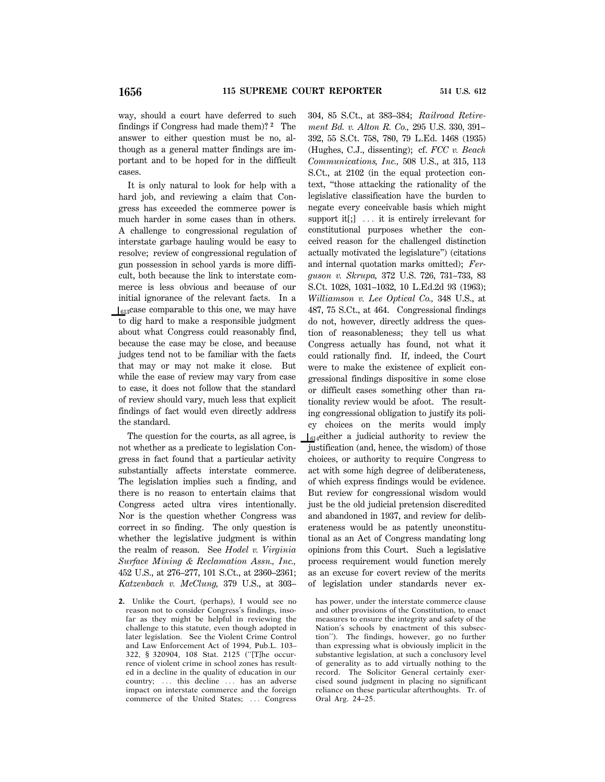way, should a court have deferred to such findings if Congress had made them)? **<sup>2</sup>** The answer to either question must be no, although as a general matter findings are important and to be hoped for in the difficult cases.

It is only natural to look for help with a hard job, and reviewing a claim that Congress has exceeded the commerce power is much harder in some cases than in others. A challenge to congressional regulation of interstate garbage hauling would be easy to resolve; review of congressional regulation of gun possession in school yards is more difficult, both because the link to interstate commerce is less obvious and because of our initial ignorance of the relevant facts. In a  $\int_{613}$ case comparable to this one, we may have to dig hard to make a responsible judgment about what Congress could reasonably find, because the case may be close, and because judges tend not to be familiar with the facts that may or may not make it close. But while the ease of review may vary from case to case, it does not follow that the standard of review should vary, much less that explicit findings of fact would even directly address the standard.

The question for the courts, as all agree, is not whether as a predicate to legislation Congress in fact found that a particular activity substantially affects interstate commerce. The legislation implies such a finding, and there is no reason to entertain claims that Congress acted ultra vires intentionally. Nor is the question whether Congress was correct in so finding. The only question is whether the legislative judgment is within the realm of reason. See *Hodel v. Virginia Surface Mining & Reclamation Assn., Inc.,* 452 U.S., at 276–277, 101 S.Ct., at 2360–2361; *Katzenbach v. McClung,* 379 U.S., at 303–

**2.** Unlike the Court, (perhaps), I would see no reason not to consider Congress's findings, insofar as they might be helpful in reviewing the challenge to this statute, even though adopted in later legislation. See the Violent Crime Control and Law Enforcement Act of 1994, Pub.L. 103– 322, § 320904, 108 Stat. 2125 (''[T]he occurrence of violent crime in school zones has resulted in a decline in the quality of education in our  $\text{counter}$ ;  $\ldots$  this decline  $\ldots$  has an adverse impact on interstate commerce and the foreign commerce of the United States; ... Congress

304, 85 S.Ct., at 383–384; *Railroad Retirement Bd. v. Alton R. Co.,* 295 U.S. 330, 391– 392, 55 S.Ct. 758, 780, 79 L.Ed. 1468 (1935) (Hughes, C.J., dissenting); cf. *FCC v. Beach Communications, Inc.,* 508 U.S., at 315, 113 S.Ct., at 2102 (in the equal protection context, ''those attacking the rationality of the legislative classification have the burden to negate every conceivable basis which might support it  $[] \dots$  it is entirely irrelevant for constitutional purposes whether the conceived reason for the challenged distinction actually motivated the legislature'') (citations and internal quotation marks omitted); *Ferguson v. Skrupa,* 372 U.S. 726, 731–733, 83 S.Ct. 1028, 1031–1032, 10 L.Ed.2d 93 (1963); *Williamson v. Lee Optical Co.,* 348 U.S., at 487, 75 S.Ct., at 464. Congressional findings do not, however, directly address the question of reasonableness; they tell us what Congress actually has found, not what it could rationally find. If, indeed, the Court were to make the existence of explicit congressional findings dispositive in some close or difficult cases something other than rationality review would be afoot. The resulting congressional obligation to justify its policy choices on the merits would imply  $\int_{614}$ either a judicial authority to review the justification (and, hence, the wisdom) of those choices, or authority to require Congress to act with some high degree of deliberateness, of which express findings would be evidence. But review for congressional wisdom would just be the old judicial pretension discredited and abandoned in 1937, and review for deliberateness would be as patently unconstitutional as an Act of Congress mandating long opinions from this Court. Such a legislative process requirement would function merely as an excuse for covert review of the merits of legislation under standards never ex-

has power, under the interstate commerce clause and other provisions of the Constitution, to enact measures to ensure the integrity and safety of the Nation's schools by enactment of this subsection''). The findings, however, go no further than expressing what is obviously implicit in the substantive legislation, at such a conclusory level of generality as to add virtually nothing to the record. The Solicitor General certainly exercised sound judgment in placing no significant reliance on these particular afterthoughts. Tr. of Oral Arg. 24–25.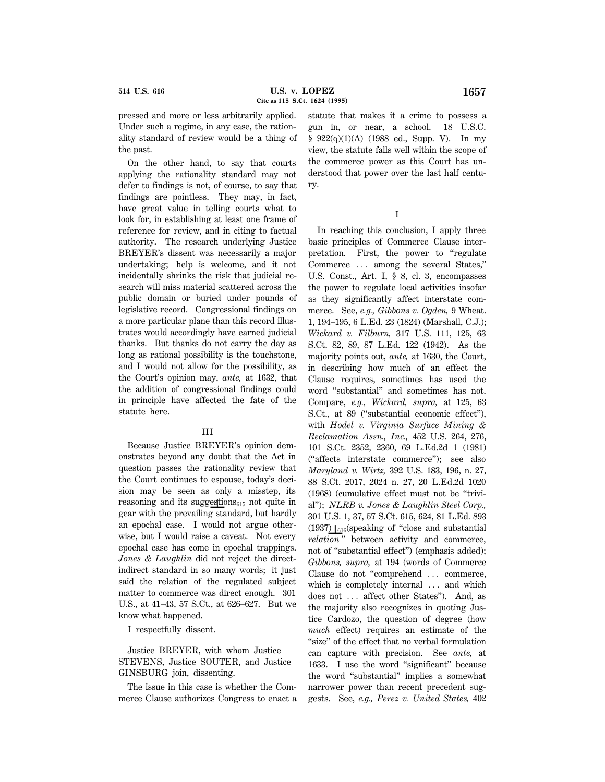pressed and more or less arbitrarily applied. Under such a regime, in any case, the rationality standard of review would be a thing of the past.

On the other hand, to say that courts applying the rationality standard may not defer to findings is not, of course, to say that findings are pointless. They may, in fact, have great value in telling courts what to look for, in establishing at least one frame of reference for review, and in citing to factual authority. The research underlying Justice BREYER's dissent was necessarily a major undertaking; help is welcome, and it not incidentally shrinks the risk that judicial research will miss material scattered across the public domain or buried under pounds of legislative record. Congressional findings on a more particular plane than this record illustrates would accordingly have earned judicial thanks. But thanks do not carry the day as long as rational possibility is the touchstone, and I would not allow for the possibility, as the Court's opinion may, *ante,* at 1632, that the addition of congressional findings could in principle have affected the fate of the statute here.

# III

Because Justice BREYER's opinion demonstrates beyond any doubt that the Act in question passes the rationality review that the Court continues to espouse, today's decision may be seen as only a misstep, its reasoning and its suggestions $_{615}$  not quite in gear with the prevailing standard, but hardly an epochal case. I would not argue otherwise, but I would raise a caveat. Not every epochal case has come in epochal trappings. *Jones & Laughlin* did not reject the directindirect standard in so many words; it just said the relation of the regulated subject matter to commerce was direct enough. 301 U.S., at 41–43, 57 S.Ct., at 626–627. But we know what happened.

I respectfully dissent.

Justice BREYER, with whom Justice STEVENS, Justice SOUTER, and Justice GINSBURG join, dissenting.

The issue in this case is whether the Commerce Clause authorizes Congress to enact a statute that makes it a crime to possess a gun in, or near, a school. 18 U.S.C. § 922(q)(1)(A) (1988 ed., Supp. V). In my view, the statute falls well within the scope of the commerce power as this Court has understood that power over the last half century.

I

In reaching this conclusion, I apply three basic principles of Commerce Clause interpretation. First, the power to ''regulate Commerce ... among the several States," U.S. Const., Art. I, § 8, cl. 3, encompasses the power to regulate local activities insofar as they significantly affect interstate commerce. See, *e.g., Gibbons v. Ogden,* 9 Wheat. 1, 194–195, 6 L.Ed. 23 (1824) (Marshall, C.J.); *Wickard v. Filburn,* 317 U.S. 111, 125, 63 S.Ct. 82, 89, 87 L.Ed. 122 (1942). As the majority points out, *ante,* at 1630, the Court, in describing how much of an effect the Clause requires, sometimes has used the word ''substantial'' and sometimes has not. Compare, *e.g., Wickard, supra,* at 125, 63 S.Ct., at 89 (''substantial economic effect''), with *Hodel v. Virginia Surface Mining & Reclamation Assn., Inc.,* 452 U.S. 264, 276, 101 S.Ct. 2352, 2360, 69 L.Ed.2d 1 (1981) (''affects interstate commerce''); see also *Maryland v. Wirtz,* 392 U.S. 183, 196, n. 27, 88 S.Ct. 2017, 2024 n. 27, 20 L.Ed.2d 1020 (1968) (cumulative effect must not be ''trivial''); *NLRB v. Jones & Laughlin Steel Corp.,* 301 U.S. 1, 37, 57 S.Ct. 615, 624, 81 L.Ed. 893 (1937)  $\frac{1}{616}$ (speaking of "close and substantial *relation* '' between activity and commerce, not of ''substantial effect'') (emphasis added); *Gibbons, supra,* at 194 (words of Commerce Clause do not "comprehend  $\ldots$  commerce, which is completely internal  $\ldots$  and which does not ... affect other States"). And, as the majority also recognizes in quoting Justice Cardozo, the question of degree (how *much* effect) requires an estimate of the "size" of the effect that no verbal formulation can capture with precision. See *ante,* at 1633. I use the word "significant" because the word ''substantial'' implies a somewhat narrower power than recent precedent suggests. See, *e.g., Perez v. United States,* 402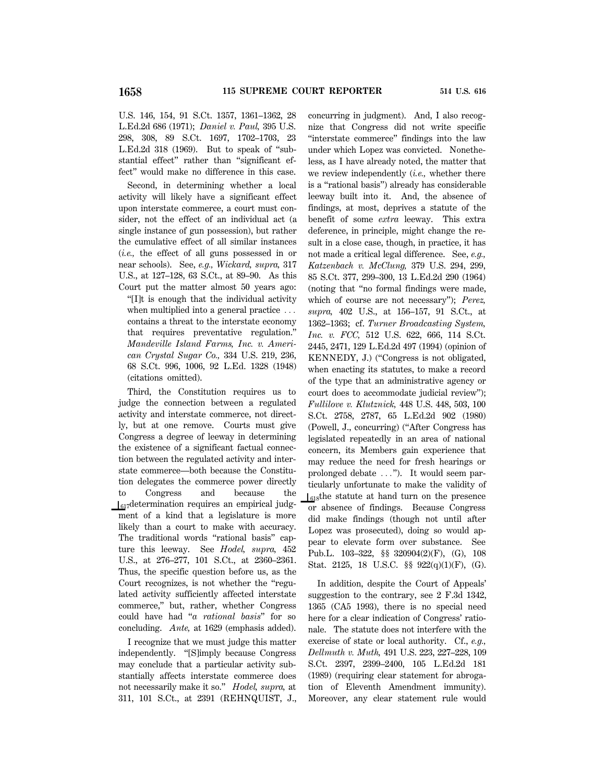U.S. 146, 154, 91 S.Ct. 1357, 1361–1362, 28 L.Ed.2d 686 (1971); *Daniel v. Paul,* 395 U.S. 298, 308, 89 S.Ct. 1697, 1702–1703, 23 L.Ed.2d 318 (1969). But to speak of ''substantial effect'' rather than ''significant effect'' would make no difference in this case.

Second, in determining whether a local activity will likely have a significant effect upon interstate commerce, a court must consider, not the effect of an individual act (a single instance of gun possession), but rather the cumulative effect of all similar instances (*i.e.,* the effect of all guns possessed in or near schools). See, *e.g., Wickard, supra,* 317 U.S., at 127–128, 63 S.Ct., at 89–90. As this Court put the matter almost 50 years ago:

''[I]t is enough that the individual activity when multiplied into a general practice  $\ldots$ contains a threat to the interstate economy that requires preventative regulation.'' *Mandeville Island Farms, Inc. v. American Crystal Sugar Co.,* 334 U.S. 219, 236, 68 S.Ct. 996, 1006, 92 L.Ed. 1328 (1948) (citations omitted).

Third, the Constitution requires us to judge the connection between a regulated activity and interstate commerce, not directly, but at one remove. Courts must give Congress a degree of leeway in determining the existence of a significant factual connection between the regulated activity and interstate commerce—both because the Constitution delegates the commerce power directly to Congress and because the  $\int_{617}$ determination requires an empirical judgment of a kind that a legislature is more likely than a court to make with accuracy. The traditional words "rational basis" capture this leeway. See *Hodel, supra,* 452 U.S., at 276–277, 101 S.Ct., at 2360–2361. Thus, the specific question before us, as the Court recognizes, is not whether the ''regulated activity sufficiently affected interstate commerce,'' but, rather, whether Congress could have had ''*a rational basis*'' for so concluding. *Ante,* at 1629 (emphasis added).

I recognize that we must judge this matter independently. ''[S]imply because Congress may conclude that a particular activity substantially affects interstate commerce does not necessarily make it so.'' *Hodel, supra,* at 311, 101 S.Ct., at 2391 (REHNQUIST, J.,

concurring in judgment). And, I also recognize that Congress did not write specific ''interstate commerce'' findings into the law under which Lopez was convicted. Nonetheless, as I have already noted, the matter that we review independently (*i.e.,* whether there is a ''rational basis'') already has considerable leeway built into it. And, the absence of findings, at most, deprives a statute of the benefit of some *extra* leeway. This extra deference, in principle, might change the result in a close case, though, in practice, it has not made a critical legal difference. See, *e.g., Katzenbach v. McClung,* 379 U.S. 294, 299, 85 S.Ct. 377, 299–300, 13 L.Ed.2d 290 (1964) (noting that ''no formal findings were made, which of course are not necessary''); *Perez, supra,* 402 U.S., at 156–157, 91 S.Ct., at 1362–1363; cf. *Turner Broadcasting System, Inc. v. FCC,* 512 U.S. 622, 666, 114 S.Ct. 2445, 2471, 129 L.Ed.2d 497 (1994) (opinion of KENNEDY, J.) (''Congress is not obligated, when enacting its statutes, to make a record of the type that an administrative agency or court does to accommodate judicial review''); *Fullilove v. Klutznick,* 448 U.S. 448, 503, 100 S.Ct. 2758, 2787, 65 L.Ed.2d 902 (1980) (Powell, J., concurring) (''After Congress has legislated repeatedly in an area of national concern, its Members gain experience that may reduce the need for fresh hearings or prolonged debate  $\ldots$ "). It would seem particularly unfortunate to make the validity of  $\int_{618}$ the statute at hand turn on the presence or absence of findings. Because Congress did make findings (though not until after Lopez was prosecuted), doing so would appear to elevate form over substance. See Pub.L. 103–322, §§ 320904(2)(F), (G), 108 Stat. 2125, 18 U.S.C. §§ 922(q)(1)(F), (G).

In addition, despite the Court of Appeals' suggestion to the contrary, see 2 F.3d 1342, 1365 (CA5 1993), there is no special need here for a clear indication of Congress' rationale. The statute does not interfere with the exercise of state or local authority. Cf., *e.g., Dellmuth v. Muth,* 491 U.S. 223, 227–228, 109 S.Ct. 2397, 2399–2400, 105 L.Ed.2d 181 (1989) (requiring clear statement for abrogation of Eleventh Amendment immunity). Moreover, any clear statement rule would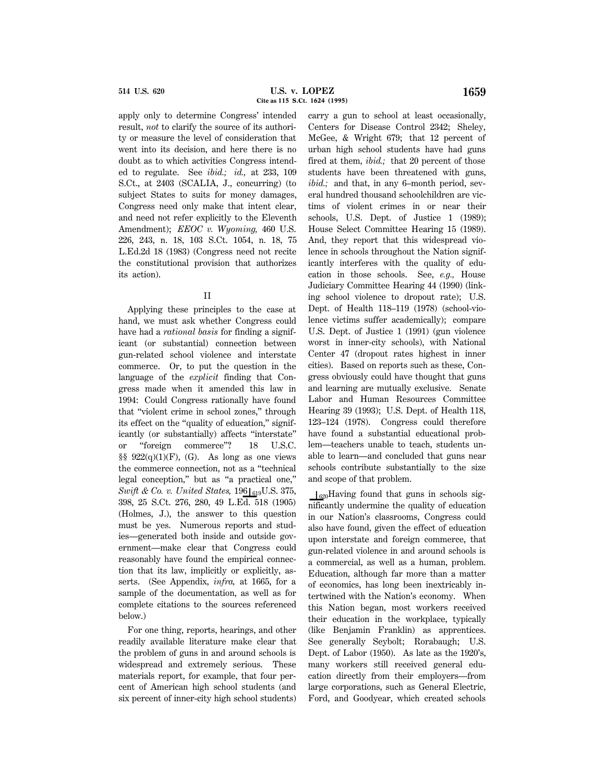apply only to determine Congress' intended result, *not* to clarify the source of its authority or measure the level of consideration that went into its decision, and here there is no doubt as to which activities Congress intended to regulate. See *ibid.; id.,* at 233, 109 S.Ct., at 2403 (SCALIA, J., concurring) (to subject States to suits for money damages, Congress need only make that intent clear, and need not refer explicitly to the Eleventh Amendment); *EEOC v. Wyoming,* 460 U.S. 226, 243, n. 18, 103 S.Ct. 1054, n. 18, 75 L.Ed.2d 18 (1983) (Congress need not recite the constitutional provision that authorizes its action).

# II

Applying these principles to the case at hand, we must ask whether Congress could have had a *rational basis* for finding a significant (or substantial) connection between gun-related school violence and interstate commerce. Or, to put the question in the language of the *explicit* finding that Congress made when it amended this law in 1994: Could Congress rationally have found that ''violent crime in school zones,'' through its effect on the "quality of education," significantly (or substantially) affects ''interstate'' or "foreign commerce"? 18 U.S.C. §§  $922(q)(1)(F)$ , (G). As long as one views the commerce connection, not as a ''technical legal conception,'' but as ''a practical one,'' *Swift & Co. v. United States,* 196  $_{619}$ U.S. 375, 398, 25 S.Ct. 276, 280, 49 L.Ed. 518 (1905) (Holmes, J.), the answer to this question must be yes. Numerous reports and studies—generated both inside and outside government—make clear that Congress could reasonably have found the empirical connection that its law, implicitly or explicitly, asserts. (See Appendix, *infra,* at 1665, for a sample of the documentation, as well as for complete citations to the sources referenced below.)

For one thing, reports, hearings, and other readily available literature make clear that the problem of guns in and around schools is widespread and extremely serious. These materials report, for example, that four percent of American high school students (and six percent of inner-city high school students) carry a gun to school at least occasionally, Centers for Disease Control 2342; Sheley, McGee, & Wright 679; that 12 percent of urban high school students have had guns fired at them, *ibid.*; that 20 percent of those students have been threatened with guns, *ibid.;* and that, in any 6–month period, several hundred thousand schoolchildren are victims of violent crimes in or near their schools, U.S. Dept. of Justice 1 (1989); House Select Committee Hearing 15 (1989). And, they report that this widespread violence in schools throughout the Nation significantly interferes with the quality of education in those schools. See, *e.g.,* House Judiciary Committee Hearing 44 (1990) (linking school violence to dropout rate); U.S. Dept. of Health 118–119 (1978) (school-violence victims suffer academically); compare U.S. Dept. of Justice 1 (1991) (gun violence worst in inner-city schools), with National Center 47 (dropout rates highest in inner cities). Based on reports such as these, Congress obviously could have thought that guns and learning are mutually exclusive. Senate Labor and Human Resources Committee Hearing 39 (1993); U.S. Dept. of Health 118, 123–124 (1978). Congress could therefore have found a substantial educational problem—teachers unable to teach, students unable to learn—and concluded that guns near schools contribute substantially to the size and scope of that problem.

 $\log_{10}$ Having found that guns in schools significantly undermine the quality of education in our Nation's classrooms, Congress could also have found, given the effect of education upon interstate and foreign commerce, that gun-related violence in and around schools is a commercial, as well as a human, problem. Education, although far more than a matter of economics, has long been inextricably intertwined with the Nation's economy. When this Nation began, most workers received their education in the workplace, typically (like Benjamin Franklin) as apprentices. See generally Seybolt; Rorabaugh; U.S. Dept. of Labor (1950). As late as the 1920's, many workers still received general education directly from their employers—from large corporations, such as General Electric, Ford, and Goodyear, which created schools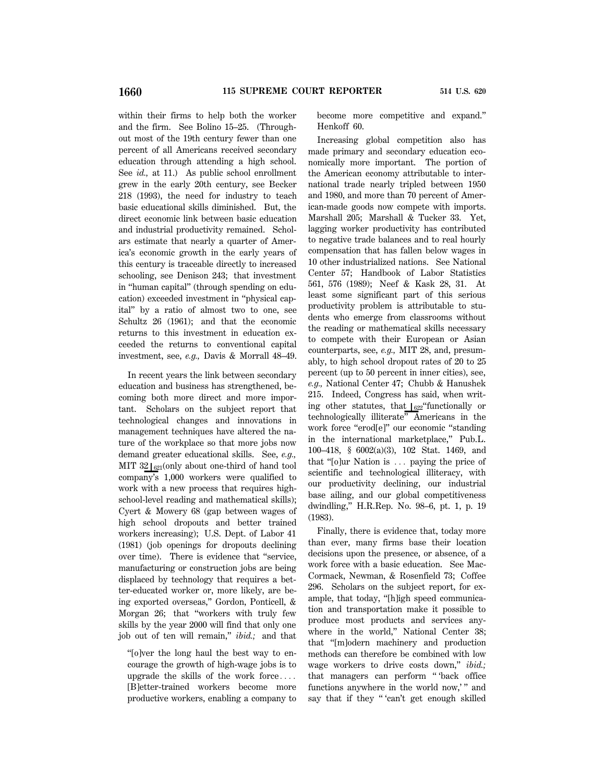within their firms to help both the worker and the firm. See Bolino 15–25. (Throughout most of the 19th century fewer than one percent of all Americans received secondary education through attending a high school. See *id.,* at 11.) As public school enrollment grew in the early 20th century, see Becker 218 (1993), the need for industry to teach basic educational skills diminished. But, the direct economic link between basic education and industrial productivity remained. Scholars estimate that nearly a quarter of America's economic growth in the early years of this century is traceable directly to increased schooling, see Denison 243; that investment in ''human capital'' (through spending on education) exceeded investment in ''physical capital'' by a ratio of almost two to one, see Schultz 26 (1961); and that the economic returns to this investment in education exceeded the returns to conventional capital investment, see, *e.g.,* Davis & Morrall 48–49.

In recent years the link between secondary education and business has strengthened, becoming both more direct and more important. Scholars on the subject report that technological changes and innovations in management techniques have altered the nature of the workplace so that more jobs now demand greater educational skills. See, *e.g.,* MIT 32  $\mid$ <sub>621</sub>(only about one-third of hand tool  $\overline{\text{company's}}$  1,000 workers were qualified to work with a new process that requires highschool-level reading and mathematical skills); Cyert & Mowery 68 (gap between wages of high school dropouts and better trained workers increasing); U.S. Dept. of Labor 41 (1981) (job openings for dropouts declining over time). There is evidence that ''service, manufacturing or construction jobs are being displaced by technology that requires a better-educated worker or, more likely, are being exported overseas,'' Gordon, Ponticell, & Morgan 26; that ''workers with truly few skills by the year 2000 will find that only one job out of ten will remain,'' *ibid.;* and that

''[o]ver the long haul the best way to encourage the growth of high-wage jobs is to upgrade the skills of the work force $\ldots$ [B]etter-trained workers become more productive workers, enabling a company to become more competitive and expand.'' Henkoff 60.

Increasing global competition also has made primary and secondary education economically more important. The portion of the American economy attributable to international trade nearly tripled between 1950 and 1980, and more than 70 percent of American-made goods now compete with imports. Marshall 205; Marshall & Tucker 33. Yet, lagging worker productivity has contributed to negative trade balances and to real hourly compensation that has fallen below wages in 10 other industrialized nations. See National Center 57; Handbook of Labor Statistics 561, 576 (1989); Neef & Kask 28, 31. At least some significant part of this serious productivity problem is attributable to students who emerge from classrooms without the reading or mathematical skills necessary to compete with their European or Asian counterparts, see, *e.g.,* MIT 28, and, presumably, to high school dropout rates of 20 to 25 percent (up to 50 percent in inner cities), see, *e.g.,* National Center 47; Chubb & Hanushek 215. Indeed, Congress has said, when writing other statutes, that  $\int_{622}$ "functionally or technologically illiterate'' Americans in the work force ''erod[e]'' our economic ''standing in the international marketplace,'' Pub.L. 100–418, § 6002(a)(3), 102 Stat. 1469, and that " $\lceil$ o $\rceil$ ur Nation is ... paying the price of scientific and technological illiteracy, with our productivity declining, our industrial base ailing, and our global competitiveness dwindling,'' H.R.Rep. No. 98–6, pt. 1, p. 19 (1983).

Finally, there is evidence that, today more than ever, many firms base their location decisions upon the presence, or absence, of a work force with a basic education. See Mac-Cormack, Newman, & Rosenfield 73; Coffee 296. Scholars on the subject report, for example, that today, ''[h]igh speed communication and transportation make it possible to produce most products and services anywhere in the world,'' National Center 38; that ''[m]odern machinery and production methods can therefore be combined with low wage workers to drive costs down,'' *ibid.;* that managers can perform '' 'back office functions anywhere in the world now,'" and say that if they "'can't get enough skilled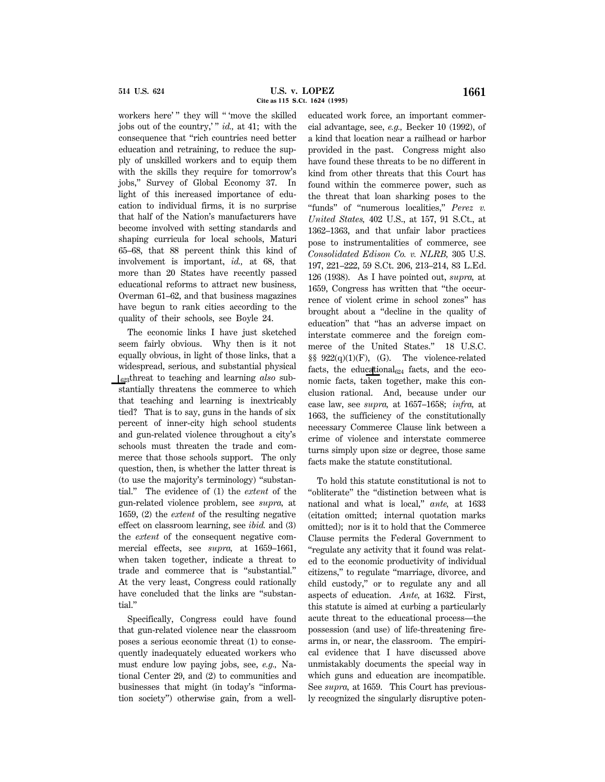#### **U.S. v. LOPEZ 1661 Cite as 115 S.Ct. 1624 (1995)**

workers here' '' they will '' 'move the skilled jobs out of the country,'" *id.*, at 41; with the consequence that ''rich countries need better education and retraining, to reduce the supply of unskilled workers and to equip them with the skills they require for tomorrow's jobs,'' Survey of Global Economy 37. In light of this increased importance of education to individual firms, it is no surprise that half of the Nation's manufacturers have become involved with setting standards and shaping curricula for local schools, Maturi 65–68, that 88 percent think this kind of involvement is important, *id.,* at 68, that more than 20 States have recently passed educational reforms to attract new business, Overman 61–62, and that business magazines have begun to rank cities according to the quality of their schools, see Boyle 24.

The economic links I have just sketched seem fairly obvious. Why then is it not equally obvious, in light of those links, that a widespread, serious, and substantial physical S623threat to teaching and learning *also* substantially threatens the commerce to which that teaching and learning is inextricably tied? That is to say, guns in the hands of six percent of inner-city high school students and gun-related violence throughout a city's schools must threaten the trade and commerce that those schools support. The only question, then, is whether the latter threat is (to use the majority's terminology) ''substantial.'' The evidence of (1) the *extent* of the gun-related violence problem, see *supra,* at 1659, (2) the *extent* of the resulting negative effect on classroom learning, see *ibid.* and (3) the *extent* of the consequent negative commercial effects, see *supra,* at 1659–1661, when taken together, indicate a threat to trade and commerce that is ''substantial.'' At the very least, Congress could rationally have concluded that the links are "substantial.''

Specifically, Congress could have found that gun-related violence near the classroom poses a serious economic threat (1) to consequently inadequately educated workers who must endure low paying jobs, see, *e.g.,* National Center 29, and (2) to communities and businesses that might (in today's ''information society'') otherwise gain, from a welleducated work force, an important commercial advantage, see, *e.g.,* Becker 10 (1992), of a kind that location near a railhead or harbor provided in the past. Congress might also have found these threats to be no different in kind from other threats that this Court has found within the commerce power, such as the threat that loan sharking poses to the ''funds'' of ''numerous localities,'' *Perez v. United States,* 402 U.S., at 157, 91 S.Ct., at 1362–1363, and that unfair labor practices pose to instrumentalities of commerce, see *Consolidated Edison Co. v. NLRB,* 305 U.S. 197, 221–222, 59 S.Ct. 206, 213–214, 83 L.Ed. 126 (1938). As I have pointed out, *supra,* at 1659, Congress has written that ''the occurrence of violent crime in school zones'' has brought about a ''decline in the quality of education'' that ''has an adverse impact on interstate commerce and the foreign commerce of the United States.'' 18 U.S.C. §§ 922(q)(1)(F), (G). The violence-related facts, the educational $_{624}$  facts, and the economic facts, taken together, make this conclusion rational. And, because under our case law, see *supra,* at 1657–1658; *infra,* at 1663, the sufficiency of the constitutionally necessary Commerce Clause link between a crime of violence and interstate commerce turns simply upon size or degree, those same facts make the statute constitutional.

To hold this statute constitutional is not to ''obliterate'' the ''distinction between what is national and what is local,'' *ante,* at 1633 (citation omitted; internal quotation marks omitted); nor is it to hold that the Commerce Clause permits the Federal Government to ''regulate any activity that it found was related to the economic productivity of individual citizens,'' to regulate ''marriage, divorce, and child custody,'' or to regulate any and all aspects of education. *Ante,* at 1632. First, this statute is aimed at curbing a particularly acute threat to the educational process—the possession (and use) of life-threatening firearms in, or near, the classroom. The empirical evidence that I have discussed above unmistakably documents the special way in which guns and education are incompatible. See *supra,* at 1659. This Court has previously recognized the singularly disruptive poten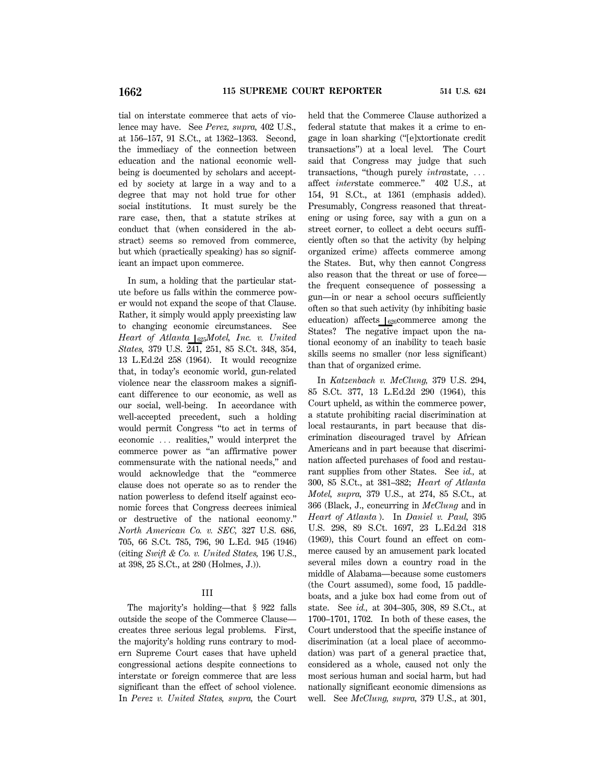tial on interstate commerce that acts of violence may have. See *Perez, supra,* 402 U.S., at 156–157, 91 S.Ct., at 1362–1363. Second, the immediacy of the connection between education and the national economic wellbeing is documented by scholars and accepted by society at large in a way and to a degree that may not hold true for other social institutions. It must surely be the rare case, then, that a statute strikes at conduct that (when considered in the abstract) seems so removed from commerce, but which (practically speaking) has so significant an impact upon commerce.

In sum, a holding that the particular statute before us falls within the commerce power would not expand the scope of that Clause. Rather, it simply would apply preexisting law to changing economic circumstances. See *Heart of Atlanta*  $\int_{0.25}$ *Motel, Inc. v. United States,* 379 U.S. 241, 251, 85 S.Ct. 348, 354, 13 L.Ed.2d 258 (1964). It would recognize that, in today's economic world, gun-related violence near the classroom makes a significant difference to our economic, as well as our social, well-being. In accordance with well-accepted precedent, such a holding would permit Congress ''to act in terms of economic ... realities," would interpret the commerce power as ''an affirmative power commensurate with the national needs,'' and would acknowledge that the ''commerce clause does not operate so as to render the nation powerless to defend itself against economic forces that Congress decrees inimical or destructive of the national economy.'' *North American Co. v. SEC,* 327 U.S. 686, 705, 66 S.Ct. 785, 796, 90 L.Ed. 945 (1946) (citing *Swift & Co. v. United States,* 196 U.S., at 398, 25 S.Ct., at 280 (Holmes, J.)).

# III

The majority's holding—that § 922 falls outside the scope of the Commerce Clause creates three serious legal problems. First, the majority's holding runs contrary to modern Supreme Court cases that have upheld congressional actions despite connections to interstate or foreign commerce that are less significant than the effect of school violence. In *Perez v. United States, supra,* the Court held that the Commerce Clause authorized a federal statute that makes it a crime to engage in loan sharking (''[e]xtortionate credit transactions'') at a local level. The Court said that Congress may judge that such transactions, "though purely *intrastate*, ... affect *inter*state commerce.'' 402 U.S., at 154, 91 S.Ct., at 1361 (emphasis added). Presumably, Congress reasoned that threatening or using force, say with a gun on a street corner, to collect a debt occurs sufficiently often so that the activity (by helping organized crime) affects commerce among the States. But, why then cannot Congress also reason that the threat or use of force the frequent consequence of possessing a gun—in or near a school occurs sufficiently often so that such activity (by inhibiting basic education) affects  $\frac{1}{626}$ commerce among the States? The negative impact upon the national economy of an inability to teach basic skills seems no smaller (nor less significant) than that of organized crime.

In *Katzenbach v. McClung,* 379 U.S. 294, 85 S.Ct. 377, 13 L.Ed.2d 290 (1964), this Court upheld, as within the commerce power, a statute prohibiting racial discrimination at local restaurants, in part because that discrimination discouraged travel by African Americans and in part because that discrimination affected purchases of food and restaurant supplies from other States. See *id.,* at 300, 85 S.Ct., at 381–382; *Heart of Atlanta Motel, supra,* 379 U.S., at 274, 85 S.Ct., at 366 (Black, J., concurring in *McClung* and in *Heart of Atlanta* ). In *Daniel v. Paul,* 395 U.S. 298, 89 S.Ct. 1697, 23 L.Ed.2d 318 (1969), this Court found an effect on commerce caused by an amusement park located several miles down a country road in the middle of Alabama—because some customers (the Court assumed), some food, 15 paddleboats, and a juke box had come from out of state. See *id.,* at 304–305, 308, 89 S.Ct., at 1700–1701, 1702. In both of these cases, the Court understood that the specific instance of discrimination (at a local place of accommodation) was part of a general practice that, considered as a whole, caused not only the most serious human and social harm, but had nationally significant economic dimensions as well. See *McClung, supra,* 379 U.S., at 301,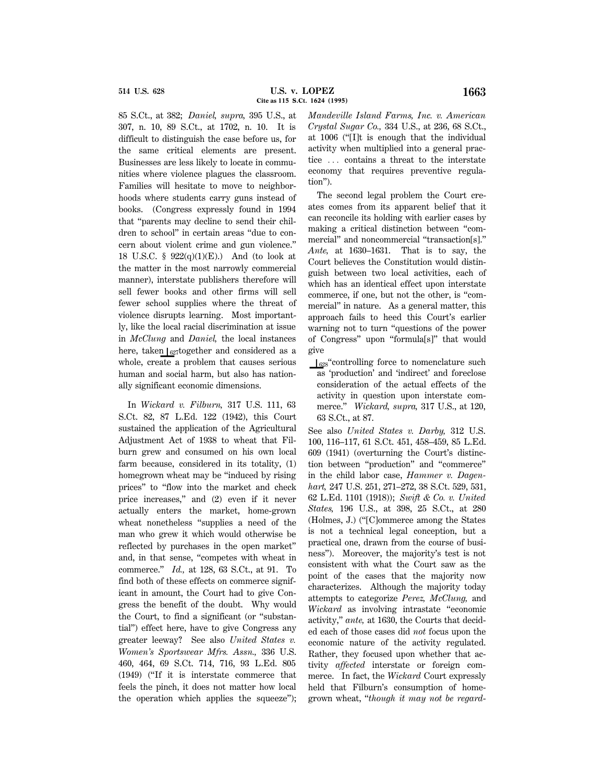85 S.Ct., at 382; *Daniel, supra,* 395 U.S., at 307, n. 10, 89 S.Ct., at 1702, n. 10. It is difficult to distinguish the case before us, for the same critical elements are present. Businesses are less likely to locate in communities where violence plagues the classroom. Families will hesitate to move to neighborhoods where students carry guns instead of books. (Congress expressly found in 1994 that ''parents may decline to send their children to school'' in certain areas ''due to concern about violent crime and gun violence.'' 18 U.S.C. §  $922(q)(1)(E)$ .) And (to look at the matter in the most narrowly commercial manner), interstate publishers therefore will sell fewer books and other firms will sell fewer school supplies where the threat of violence disrupts learning. Most importantly, like the local racial discrimination at issue in *McClung* and *Daniel,* the local instances here, taken  $\int_{627}$ together and considered as a whole, create a problem that causes serious human and social harm, but also has nationally significant economic dimensions.

In *Wickard v. Filburn,* 317 U.S. 111, 63 S.Ct. 82, 87 L.Ed. 122 (1942), this Court sustained the application of the Agricultural Adjustment Act of 1938 to wheat that Filburn grew and consumed on his own local farm because, considered in its totality, (1) homegrown wheat may be ''induced by rising prices'' to ''flow into the market and check price increases,'' and (2) even if it never actually enters the market, home-grown wheat nonetheless ''supplies a need of the man who grew it which would otherwise be reflected by purchases in the open market'' and, in that sense, ''competes with wheat in commerce.'' *Id.,* at 128, 63 S.Ct., at 91. To find both of these effects on commerce significant in amount, the Court had to give Congress the benefit of the doubt. Why would the Court, to find a significant (or ''substantial'') effect here, have to give Congress any greater leeway? See also *United States v. Women's Sportswear Mfrs. Assn.,* 336 U.S. 460, 464, 69 S.Ct. 714, 716, 93 L.Ed. 805 (1949) (''If it is interstate commerce that feels the pinch, it does not matter how local the operation which applies the squeeze''); *Mandeville Island Farms, Inc. v. American Crystal Sugar Co.,* 334 U.S., at 236, 68 S.Ct., at 1006 (''[I]t is enough that the individual activity when multiplied into a general practice ... contains a threat to the interstate economy that requires preventive regulation'').

The second legal problem the Court creates comes from its apparent belief that it can reconcile its holding with earlier cases by making a critical distinction between ''commercial'' and noncommercial ''transaction[s].'' *Ante,* at 1630–1631. That is to say, the Court believes the Constitution would distinguish between two local activities, each of which has an identical effect upon interstate commerce, if one, but not the other, is ''commercial'' in nature. As a general matter, this approach fails to heed this Court's earlier warning not to turn ''questions of the power of Congress'' upon ''formula[s]'' that would give

 $\log$ <sup>"</sup>controlling force to nomenclature such as 'production' and 'indirect' and foreclose consideration of the actual effects of the activity in question upon interstate commerce.'' *Wickard, supra,* 317 U.S., at 120, 63 S.Ct., at 87.

See also *United States v. Darby,* 312 U.S. 100, 116–117, 61 S.Ct. 451, 458–459, 85 L.Ed. 609 (1941) (overturning the Court's distinction between ''production'' and ''commerce'' in the child labor case, *Hammer v. Dagenhart,* 247 U.S. 251, 271–272, 38 S.Ct. 529, 531, 62 L.Ed. 1101 (1918)); *Swift & Co. v. United States,* 196 U.S., at 398, 25 S.Ct., at 280 (Holmes, J.) (''[C]ommerce among the States is not a technical legal conception, but a practical one, drawn from the course of business''). Moreover, the majority's test is not consistent with what the Court saw as the point of the cases that the majority now characterizes. Although the majority today attempts to categorize *Perez, McClung,* and *Wickard* as involving intrastate ''economic activity,'' *ante,* at 1630, the Courts that decided each of those cases did *not* focus upon the economic nature of the activity regulated. Rather, they focused upon whether that activity *affected* interstate or foreign commerce. In fact, the *Wickard* Court expressly held that Filburn's consumption of homegrown wheat, ''*though it may not be regard*-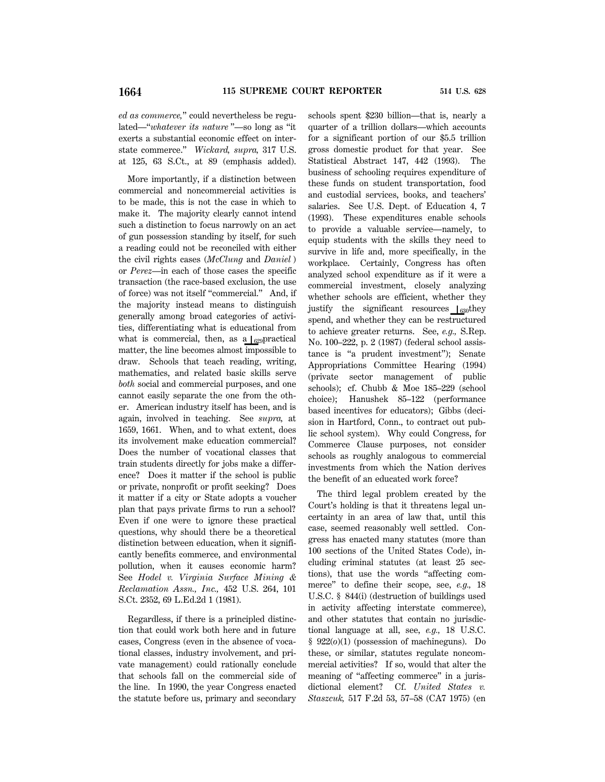*ed as commerce,*'' could nevertheless be regulated—''*whatever its nature* ''—so long as ''it exerts a substantial economic effect on interstate commerce.'' *Wickard, supra,* 317 U.S. at 125, 63 S.Ct., at 89 (emphasis added).

More importantly, if a distinction between commercial and noncommercial activities is to be made, this is not the case in which to make it. The majority clearly cannot intend such a distinction to focus narrowly on an act of gun possession standing by itself, for such a reading could not be reconciled with either the civil rights cases (*McClung* and *Daniel* ) or *Perez*—in each of those cases the specific transaction (the race-based exclusion, the use of force) was not itself ''commercial.'' And, if the majority instead means to distinguish generally among broad categories of activities, differentiating what is educational from what is commercial, then, as a  $_{629}$ practical matter, the line becomes almost impossible to draw. Schools that teach reading, writing, mathematics, and related basic skills serve *both* social and commercial purposes, and one cannot easily separate the one from the other. American industry itself has been, and is again, involved in teaching. See *supra,* at 1659, 1661. When, and to what extent, does its involvement make education commercial? Does the number of vocational classes that train students directly for jobs make a difference? Does it matter if the school is public or private, nonprofit or profit seeking? Does it matter if a city or State adopts a voucher plan that pays private firms to run a school? Even if one were to ignore these practical questions, why should there be a theoretical distinction between education, when it significantly benefits commerce, and environmental pollution, when it causes economic harm? See *Hodel v. Virginia Surface Mining & Reclamation Assn., Inc.,* 452 U.S. 264, 101 S.Ct. 2352, 69 L.Ed.2d 1 (1981).

Regardless, if there is a principled distinction that could work both here and in future cases, Congress (even in the absence of vocational classes, industry involvement, and private management) could rationally conclude that schools fall on the commercial side of the line. In 1990, the year Congress enacted the statute before us, primary and secondary schools spent \$230 billion—that is, nearly a quarter of a trillion dollars—which accounts for a significant portion of our \$5.5 trillion gross domestic product for that year. See Statistical Abstract 147, 442 (1993). The business of schooling requires expenditure of these funds on student transportation, food and custodial services, books, and teachers' salaries. See U.S. Dept. of Education 4, 7 (1993). These expenditures enable schools to provide a valuable service—namely, to equip students with the skills they need to survive in life and, more specifically, in the workplace. Certainly, Congress has often analyzed school expenditure as if it were a commercial investment, closely analyzing whether schools are efficient, whether they justify the significant resources  $\log$ <sub>630</sub>they spend, and whether they can be restructured to achieve greater returns. See, *e.g.,* S.Rep. No. 100–222, p. 2 (1987) (federal school assistance is ''a prudent investment''); Senate Appropriations Committee Hearing (1994) (private sector management of public schools); cf. Chubb & Moe 185–229 (school choice); Hanushek 85–122 (performance based incentives for educators); Gibbs (decision in Hartford, Conn., to contract out public school system). Why could Congress, for Commerce Clause purposes, not consider schools as roughly analogous to commercial investments from which the Nation derives the benefit of an educated work force?

The third legal problem created by the Court's holding is that it threatens legal uncertainty in an area of law that, until this case, seemed reasonably well settled. Congress has enacted many statutes (more than 100 sections of the United States Code), including criminal statutes (at least 25 sections), that use the words ''affecting commerce'' to define their scope, see, *e.g.,* 18 U.S.C. § 844(i) (destruction of buildings used in activity affecting interstate commerce), and other statutes that contain no jurisdictional language at all, see, *e.g.,* 18 U.S.C. § 922(*o*)(1) (possession of machineguns). Do these, or similar, statutes regulate noncommercial activities? If so, would that alter the meaning of "affecting commerce" in a jurisdictional element? Cf. *United States v. Staszcuk,* 517 F.2d 53, 57–58 (CA7 1975) (en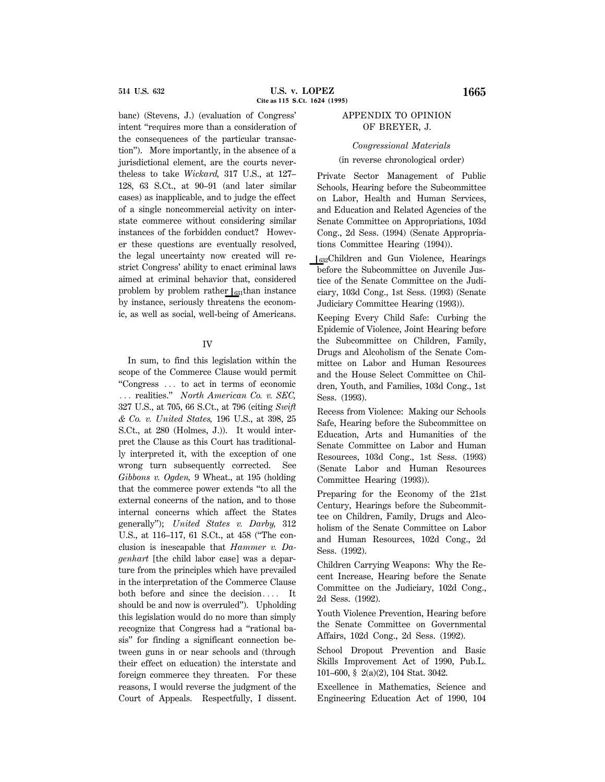banc) (Stevens, J.) (evaluation of Congress' intent ''requires more than a consideration of the consequences of the particular transaction''). More importantly, in the absence of a jurisdictional element, are the courts nevertheless to take *Wickard,* 317 U.S., at 127– 128, 63 S.Ct., at 90–91 (and later similar cases) as inapplicable, and to judge the effect of a single noncommercial activity on interstate commerce without considering similar instances of the forbidden conduct? However these questions are eventually resolved, the legal uncertainty now created will restrict Congress' ability to enact criminal laws aimed at criminal behavior that, considered problem by problem rather  $\int_{631}$ than instance by instance, seriously threatens the economic, as well as social, well-being of Americans.

#### IV

In sum, to find this legislation within the scope of the Commerce Clause would permit "Congress ... to act in terms of economic ... realities." *North American Co. v. SEC*, 327 U.S., at 705, 66 S.Ct., at 796 (citing *Swift & Co. v. United States,* 196 U.S., at 398, 25 S.Ct., at 280 (Holmes, J.)). It would interpret the Clause as this Court has traditionally interpreted it, with the exception of one wrong turn subsequently corrected. See *Gibbons v. Ogden,* 9 Wheat., at 195 (holding that the commerce power extends ''to all the external concerns of the nation, and to those internal concerns which affect the States generally''); *United States v. Darby,* 312 U.S., at 116–117, 61 S.Ct., at 458 (''The conclusion is inescapable that *Hammer v. Dagenhart* [the child labor case] was a departure from the principles which have prevailed in the interpretation of the Commerce Clause both before and since the decision $\ldots$  It should be and now is overruled''). Upholding this legislation would do no more than simply recognize that Congress had a ''rational basis'' for finding a significant connection between guns in or near schools and (through their effect on education) the interstate and foreign commerce they threaten. For these reasons, I would reverse the judgment of the Court of Appeals. Respectfully, I dissent.

# APPENDIX TO OPINION OF BREYER, J.

# *Congressional Materials*

(in reverse chronological order)

Private Sector Management of Public Schools, Hearing before the Subcommittee on Labor, Health and Human Services, and Education and Related Agencies of the Senate Committee on Appropriations, 103d Cong., 2d Sess. (1994) (Senate Appropriations Committee Hearing (1994)).

 $\int_{632}$ Children and Gun Violence, Hearings before the Subcommittee on Juvenile Justice of the Senate Committee on the Judiciary, 103d Cong., 1st Sess. (1993) (Senate Judiciary Committee Hearing (1993)).

Keeping Every Child Safe: Curbing the Epidemic of Violence, Joint Hearing before the Subcommittee on Children, Family, Drugs and Alcoholism of the Senate Committee on Labor and Human Resources and the House Select Committee on Children, Youth, and Families, 103d Cong., 1st Sess. (1993).

Recess from Violence: Making our Schools Safe, Hearing before the Subcommittee on Education, Arts and Humanities of the Senate Committee on Labor and Human Resources, 103d Cong., 1st Sess. (1993) (Senate Labor and Human Resources Committee Hearing (1993)).

Preparing for the Economy of the 21st Century, Hearings before the Subcommittee on Children, Family, Drugs and Alcoholism of the Senate Committee on Labor and Human Resources, 102d Cong., 2d Sess. (1992).

Children Carrying Weapons: Why the Recent Increase, Hearing before the Senate Committee on the Judiciary, 102d Cong., 2d Sess. (1992).

Youth Violence Prevention, Hearing before the Senate Committee on Governmental Affairs, 102d Cong., 2d Sess. (1992).

School Dropout Prevention and Basic Skills Improvement Act of 1990, Pub.L. 101–600, § 2(a)(2), 104 Stat. 3042.

Excellence in Mathematics, Science and Engineering Education Act of 1990, 104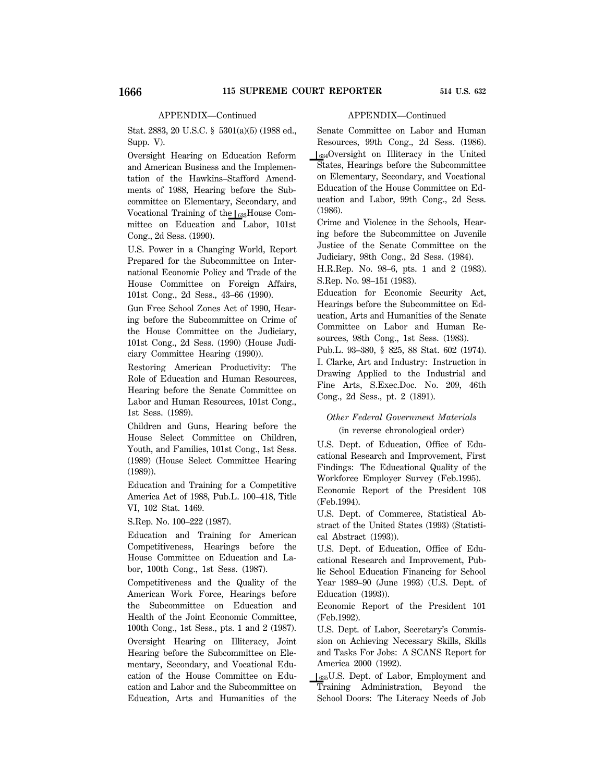Stat. 2883, 20 U.S.C. § 5301(a)(5) (1988 ed., Supp. V).

Oversight Hearing on Education Reform and American Business and the Implementation of the Hawkins–Stafford Amendments of 1988, Hearing before the Subcommittee on Elementary, Secondary, and Vocational Training of the  $I_{633}$ House Committee on Education and Labor, 101st Cong., 2d Sess. (1990).

U.S. Power in a Changing World, Report Prepared for the Subcommittee on International Economic Policy and Trade of the House Committee on Foreign Affairs, 101st Cong., 2d Sess., 43–66 (1990).

Gun Free School Zones Act of 1990, Hearing before the Subcommittee on Crime of the House Committee on the Judiciary, 101st Cong., 2d Sess. (1990) (House Judiciary Committee Hearing (1990)).

Restoring American Productivity: The Role of Education and Human Resources, Hearing before the Senate Committee on Labor and Human Resources, 101st Cong., 1st Sess. (1989).

Children and Guns, Hearing before the House Select Committee on Children, Youth, and Families, 101st Cong., 1st Sess. (1989) (House Select Committee Hearing (1989)).

Education and Training for a Competitive America Act of 1988, Pub.L. 100–418, Title VI, 102 Stat. 1469.

S.Rep. No. 100–222 (1987).

Education and Training for American Competitiveness, Hearings before the House Committee on Education and Labor, 100th Cong., 1st Sess. (1987).

Competitiveness and the Quality of the American Work Force, Hearings before the Subcommittee on Education and Health of the Joint Economic Committee, 100th Cong., 1st Sess., pts. 1 and 2 (1987). Oversight Hearing on Illiteracy, Joint Hearing before the Subcommittee on Elementary, Secondary, and Vocational Education of the House Committee on Education and Labor and the Subcommittee on Education, Arts and Humanities of the

# APPENDIX—Continued

Senate Committee on Labor and Human Resources, 99th Cong., 2d Sess. (1986).

 $\log_4$ Oversight on Illiteracy in the United States, Hearings before the Subcommittee on Elementary, Secondary, and Vocational Education of the House Committee on Education and Labor, 99th Cong., 2d Sess. (1986).

Crime and Violence in the Schools, Hearing before the Subcommittee on Juvenile Justice of the Senate Committee on the Judiciary, 98th Cong., 2d Sess. (1984).

H.R.Rep. No. 98–6, pts. 1 and 2 (1983). S.Rep. No. 98–151 (1983).

Education for Economic Security Act, Hearings before the Subcommittee on Education, Arts and Humanities of the Senate Committee on Labor and Human Resources, 98th Cong., 1st Sess. (1983).

Pub.L. 93–380, § 825, 88 Stat. 602 (1974). I. Clarke, Art and Industry: Instruction in Drawing Applied to the Industrial and Fine Arts, S.Exec.Doc. No. 209, 46th Cong., 2d Sess., pt. 2 (1891).

# *Other Federal Government Materials* (in reverse chronological order)

U.S. Dept. of Education, Office of Educational Research and Improvement, First Findings: The Educational Quality of the Workforce Employer Survey (Feb.1995). Economic Report of the President 108 (Feb.1994).

U.S. Dept. of Commerce, Statistical Abstract of the United States (1993) (Statistical Abstract (1993)).

U.S. Dept. of Education, Office of Educational Research and Improvement, Public School Education Financing for School Year 1989–90 (June 1993) (U.S. Dept. of Education (1993)).

Economic Report of the President 101 (Feb.1992).

U.S. Dept. of Labor, Secretary's Commission on Achieving Necessary Skills, Skills and Tasks For Jobs: A SCANS Report for America 2000 (1992).

 $\int_{635}$ U.S. Dept. of Labor, Employment and Training Administration, Beyond the School Doors: The Literacy Needs of Job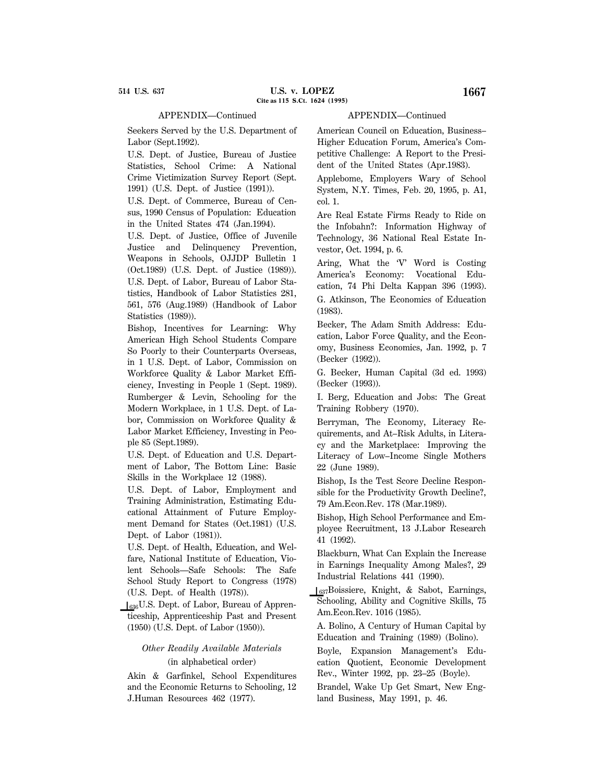Seekers Served by the U.S. Department of Labor (Sept.1992).

U.S. Dept. of Justice, Bureau of Justice Statistics, School Crime: A National Crime Victimization Survey Report (Sept. 1991) (U.S. Dept. of Justice (1991)).

U.S. Dept. of Commerce, Bureau of Census, 1990 Census of Population: Education in the United States 474 (Jan.1994).

U.S. Dept. of Justice, Office of Juvenile Justice and Delinquency Prevention, Weapons in Schools, OJJDP Bulletin 1 (Oct.1989) (U.S. Dept. of Justice (1989)). U.S. Dept. of Labor, Bureau of Labor Statistics, Handbook of Labor Statistics 281, 561, 576 (Aug.1989) (Handbook of Labor Statistics (1989)).

Bishop, Incentives for Learning: Why American High School Students Compare So Poorly to their Counterparts Overseas, in 1 U.S. Dept. of Labor, Commission on Workforce Quality & Labor Market Efficiency, Investing in People 1 (Sept. 1989). Rumberger & Levin, Schooling for the Modern Workplace, in 1 U.S. Dept. of Labor, Commission on Workforce Quality & Labor Market Efficiency, Investing in People 85 (Sept.1989).

U.S. Dept. of Education and U.S. Department of Labor, The Bottom Line: Basic Skills in the Workplace 12 (1988).

U.S. Dept. of Labor, Employment and Training Administration, Estimating Educational Attainment of Future Employment Demand for States (Oct.1981) (U.S. Dept. of Labor (1981)).

U.S. Dept. of Health, Education, and Welfare, National Institute of Education, Violent Schools—Safe Schools: The Safe School Study Report to Congress (1978) (U.S. Dept. of Health (1978)).

 $\int_{636}$ U.S. Dept. of Labor, Bureau of Apprenticeship, Apprenticeship Past and Present (1950) (U.S. Dept. of Labor (1950)).

# *Other Readily Available Materials*

# (in alphabetical order)

Akin & Garfinkel, School Expenditures and the Economic Returns to Schooling, 12 J.Human Resources 462 (1977).

# APPENDIX—Continued

American Council on Education, Business– Higher Education Forum, America's Competitive Challenge: A Report to the President of the United States (Apr.1983).

Applebome, Employers Wary of School System, N.Y. Times, Feb. 20, 1995, p. A1, col. 1.

Are Real Estate Firms Ready to Ride on the Infobahn?: Information Highway of Technology, 36 National Real Estate Investor, Oct. 1994, p. 6.

Aring, What the 'V' Word is Costing America's Economy: Vocational Education, 74 Phi Delta Kappan 396 (1993). G. Atkinson, The Economics of Education (1983).

Becker, The Adam Smith Address: Education, Labor Force Quality, and the Economy, Business Economics, Jan. 1992, p. 7 (Becker (1992)).

G. Becker, Human Capital (3d ed. 1993) (Becker (1993)).

I. Berg, Education and Jobs: The Great Training Robbery (1970).

Berryman, The Economy, Literacy Requirements, and At–Risk Adults, in Literacy and the Marketplace: Improving the Literacy of Low–Income Single Mothers 22 (June 1989).

Bishop, Is the Test Score Decline Responsible for the Productivity Growth Decline?, 79 Am.Econ.Rev. 178 (Mar.1989).

Bishop, High School Performance and Employee Recruitment, 13 J.Labor Research 41 (1992).

Blackburn, What Can Explain the Increase in Earnings Inequality Among Males?, 29 Industrial Relations 441 (1990).

S637Boissiere, Knight, & Sabot, Earnings, Schooling, Ability and Cognitive Skills, 75 Am.Econ.Rev. 1016 (1985).

A. Bolino, A Century of Human Capital by Education and Training (1989) (Bolino).

Boyle, Expansion Management's Education Quotient, Economic Development Rev., Winter 1992, pp. 23–25 (Boyle).

Brandel, Wake Up Get Smart, New England Business, May 1991, p. 46.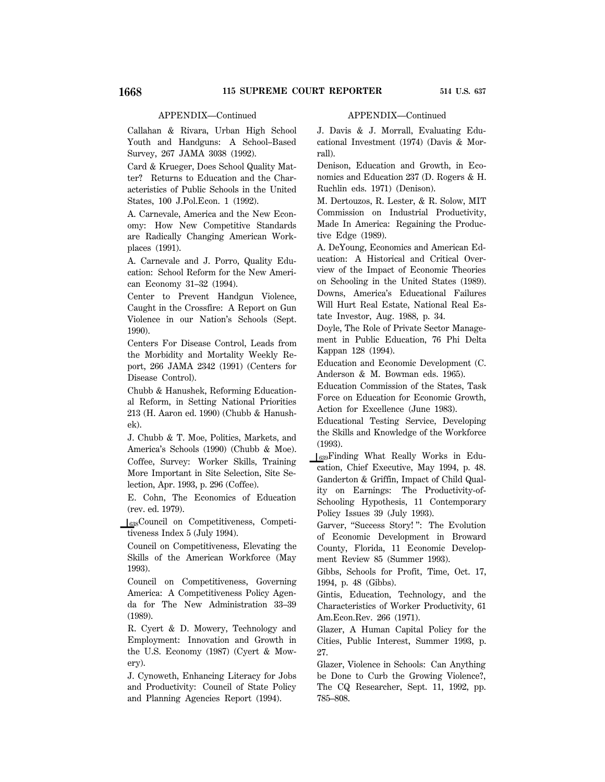Callahan & Rivara, Urban High School Youth and Handguns: A School–Based Survey, 267 JAMA 3038 (1992).

Card & Krueger, Does School Quality Matter? Returns to Education and the Characteristics of Public Schools in the United States, 100 J.Pol.Econ. 1 (1992).

A. Carnevale, America and the New Economy: How New Competitive Standards are Radically Changing American Workplaces (1991).

A. Carnevale and J. Porro, Quality Education: School Reform for the New American Economy 31–32 (1994).

Center to Prevent Handgun Violence, Caught in the Crossfire: A Report on Gun Violence in our Nation's Schools (Sept. 1990).

Centers For Disease Control, Leads from the Morbidity and Mortality Weekly Report, 266 JAMA 2342 (1991) (Centers for Disease Control).

Chubb & Hanushek, Reforming Educational Reform, in Setting National Priorities 213 (H. Aaron ed. 1990) (Chubb & Hanushek).

J. Chubb & T. Moe, Politics, Markets, and America's Schools (1990) (Chubb & Moe). Coffee, Survey: Worker Skills, Training

More Important in Site Selection, Site Selection, Apr. 1993, p. 296 (Coffee).

E. Cohn, The Economics of Education (rev. ed. 1979).

S638Council on Competitiveness, Competitiveness Index 5 (July 1994).

Council on Competitiveness, Elevating the Skills of the American Workforce (May 1993).

Council on Competitiveness, Governing America: A Competitiveness Policy Agenda for The New Administration 33–39 (1989).

R. Cyert & D. Mowery, Technology and Employment: Innovation and Growth in the U.S. Economy (1987) (Cyert & Mowery).

J. Cynoweth, Enhancing Literacy for Jobs and Productivity: Council of State Policy and Planning Agencies Report (1994).

## APPENDIX—Continued

J. Davis & J. Morrall, Evaluating Educational Investment (1974) (Davis & Morrall).

Denison, Education and Growth, in Economics and Education 237 (D. Rogers & H. Ruchlin eds. 1971) (Denison).

M. Dertouzos, R. Lester, & R. Solow, MIT Commission on Industrial Productivity, Made In America: Regaining the Productive Edge (1989).

A. DeYoung, Economics and American Education: A Historical and Critical Overview of the Impact of Economic Theories on Schooling in the United States (1989). Downs, America's Educational Failures Will Hurt Real Estate, National Real Estate Investor, Aug. 1988, p. 34.

Doyle, The Role of Private Sector Management in Public Education, 76 Phi Delta Kappan 128 (1994).

Education and Economic Development (C. Anderson & M. Bowman eds. 1965).

Education Commission of the States, Task Force on Education for Economic Growth, Action for Excellence (June 1983).

Educational Testing Service, Developing the Skills and Knowledge of the Workforce (1993).

<sub>639</sub>Finding What Really Works in Education, Chief Executive, May 1994, p. 48. Ganderton & Griffin, Impact of Child Quality on Earnings: The Productivity-of-Schooling Hypothesis, 11 Contemporary Policy Issues 39 (July 1993).

Garver, "Success Story!": The Evolution of Economic Development in Broward County, Florida, 11 Economic Development Review 85 (Summer 1993).

Gibbs, Schools for Profit, Time, Oct. 17, 1994, p. 48 (Gibbs).

Gintis, Education, Technology, and the Characteristics of Worker Productivity, 61 Am.Econ.Rev. 266 (1971).

Glazer, A Human Capital Policy for the Cities, Public Interest, Summer 1993, p. 27.

Glazer, Violence in Schools: Can Anything be Done to Curb the Growing Violence?, The CQ Researcher, Sept. 11, 1992, pp. 785–808.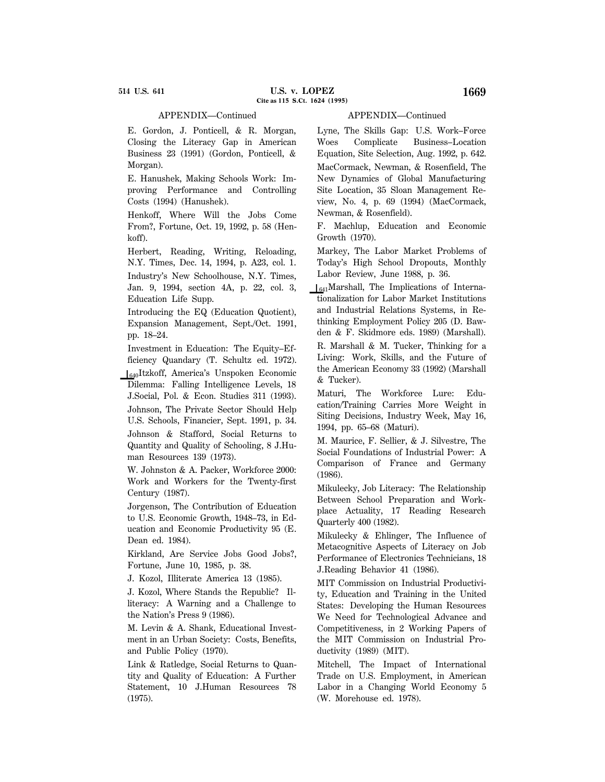E. Gordon, J. Ponticell, & R. Morgan, Closing the Literacy Gap in American Business 23 (1991) (Gordon, Ponticell, & Morgan).

E. Hanushek, Making Schools Work: Improving Performance and Controlling Costs (1994) (Hanushek).

Henkoff, Where Will the Jobs Come From?, Fortune, Oct. 19, 1992, p. 58 (Henkoff).

Herbert, Reading, Writing, Reloading, N.Y. Times, Dec. 14, 1994, p. A23, col. 1. Industry's New Schoolhouse, N.Y. Times, Jan. 9, 1994, section 4A, p. 22, col. 3, Education Life Supp.

Introducing the EQ (Education Quotient), Expansion Management, Sept./Oct. 1991, pp. 18–24.

Investment in Education: The Equity–Efficiency Quandary (T. Schultz ed. 1972).

S640Itzkoff, America's Unspoken Economic Dilemma: Falling Intelligence Levels, 18 J.Social, Pol. & Econ. Studies 311 (1993). Johnson, The Private Sector Should Help U.S. Schools, Financier, Sept. 1991, p. 34. Johnson & Stafford, Social Returns to Quantity and Quality of Schooling, 8 J.Human Resources 139 (1973).

W. Johnston & A. Packer, Workforce 2000: Work and Workers for the Twenty-first Century (1987).

Jorgenson, The Contribution of Education to U.S. Economic Growth, 1948–73, in Education and Economic Productivity 95 (E. Dean ed. 1984).

Kirkland, Are Service Jobs Good Jobs?, Fortune, June 10, 1985, p. 38.

J. Kozol, Illiterate America 13 (1985).

J. Kozol, Where Stands the Republic? Illiteracy: A Warning and a Challenge to the Nation's Press 9 (1986).

M. Levin & A. Shank, Educational Investment in an Urban Society: Costs, Benefits, and Public Policy (1970).

Link & Ratledge, Social Returns to Quantity and Quality of Education: A Further Statement, 10 J.Human Resources 78 (1975).

# APPENDIX—Continued

Lyne, The Skills Gap: U.S. Work–Force Woes Complicate Business–Location Equation, Site Selection, Aug. 1992, p. 642. MacCormack, Newman, & Rosenfield, The New Dynamics of Global Manufacturing Site Location, 35 Sloan Management Review, No. 4, p. 69 (1994) (MacCormack, Newman, & Rosenfield).

F. Machlup, Education and Economic Growth (1970).

Markey, The Labor Market Problems of Today's High School Dropouts, Monthly Labor Review, June 1988, p. 36.

 $Is<sub>41</sub>Marshall$ , The Implications of Internationalization for Labor Market Institutions and Industrial Relations Systems, in Rethinking Employment Policy 205 (D. Bawden & F. Skidmore eds. 1989) (Marshall).

R. Marshall & M. Tucker, Thinking for a Living: Work, Skills, and the Future of the American Economy 33 (1992) (Marshall & Tucker).

Maturi, The Workforce Lure: Education/Training Carries More Weight in Siting Decisions, Industry Week, May 16, 1994, pp. 65–68 (Maturi).

M. Maurice, F. Sellier, & J. Silvestre, The Social Foundations of Industrial Power: A Comparison of France and Germany (1986).

Mikulecky, Job Literacy: The Relationship Between School Preparation and Workplace Actuality, 17 Reading Research Quarterly 400 (1982).

Mikulecky & Ehlinger, The Influence of Metacognitive Aspects of Literacy on Job Performance of Electronics Technicians, 18 J.Reading Behavior 41 (1986).

MIT Commission on Industrial Productivity, Education and Training in the United States: Developing the Human Resources We Need for Technological Advance and Competitiveness, in 2 Working Papers of the MIT Commission on Industrial Productivity (1989) (MIT).

Mitchell, The Impact of International Trade on U.S. Employment, in American Labor in a Changing World Economy 5 (W. Morehouse ed. 1978).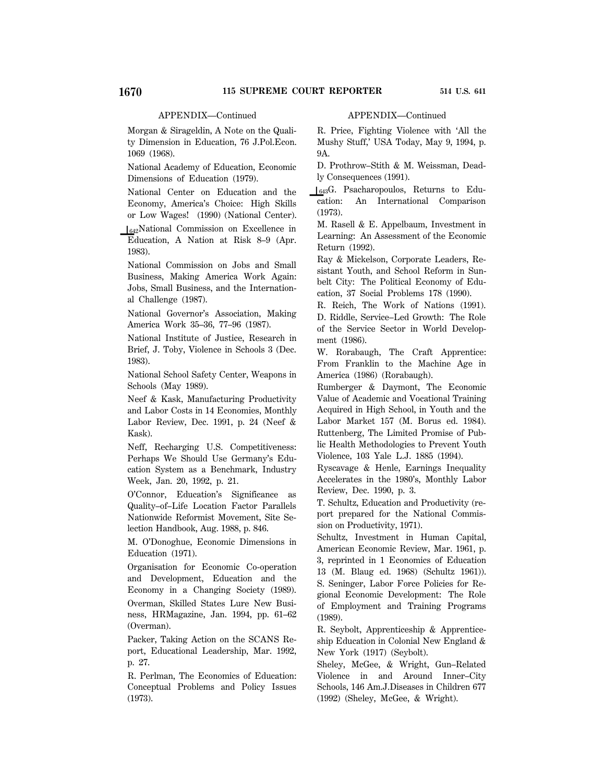Morgan & Sirageldin, A Note on the Quality Dimension in Education, 76 J.Pol.Econ. 1069 (1968).

National Academy of Education, Economic Dimensions of Education (1979).

National Center on Education and the Economy, America's Choice: High Skills or Low Wages! (1990) (National Center).

 $\left\vert \right\vert_{642}$ National Commission on Excellence in Education, A Nation at Risk 8–9 (Apr. 1983).

National Commission on Jobs and Small Business, Making America Work Again: Jobs, Small Business, and the International Challenge (1987).

National Governor's Association, Making America Work 35–36, 77–96 (1987).

National Institute of Justice, Research in Brief, J. Toby, Violence in Schools 3 (Dec. 1983).

National School Safety Center, Weapons in Schools (May 1989).

Neef & Kask, Manufacturing Productivity and Labor Costs in 14 Economies, Monthly Labor Review, Dec. 1991, p. 24 (Neef & Kask).

Neff, Recharging U.S. Competitiveness: Perhaps We Should Use Germany's Education System as a Benchmark, Industry Week, Jan. 20, 1992, p. 21.

O'Connor, Education's Significance as Quality–of–Life Location Factor Parallels Nationwide Reformist Movement, Site Selection Handbook, Aug. 1988, p. 846.

M. O'Donoghue, Economic Dimensions in Education (1971).

Organisation for Economic Co-operation and Development, Education and the Economy in a Changing Society (1989). Overman, Skilled States Lure New Business, HRMagazine, Jan. 1994, pp. 61–62 (Overman).

Packer, Taking Action on the SCANS Report, Educational Leadership, Mar. 1992, p. 27.

R. Perlman, The Economics of Education: Conceptual Problems and Policy Issues (1973).

# APPENDIX—Continued

R. Price, Fighting Violence with 'All the Mushy Stuff,' USA Today, May 9, 1994, p. 9A.

D. Prothrow–Stith & M. Weissman, Deadly Consequences (1991).

 $\vert_{643}$ G. Psacharopoulos, Returns to Education: An International Comparison (1973).

M. Rasell & E. Appelbaum, Investment in Learning: An Assessment of the Economic Return (1992).

Ray & Mickelson, Corporate Leaders, Resistant Youth, and School Reform in Sunbelt City: The Political Economy of Education, 37 Social Problems 178 (1990).

R. Reich, The Work of Nations (1991). D. Riddle, Service–Led Growth: The Role of the Service Sector in World Development (1986).

W. Rorabaugh, The Craft Apprentice: From Franklin to the Machine Age in America (1986) (Rorabaugh).

Rumberger & Daymont, The Economic Value of Academic and Vocational Training Acquired in High School, in Youth and the Labor Market 157 (M. Borus ed. 1984). Ruttenberg, The Limited Promise of Public Health Methodologies to Prevent Youth Violence, 103 Yale L.J. 1885 (1994).

Ryscavage & Henle, Earnings Inequality Accelerates in the 1980's, Monthly Labor Review, Dec. 1990, p. 3.

T. Schultz, Education and Productivity (report prepared for the National Commission on Productivity, 1971).

Schultz, Investment in Human Capital, American Economic Review, Mar. 1961, p. 3, reprinted in 1 Economics of Education 13 (M. Blaug ed. 1968) (Schultz 1961)). S. Seninger, Labor Force Policies for Regional Economic Development: The Role of Employment and Training Programs (1989).

R. Seybolt, Apprenticeship & Apprenticeship Education in Colonial New England & New York (1917) (Seybolt).

Sheley, McGee, & Wright, Gun–Related Violence in and Around Inner–City Schools, 146 Am.J.Diseases in Children 677 (1992) (Sheley, McGee, & Wright).